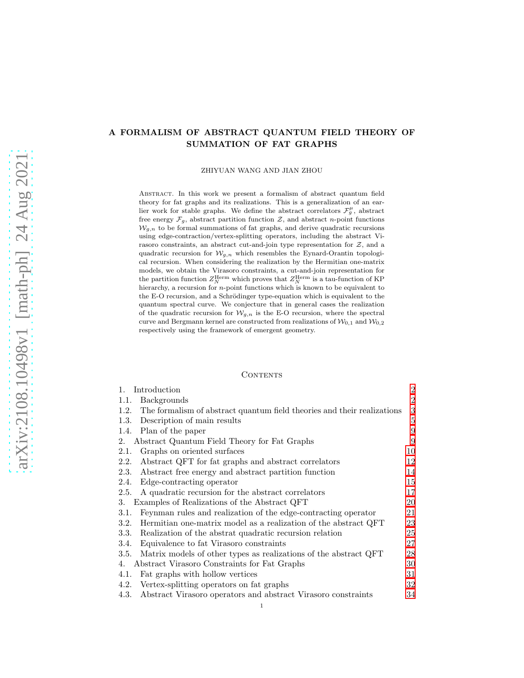# A FORMALISM OF ABSTRACT QUANTUM FIELD THEORY OF SUMMATION OF FAT GRAPHS

ZHIYUAN WANG AND JIAN ZHOU

Abstract. In this work we present a formalism of abstract quantum field theory for fat graphs and its realizations. This is a generalization of an earlier work for stable graphs. We define the abstract correlators  $\mathcal{F}^{\mu}_{g}$ , abstract free energy  $\mathcal{F}_g$ , abstract partition function  $\mathcal{Z}$ , and abstract *n*-point functions  $W_{q,n}$  to be formal summations of fat graphs, and derive quadratic recursions using edge-contraction/vertex-splitting operators, including the abstract Virasoro constraints, an abstract cut-and-join type representation for  $Z$ , and a quadratic recursion for  $\mathcal{W}_{g,n}$  which resembles the Eynard-Orantin topological recursion. When considering the realization by the Hermitian one-matrix models, we obtain the Virasoro constraints, a cut-and-join representation for the partition function  $Z_N^{\text{Herm}}$  which proves that  $Z_N^{\text{Herm}}$  is a tau-function of KP hierarchy, a recursion for *n*-point functions which is known to be equivalent to the E-O recursion, and a Schrödinger type-equation which is equivalent to the quantum spectral curve. We conjecture that in general cases the realization of the quadratic recursion for  $\mathcal{W}_{g,n}$  is the E-O recursion, where the spectral curve and Bergmann kernel are constructed from realizations of  $\mathcal{W}_{0,1}$  and  $\mathcal{W}_{0,2}$ respectively using the framework of emergent geometry.

#### CONTENTS

| $1_{-}$ | Introduction                                                            | $\overline{2}$ |
|---------|-------------------------------------------------------------------------|----------------|
| 1.1.    | <b>Backgrounds</b>                                                      | $\overline{2}$ |
| 1.2.    | The formalism of abstract quantum field theories and their realizations | 3              |
| 1.3.    | Description of main results                                             | $\overline{5}$ |
| 1.4.    | Plan of the paper                                                       | 9              |
| 2.      | Abstract Quantum Field Theory for Fat Graphs                            | 9              |
| 2.1.    | Graphs on oriented surfaces                                             | 10             |
| 2.2.    | Abstract QFT for fat graphs and abstract correlators                    | 12             |
| 2.3.    | Abstract free energy and abstract partition function                    | 14             |
| 2.4.    | Edge-contracting operator                                               | 15             |
| 2.5.    | A quadratic recursion for the abstract correlators                      | 17             |
| 3.      | Examples of Realizations of the Abstract QFT                            | 20             |
| 3.1.    | Feynman rules and realization of the edge-contracting operator          | 21             |
| 3.2.    | Hermitian one-matrix model as a realization of the abstract QFT         | 23             |
| 3.3.    | Realization of the abstrat quadratic recursion relation                 | 25             |
| 3.4.    | Equivalence to fat Virasoro constraints                                 | 27             |
| 3.5.    | Matrix models of other types as realizations of the abstract QFT        | 28             |
| 4.      | Abstract Virasoro Constraints for Fat Graphs                            | 30             |
| 4.1.    | Fat graphs with hollow vertices                                         | 31             |
| 4.2.    | Vertex-splitting operators on fat graphs                                | 32             |
| 4.3.    | Abstract Virasoro operators and abstract Virasoro constraints           | 34             |
|         |                                                                         |                |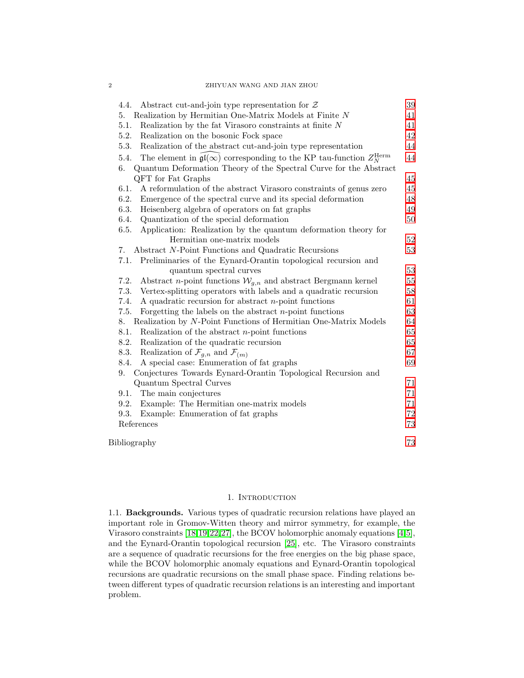| Abstract cut-and-join type representation for $Z$<br>4.4.                                            | 39 |
|------------------------------------------------------------------------------------------------------|----|
| Realization by Hermitian One-Matrix Models at Finite $N$<br>5.                                       | 41 |
| Realization by the fat Virasoro constraints at finite $N$<br>5.1.                                    | 41 |
| 5.2.<br>Realization on the bosonic Fock space                                                        | 42 |
| 5.3.<br>Realization of the abstract cut-and-join type representation                                 | 44 |
| The element in $\mathfrak{gl}(\infty)$ corresponding to the KP tau-function $Z_N^{\rm Herm}$<br>5.4. | 44 |
| 6.<br>Quantum Deformation Theory of the Spectral Curve for the Abstract                              |    |
| QFT for Fat Graphs                                                                                   | 45 |
| 6.1.<br>A reformulation of the abstract Virasoro constraints of genus zero                           | 45 |
| 6.2.<br>Emergence of the spectral curve and its special deformation                                  | 48 |
| 6.3.<br>Heisenberg algebra of operators on fat graphs                                                | 49 |
| Quantization of the special deformation<br>6.4.                                                      | 50 |
| 6.5.<br>Application: Realization by the quantum deformation theory for                               |    |
| Hermitian one-matrix models                                                                          | 52 |
| Abstract N-Point Functions and Quadratic Recursions<br>7.                                            | 53 |
| Preliminaries of the Eynard-Orantin topological recursion and<br>7.1.                                |    |
| quantum spectral curves                                                                              | 53 |
| 7.2.<br>Abstract <i>n</i> -point functions $W_{g,n}$ and abstract Bergmann kernel                    | 55 |
| 7.3.<br>Vertex-splitting operators with labels and a quadratic recursion                             | 58 |
| 7.4.<br>A quadratic recursion for abstract $n$ -point functions                                      | 61 |
| 7.5.<br>Forgetting the labels on the abstract $n$ -point functions                                   | 63 |
| Realization by N-Point Functions of Hermitian One-Matrix Models<br>8.                                | 64 |
| 8.1.<br>Realization of the abstract $n$ -point functions                                             | 65 |
| 8.2.<br>Realization of the quadratic recursion                                                       | 65 |
| 8.3.<br>Realization of $\mathcal{F}_{g,n}$ and $\mathcal{F}_{(m)}$                                   | 67 |
| 8.4.<br>A special case: Enumeration of fat graphs                                                    | 69 |
| Conjectures Towards Eynard-Orantin Topological Recursion and<br>9.                                   |    |
| Quantum Spectral Curves                                                                              | 71 |
| 9.1.<br>The main conjectures                                                                         | 71 |
| 9.2.<br>Example: The Hermitian one-matrix models                                                     | 71 |
| 9.3.<br>Example: Enumeration of fat graphs                                                           | 72 |
| References                                                                                           | 73 |
| Bibliography                                                                                         | 73 |

## 1. INTRODUCTION

<span id="page-1-1"></span><span id="page-1-0"></span>1.1. Backgrounds. Various types of quadratic recursion relations have played an important role in Gromov-Witten theory and mirror symmetry, for example, the Virasoro constraints [\[18,](#page-72-1)[19,](#page-72-2)[22](#page-72-3)[,27\]](#page-73-0), the BCOV holomorphic anomaly equations [\[4,](#page-72-4)[5\]](#page-72-5), and the Eynard-Orantin topological recursion [\[25\]](#page-72-6), etc. The Virasoro constraints are a sequence of quadratic recursions for the free energies on the big phase space, while the BCOV holomorphic anomaly equations and Eynard-Orantin topological recursions are quadratic recursions on the small phase space. Finding relations between different types of quadratic recursion relations is an interesting and important problem.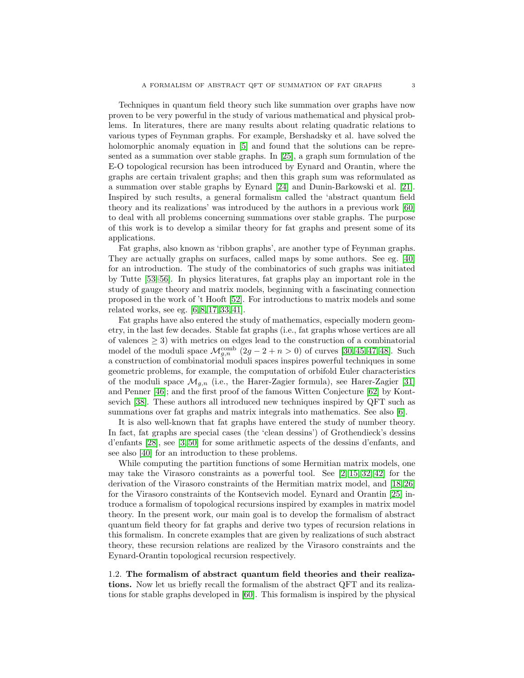Techniques in quantum field theory such like summation over graphs have now proven to be very powerful in the study of various mathematical and physical problems. In literatures, there are many results about relating quadratic relations to various types of Feynman graphs. For example, Bershadsky et al. have solved the holomorphic anomaly equation in [\[5\]](#page-72-5) and found that the solutions can be represented as a summation over stable graphs. In [\[25\]](#page-72-6), a graph sum formulation of the E-O topological recursion has been introduced by Eynard and Orantin, where the graphs are certain trivalent graphs; and then this graph sum was reformulated as a summation over stable graphs by Eynard [\[24\]](#page-72-7) and Dunin-Barkowski et al. [\[21\]](#page-72-8). Inspired by such results, a general formalism called the 'abstract quantum field theory and its realizations' was introduced by the authors in a previous work [\[60\]](#page-74-0) to deal with all problems concerning summations over stable graphs. The purpose of this work is to develop a similar theory for fat graphs and present some of its applications.

Fat graphs, also known as 'ribbon graphs', are another type of Feynman graphs. They are actually graphs on surfaces, called maps by some authors. See eg. [\[40\]](#page-73-1) for an introduction. The study of the combinatorics of such graphs was initiated by Tutte [\[53–](#page-73-2)[56\]](#page-73-3). In physics literatures, fat graphs play an important role in the study of gauge theory and matrix models, beginning with a fascinating connection proposed in the work of 't Hooft [\[52\]](#page-73-4). For introductions to matrix models and some related works, see eg. [\[6,](#page-72-9) [8,](#page-72-10) [17,](#page-72-11) [33,](#page-73-5) [41\]](#page-73-6).

Fat graphs have also entered the study of mathematics, especially modern geometry, in the last few decades. Stable fat graphs (i.e., fat graphs whose vertices are all of valences  $\geq$  3) with metrics on edges lead to the construction of a combinatorial model of the moduli space  $\mathcal{M}_{g,n}^{\text{comb}}(2g-2+n>0)$  of curves [\[30,](#page-73-7) [45,](#page-73-8) [47,](#page-73-9) [48\]](#page-73-10). Such a construction of combinatorial moduli spaces inspires powerful techniques in some geometric problems, for example, the computation of orbifold Euler characteristics of the moduli space  $\mathcal{M}_{q,n}$  (i.e., the Harer-Zagier formula), see Harer-Zagier [\[31\]](#page-73-11) and Penner [\[46\]](#page-73-12); and the first proof of the famous Witten Conjecture [\[62\]](#page-74-1) by Kontsevich [\[38\]](#page-73-13). These authors all introduced new techniques inspired by QFT such as summations over fat graphs and matrix integrals into mathematics. See also [\[6\]](#page-72-9).

It is also well-known that fat graphs have entered the study of number theory. In fact, fat graphs are special cases (the 'clean dessins') of Grothendieck's dessins d'enfants [\[28\]](#page-73-14), see [\[3,](#page-72-12) [50\]](#page-73-15) for some arithmetic aspects of the dessins d'enfants, and see also [\[40\]](#page-73-1) for an introduction to these problems.

While computing the partition functions of some Hermitian matrix models, one may take the Virasoro constraints as a powerful tool. See  $[2, 15, 32, 42]$  $[2, 15, 32, 42]$  $[2, 15, 32, 42]$  $[2, 15, 32, 42]$  for the derivation of the Virasoro constraints of the Hermitian matrix model, and [\[18,](#page-72-1) [26\]](#page-72-15) for the Virasoro constraints of the Kontsevich model. Eynard and Orantin [\[25\]](#page-72-6) introduce a formalism of topological recursions inspired by examples in matrix model theory. In the present work, our main goal is to develop the formalism of abstract quantum field theory for fat graphs and derive two types of recursion relations in this formalism. In concrete examples that are given by realizations of such abstract theory, these recursion relations are realized by the Virasoro constraints and the Eynard-Orantin topological recursion respectively.

<span id="page-2-0"></span>1.2. The formalism of abstract quantum field theories and their realizations. Now let us briefly recall the formalism of the abstract QFT and its realizations for stable graphs developed in [\[60\]](#page-74-0). This formalism is inspired by the physical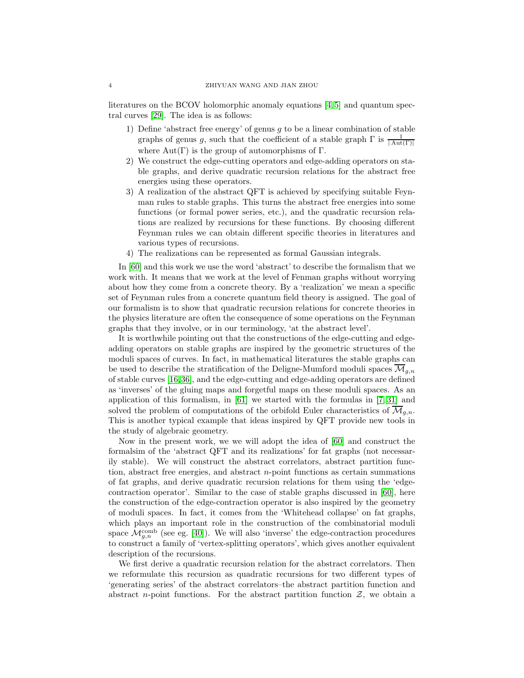literatures on the BCOV holomorphic anomaly equations [\[4,](#page-72-4) [5\]](#page-72-5) and quantum spectral curves [\[29\]](#page-73-18). The idea is as follows:

- 1) Define 'abstract free energy' of genus  $g$  to be a linear combination of stable graphs of genus g, such that the coefficient of a stable graph  $\Gamma$  is  $\frac{1}{|\mathrm{Aut}(\Gamma)|}$ where  $Aut(\Gamma)$  is the group of automorphisms of  $\Gamma$ .
- 2) We construct the edge-cutting operators and edge-adding operators on stable graphs, and derive quadratic recursion relations for the abstract free energies using these operators.
- 3) A realization of the abstract QFT is achieved by specifying suitable Feynman rules to stable graphs. This turns the abstract free energies into some functions (or formal power series, etc.), and the quadratic recursion relations are realized by recursions for these functions. By choosing different Feynman rules we can obtain different specific theories in literatures and various types of recursions.
- 4) The realizations can be represented as formal Gaussian integrals.

In [\[60\]](#page-74-0) and this work we use the word 'abstract' to describe the formalism that we work with. It means that we work at the level of Fenman graphs without worrying about how they come from a concrete theory. By a 'realization' we mean a specific set of Feynman rules from a concrete quantum field theory is assigned. The goal of our formalism is to show that quadratic recursion relations for concrete theories in the physics literature are often the consequence of some operations on the Feynman graphs that they involve, or in our terminology, 'at the abstract level'.

It is worthwhile pointing out that the constructions of the edge-cutting and edgeadding operators on stable graphs are inspired by the geometric structures of the moduli spaces of curves. In fact, in mathematical literatures the stable graphs can be used to describe the stratification of the Deligne-Mumford moduli spaces  $\mathcal{M}_{q,n}$ of stable curves [\[16,](#page-72-16)[36\]](#page-73-19), and the edge-cutting and edge-adding operators are defined as 'inverses' of the gluing maps and forgetful maps on these moduli spaces. As an application of this formalism, in [\[61\]](#page-74-2) we started with the formulas in [\[7,](#page-72-17) [31\]](#page-73-11) and solved the problem of computations of the orbifold Euler characteristics of  $\overline{\mathcal{M}}_{q,n}$ . This is another typical example that ideas inspired by QFT provide new tools in the study of algebraic geometry.

Now in the present work, we we will adopt the idea of [\[60\]](#page-74-0) and construct the formalsim of the 'abstract QFT and its realizations' for fat graphs (not necessarily stable). We will construct the abstract correlators, abstract partition function, abstract free energies, and abstract  $n$ -point functions as certain summations of fat graphs, and derive quadratic recursion relations for them using the 'edgecontraction operator'. Similar to the case of stable graphs discussed in [\[60\]](#page-74-0), here the construction of the edge-contraction operator is also inspired by the geometry of moduli spaces. In fact, it comes from the 'Whitehead collapse' on fat graphs, which plays an important role in the construction of the combinatorial moduli space  $\mathcal{M}_{g,n}^{\text{comb}}$  (see eg. [\[40\]](#page-73-1)). We will also 'inverse' the edge-contraction procedures to construct a family of 'vertex-splitting operators', which gives another equivalent description of the recursions.

We first derive a quadratic recursion relation for the abstract correlators. Then we reformulate this recursion as quadratic recursions for two different types of 'generating series' of the abstract correlators–the abstract partition function and abstract n-point functions. For the abstract partition function  $\mathcal{Z}$ , we obtain a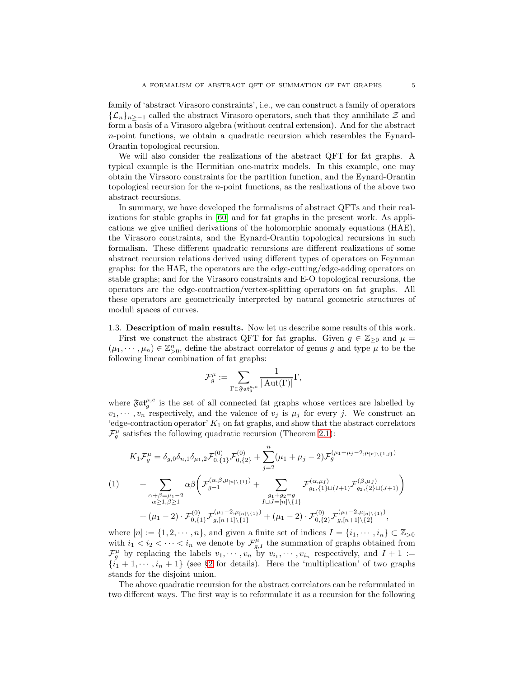family of 'abstract Virasoro constraints', i.e., we can construct a family of operators  ${\{\mathcal{L}_n\}}_{n>−1}$  called the abstract Virasoro operators, such that they annihilate  $\mathcal Z$  and form a basis of a Virasoro algebra (without central extension). And for the abstract n-point functions, we obtain a quadratic recursion which resembles the Eynard-Orantin topological recursion.

We will also consider the realizations of the abstract QFT for fat graphs. A typical example is the Hermitian one-matrix models. In this example, one may obtain the Virasoro constraints for the partition function, and the Eynard-Orantin topological recursion for the n-point functions, as the realizations of the above two abstract recursions.

In summary, we have developed the formalisms of abstract QFTs and their realizations for stable graphs in [\[60\]](#page-74-0) and for fat graphs in the present work. As applications we give unified derivations of the holomorphic anomaly equations (HAE), the Virasoro constraints, and the Eynard-Orantin topological recursions in such formalism. These different quadratic recursions are different realizations of some abstract recursion relations derived using different types of operators on Feynman graphs: for the HAE, the operators are the edge-cutting/edge-adding operators on stable graphs; and for the Virasoro constraints and E-O topological recursions, the operators are the edge-contraction/vertex-splitting operators on fat graphs. All these operators are geometrically interpreted by natural geometric structures of moduli spaces of curves.

<span id="page-4-0"></span>1.3. Description of main results. Now let us describe some results of this work. First we construct the abstract QFT for fat graphs. Given  $g \in \mathbb{Z}_{\geq 0}$  and  $\mu =$  $(\mu_1, \dots, \mu_n) \in \mathbb{Z}_{\geq 0}^n$ , define the abstract correlator of genus g and type  $\mu$  to be the following linear combination of fat graphs:

$$
\mathcal{F}^\mu_g:=\sum_{\Gamma\in\mathfrak{F}\mathfrak{at}^{\mu,c}_g}\frac{1}{|\operatorname{Aut}(\Gamma)|}\Gamma,
$$

where  $\mathfrak{Fat}^{\mu,c}_{g}$  is the set of all connected fat graphs whose vertices are labelled by  $v_1, \dots, v_n$  respectively, and the valence of  $v_j$  is  $\mu_j$  for every j. We construct an 'edge-contraction operator'  $K_1$  on fat graphs, and show that the abstract correlators  $\mathcal{F}_{g}^{\mu}$  satisfies the following quadratic recursion (Theorem [2.1\)](#page-17-0):

<span id="page-4-1"></span>
$$
K_{1}\mathcal{F}_{g}^{\mu} = \delta_{g,0}\delta_{n,1}\delta_{\mu_{1},2}\mathcal{F}_{0,\{1\}}^{(0)}\mathcal{F}_{0,\{2\}}^{(0)} + \sum_{j=2}^{n}(\mu_{1} + \mu_{j} - 2)\mathcal{F}_{g}^{(\mu_{1} + \mu_{j} - 2,\mu_{[n]\backslash\{1,j\}})}
$$
\n
$$
(1) \qquad + \sum_{\substack{\alpha+\beta=\mu_{1}-2 \\ \alpha \geq 1, \beta \geq 1}} \alpha\beta \bigg(\mathcal{F}_{g-1}^{(\alpha,\beta,\mu_{[n]\backslash\{1\}})} + \sum_{\substack{g_{1}+g_{2}=g \\ I\sqcup J=[n]\backslash\{1\}}} \mathcal{F}_{g_{1},\{1\}\sqcup(I+1)}^{(\alpha,\mu_{I})}\mathcal{F}_{g_{2},\{2\}\sqcup(J+1)}^{(\beta,\mu_{J})}\bigg)
$$
\n
$$
+ (\mu_{1}-2) \cdot \mathcal{F}_{0,\{1\}}^{(0)}\mathcal{F}_{g,[n+1]\backslash\{1\}}^{(\mu_{1}-2,\mu_{[n]\backslash\{1\}})} + (\mu_{1}-2) \cdot \mathcal{F}_{0,\{2\}}^{(0)}\mathcal{F}_{g,[n+1]\backslash\{2\}}^{(\mu_{1}-2,\mu_{[n]\backslash\{1\}})},
$$

where  $[n] := \{1, 2, \dots, n\}$ , and given a finite set of indices  $I = \{i_1, \dots, i_n\} \subset \mathbb{Z}_{>0}$ with  $i_1 < i_2 < \cdots < i_n$  we denote by  $\mathcal{F}_{g,I}^{\mu}$  the summation of graphs obtained from  $\mathcal{F}_g^{\mu}$  by replacing the labels  $v_1, \dots, v_n$  by  $v_{i_1}, \dots, v_{i_n}$  respectively, and  $I + 1 :=$  $\{i_1 + 1, \dots, i_n + 1\}$  (see §[2](#page-8-1) for details). Here the 'multiplication' of two graphs stands for the disjoint union.

The above quadratic recursion for the abstract correlators can be reformulated in two different ways. The first way is to reformulate it as a recursion for the following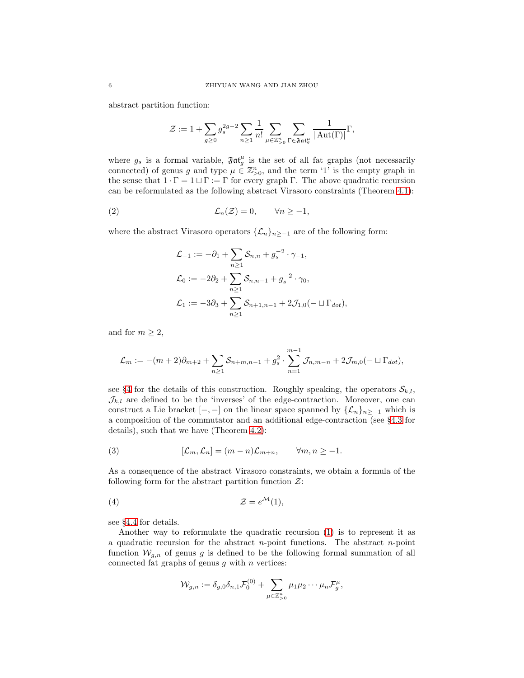abstract partition function:

$$
\mathcal{Z}:=1+\sum_{g\geq 0}g_s^{2g-2}\sum_{n\geq 1}\frac{1}{n!}\sum_{\mu\in\mathbb{Z}_{>0}^n}\sum_{\Gamma\in\mathfrak{Fat}^{\mu}_g}\frac{1}{|\operatorname{Aut}(\Gamma)|}\Gamma,
$$

where  $g_s$  is a formal variable,  $\mathfrak{F}at_g^{\mu}$  is the set of all fat graphs (not necessarily connected) of genus g and type  $\mu \in \mathbb{Z}_{>0}^n$ , and the term '1' is the empty graph in the sense that  $1 \cdot \Gamma = 1 \sqcup \Gamma := \Gamma$  for every graph  $\Gamma$ . The above quadratic recursion can be reformulated as the following abstract Virasoro constraints (Theorem [4.1\)](#page-34-0):

(2) 
$$
\mathcal{L}_n(\mathcal{Z}) = 0, \qquad \forall n \ge -1,
$$

where the abstract Virasoro operators  $\{\mathcal{L}_n\}_{n\geq -1}$  are of the following form:

<span id="page-5-0"></span>
$$
\mathcal{L}_{-1} := -\partial_1 + \sum_{n \ge 1} S_{n,n} + g_s^{-2} \cdot \gamma_{-1},
$$
  
\n
$$
\mathcal{L}_0 := -2\partial_2 + \sum_{n \ge 1} S_{n,n-1} + g_s^{-2} \cdot \gamma_0,
$$
  
\n
$$
\mathcal{L}_1 := -3\partial_3 + \sum_{n \ge 1} S_{n+1,n-1} + 2\mathcal{J}_{1,0}(- \sqcup \Gamma_{dot}),
$$

and for  $m \geq 2$ ,

$$
\mathcal{L}_m := -(m+2)\partial_{m+2} + \sum_{n\geq 1} S_{n+m,n-1} + g_s^2 \cdot \sum_{n=1}^{m-1} \mathcal{J}_{n,m-n} + 2\mathcal{J}_{m,0}(-\sqcup \Gamma_{dot}),
$$

see §[4](#page-29-0) for the details of this construction. Roughly speaking, the operators  $\mathcal{S}_{k,l}$ ,  $\mathcal{J}_{k,l}$  are defined to be the 'inverses' of the edge-contraction. Moreover, one can construct a Lie bracket  $[-,-]$  on the linear space spanned by  $\{\mathcal{L}_n\}_{n\geq -1}$  which is a composition of the commutator and an additional edge-contraction (see §[4.3](#page-33-0) for details), such that we have (Theorem [4.2\)](#page-36-0):

<span id="page-5-1"></span>(3) 
$$
[\mathcal{L}_m, \mathcal{L}_n] = (m-n)\mathcal{L}_{m+n}, \qquad \forall m, n \ge -1.
$$

As a consequence of the abstract Virasoro constraints, we obtain a formula of the following form for the abstract partition function  $\mathcal{Z}$ :

$$
(4) \t\t\t\t\t\mathcal{Z}=e^{\mathcal{M}}(1),
$$

see §[4.4](#page-38-0) for details.

Another way to reformulate the quadratic recursion [\(1\)](#page-4-1) is to represent it as a quadratic recursion for the abstract  $n$ -point functions. The abstract  $n$ -point function  $W_{q,n}$  of genus g is defined to be the following formal summation of all connected fat graphs of genus  $g$  with  $n$  vertices:

<span id="page-5-2"></span>
$$
\mathcal{W}_{g,n} := \delta_{g,0}\delta_{n,1}\mathcal{F}_0^{(0)} + \sum_{\mu \in \mathbb{Z}_{>0}^n} \mu_1\mu_2\cdots\mu_n\mathcal{F}_g^{\mu},
$$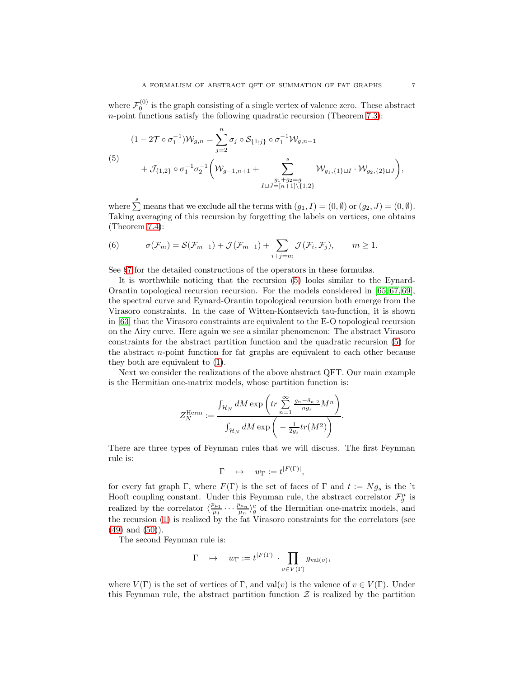where  $\mathcal{F}_0^{(0)}$  is the graph consisting of a single vertex of valence zero. These abstract n-point functions satisfy the following quadratic recursion (Theorem [7.3\)](#page-61-0):

<span id="page-6-0"></span>
$$
(1 - 2\mathcal{T} \circ \sigma_1^{-1})\mathcal{W}_{g,n} = \sum_{j=2}^n \sigma_j \circ \mathcal{S}_{\{1;j\}} \circ \sigma_1^{-1} \mathcal{W}_{g,n-1}
$$
  
(5)  

$$
+ \mathcal{J}_{\{1,2\}} \circ \sigma_1^{-1} \sigma_2^{-1} \left( \mathcal{W}_{g-1,n+1} + \sum_{\substack{g_1+g_2=g\\I \cup J=[n+1]\setminus\{1,2\}}}^s \mathcal{W}_{g_1,\{1\} \cup I} \cdot \mathcal{W}_{g_2,\{2\} \cup J} \right),
$$

where  $\sum_{n=1}^{s}$  means that we exclude all the terms with  $(g_1, I) = (0, \emptyset)$  or  $(g_2, J) = (0, \emptyset)$ . Taking averaging of this recursion by forgetting the labels on vertices, one obtains (Theorem [7.4\)](#page-63-1):

<span id="page-6-1"></span>(6) 
$$
\sigma(\mathcal{F}_m) = \mathcal{S}(\mathcal{F}_{m-1}) + \mathcal{J}(\mathcal{F}_{m-1}) + \sum_{i+j=m} \mathcal{J}(\mathcal{F}_i, \mathcal{F}_j), \qquad m \ge 1.
$$

See §[7](#page-52-0) for the detailed constructions of the operators in these formulas.

It is worthwhile noticing that the recursion [\(5\)](#page-6-0) looks similar to the Eynard-Orantin topological recursion recursion. For the models considered in [\[65,](#page-74-3) [67,](#page-74-4) [69\]](#page-74-5), the spectral curve and Eynard-Orantin topological recursion both emerge from the Virasoro constraints. In the case of Witten-Kontsevich tau-function, it is shown in [\[63\]](#page-74-6) that the Virasoro constraints are equivalent to the E-O topological recursion on the Airy curve. Here again we see a similar phenomenon: The abstract Virasoro constraints for the abstract partition function and the quadratic recursion [\(5\)](#page-6-0) for the abstract  $n$ -point function for fat graphs are equivalent to each other because they both are equivalent to [\(1\)](#page-4-1).

Next we consider the realizations of the above abstract QFT. Our main example is the Hermitian one-matrix models, whose partition function is:

$$
Z_N^{\text{Herm}} := \frac{\int_{\mathcal{H}_N} dM \exp\left(tr \sum_{n=1}^{\infty} \frac{g_n - \delta_{n,2}}{ng_s} M^n\right)}{\int_{\mathcal{H}_N} dM \exp\left(-\frac{1}{2g_s} tr(M^2)\right)}.
$$

There are three types of Feynman rules that we will discuss. The first Feynman rule is:

$$
\Gamma \quad \mapsto \quad w_{\Gamma} := t^{|F(\Gamma)|},
$$

for every fat graph Γ, where  $F(\Gamma)$  is the set of faces of Γ and  $t := Ng_s$  is the 't Hooft coupling constant. Under this Feynman rule, the abstract correlator  $\mathcal{F}_g^{\mu}$  is realized by the correlator  $\langle \frac{p_{\mu_1}}{\mu_1} \cdots \frac{p_{\mu_n}}{\mu_n} \rangle_g^c$  of the Hermitian one-matrix models, and the recursion [\(1\)](#page-4-1) is realized by the fat Virasoro constraints for the correlators (see  $(49)$  and  $(50)$ ).

The second Feynman rule is:

$$
\Gamma \quad \mapsto \quad w_{\Gamma} := t^{|F(\Gamma)|} \cdot \prod_{v \in V(\Gamma)} g_{\text{val}(v)},
$$

where  $V(\Gamma)$  is the set of vertices of  $\Gamma$ , and val $(v)$  is the valence of  $v \in V(\Gamma)$ . Under this Feynman rule, the abstract partition function  $\mathcal Z$  is realized by the partition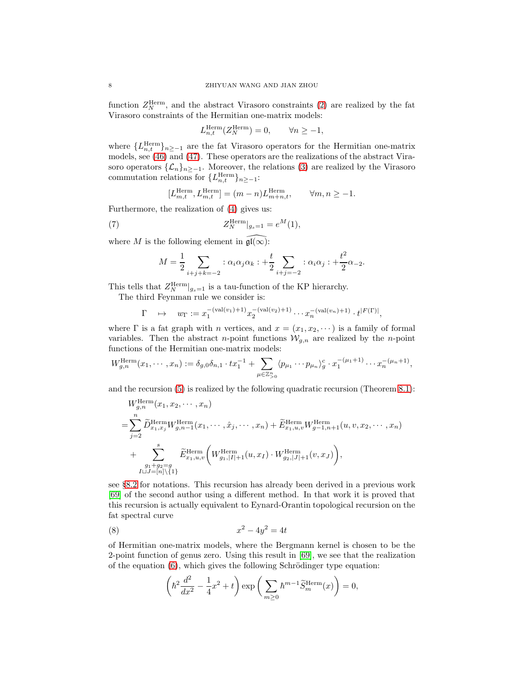function  $Z_N^{\text{Herm}}$ , and the abstract Virasoro constraints [\(2\)](#page-5-0) are realized by the fat Virasoro constraints of the Hermitian one-matrix models:

$$
L_{n,t}^{\text{Herm}}(Z_N^{\text{Herm}}) = 0, \qquad \forall n \ge -1,
$$

where  ${L}_{n,t}^{\text{Herm}}\}_{n\ge-1}$  are the fat Virasoro operators for the Hermitian one-matrix models, see [\(46\)](#page-26-1) and [\(47\)](#page-26-2). These operators are the realizations of the abstract Virasoro operators  $\{\mathcal{L}_n\}_{n\geq -1}$ . Moreover, the relations [\(3\)](#page-5-1) are realized by the Virasoro commutation relations for  ${L}_{n,t}^{\text{Herm}}\}_{n\ge-1}$ :

$$
[L_{m,t}^{\text{Herm}}, L_{m,t}^{\text{Herm}}] = (m-n)L_{m+n,t}^{\text{Herm}}, \qquad \forall m,n\geq -1.
$$

Furthermore, the realization of [\(4\)](#page-5-2) gives us:

(7) 
$$
Z_N^{\text{Herm}}|_{g_s=1} = e^M(1),
$$

where M is the following element in  $\widehat{\mathfrak{gl}(\infty)}$ :

$$
M = \frac{1}{2} \sum_{i+j+k=-2} : \alpha_i \alpha_j \alpha_k : + \frac{t}{2} \sum_{i+j=-2} : \alpha_i \alpha_j : + \frac{t^2}{2} \alpha_{-2}.
$$

This tells that  $Z_N^{\text{Herm}}|_{g_s=1}$  is a tau-function of the KP hierarchy.

The third Feynman rule we consider is:

$$
\Gamma \quad \mapsto \quad w_{\Gamma} := x_1^{-(\text{val}(v_1)+1)} x_2^{-(\text{val}(v_2)+1)} \cdots x_n^{-(\text{val}(v_n)+1)} \cdot t^{|F(\Gamma)|},
$$

where  $\Gamma$  is a fat graph with *n* vertices, and  $x = (x_1, x_2, \dots)$  is a family of formal variables. Then the abstract *n*-point functions  $W_{g,n}$  are realized by the *n*-point functions of the Hermitian one-matrix models:

$$
W_{g,n}^{\text{Herm}}(x_1, \cdots, x_n) := \delta_{g,0} \delta_{n,1} \cdot tx_1^{-1} + \sum_{\mu \in \mathbb{Z}_{>0}^n} \langle p_{\mu_1} \cdots p_{\mu_n} \rangle_g^c \cdot x_1^{-(\mu_1+1)} \cdots x_n^{-(\mu_n+1)},
$$

and the recursion [\(5\)](#page-6-0) is realized by the following quadratic recursion (Theorem [8.1\)](#page-66-1):

$$
W_{g,n}^{\text{Herm}}(x_1, x_2, \cdots, x_n)
$$
  
= 
$$
\sum_{j=2}^n \widetilde{D}^{\text{Herm}}_{x_1, x_j} W_{g,n-1}^{\text{Herm}}(x_1, \cdots, \hat{x}_j, \cdots, x_n) + \widetilde{E}^{\text{Herm}}_{x_1, u, v} W_{g-1, n+1}^{\text{Herm}}(u, v, x_2, \cdots, x_n)
$$
  
+ 
$$
\sum_{\substack{g_1+g_2=g\\I\sqcup J=[n]\setminus\{1\}}}^s \widetilde{E}^{\text{Herm}}_{x_1, u, v} \left( W_{g_1, |I|+1}^{\text{Herm}}(u, x_I) \cdot W_{g_2, |J|+1}^{\text{Herm}}(v, x_J) \right),
$$

see §[8.2](#page-64-1) for notations. This recursion has already been derived in a previous work [\[69\]](#page-74-5) of the second author using a different method. In that work it is proved that this recursion is actually equivalent to Eynard-Orantin topological recursion on the fat spectral curve

$$
(8) \qquad \qquad x^2 - 4y^2 = 4t
$$

of Hermitian one-matrix models, where the Bergmann kernel is chosen to be the 2-point function of genus zero. Using this result in [\[69\]](#page-74-5), we see that the realization of the equation  $(6)$ , which gives the following Schrödinger type equation:

<span id="page-7-0"></span>
$$
\left(\hbar^2\frac{d^2}{dx^2}-\frac{1}{4}x^2+t\right)\exp\bigg(\sum_{m\geq 0}\hbar^{m-1}\widetilde{S}_m^{\text{Herm}}(x)\bigg)=0,
$$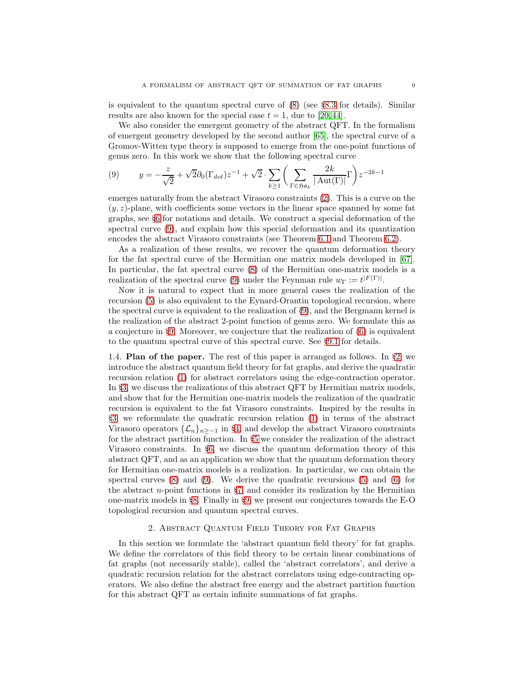is equivalent to the quantum spectral curve of  $(8)$  (see §[8.3](#page-66-0) for details). Similar results are also known for the special case  $t = 1$ , due to [\[20,](#page-72-18)44].

We also consider the emergent geometry of the abstract QFT. In the formalism of emergent geometry developed by the second author [\[65\]](#page-74-3), the spectral curve of a Gromov-Witten type theory is supposed to emerge from the one-point functions of genus zero. In this work we show that the following spectral curve

<span id="page-8-2"></span>(9) 
$$
y = -\frac{z}{\sqrt{2}} + \sqrt{2}\partial_0(\Gamma_{dot})z^{-1} + \sqrt{2}\cdot \sum_{k\geq 1} \left(\sum_{\Gamma \in \mathfrak{Hom}_k} \frac{2k}{|\mathrm{Aut}(\Gamma)|} \Gamma\right) z^{-2k-1}
$$

emerges naturally from the abstract Virasoro constraints [\(2\)](#page-5-0). This is a curve on the  $(y, z)$ -plane, with coefficients some vectors in the linear space spanned by some fat graphs, see §[6](#page-44-0) for notations and details. We construct a special deformation of the spectral curve [\(9\)](#page-8-2), and explain how this special deformation and its quantization encodes the abstract Virasoro constraints (see Theorem [6.1](#page-48-1) and Theorem [6.2\)](#page-50-0).

As a realization of these results, we recover the quantum deformation theory for the fat spectral curve of the Hermitian one matrix models developed in [\[67\]](#page-74-4). In particular, the fat spectral curve [\(8\)](#page-7-0) of the Hermitian one-matrix models is a realization of the spectral curve [\(9\)](#page-8-2) under the Feynman rule  $w_{\Gamma} := t^{|F(\Gamma)|}$ .

Now it is natural to expect that in more general cases the realization of the recursion [\(5\)](#page-6-0) is also equivalent to the Eynard-Orantin topological recursion, where the spectral curve is equivalent to the realization of [\(9\)](#page-8-2), and the Bergmann kernel is the realization of the abstract 2-point function of genus zero. We formulate this as a conjecture in §[9.](#page-70-0) Moreover, we conjecture that the realization of  $(6)$  is equivalent to the quantum spectral curve of this spectral curve. See §[9.1](#page-70-1) for details.

<span id="page-8-0"></span>1.4. **Plan of the paper.** The rest of this paper is arranged as follows. In  $\S$ [2,](#page-8-1) we introduce the abstract quantum field theory for fat graphs, and derive the quadratic recursion relation [\(1\)](#page-4-1) for abstract correlators using the edge-contraction operator. In §[3,](#page-19-0) we discuss the realizations of this abstract QFT by Hermitian matrix models, and show that for the Hermitian one-matrix models the realization of the quadratic recursion is equivalent to the fat Virasoro constraints. Inspired by the results in §[3,](#page-19-0) we reformulate the quadratic recursion relation [\(1\)](#page-4-1) in terms of the abstract Virasoro operators  $\{\mathcal{L}_n\}_{n>1}$  in §[4,](#page-29-0) and develop the abstract Virasoro constraints for the abstract partition function. In §[5](#page-40-0) we consider the realization of the abstract Virasoro constraints. In §[6,](#page-44-0) we discuss the quantum deformation theory of this abstract QFT, and as an application we show that the quantum deformation theory for Hermitian one-matrix models is a realization. In particular, we can obtain the spectral curves  $(8)$  and  $(9)$ . We derive the quadratic recursions  $(5)$  and  $(6)$  for the abstract  $n$ -point functions in §[7,](#page-52-0) and consider its realization by the Hermitian one-matrix models in §[8.](#page-63-0) Finally in §[9,](#page-70-0) we present our conjectures towards the E-O topological recursion and quantum spectral curves.

## 2. Abstract Quantum Field Theory for Fat Graphs

<span id="page-8-1"></span>In this section we formulate the 'abstract quantum field theory' for fat graphs. We define the correlators of this field theory to be certain linear combinations of fat graphs (not necessarily stable), called the 'abstract correlators', and derive a quadratic recursion relation for the abstract correlators using edge-contracting operators. We also define the abstract free energy and the abstract partition function for this abstract QFT as certain infinite summations of fat graphs.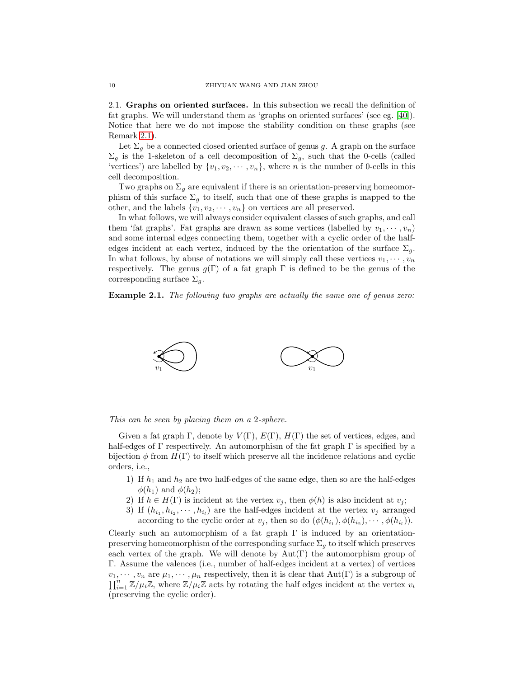<span id="page-9-0"></span>2.1. Graphs on oriented surfaces. In this subsection we recall the definition of fat graphs. We will understand them as 'graphs on oriented surfaces' (see eg. [\[40\]](#page-73-1)). Notice that here we do not impose the stability condition on these graphs (see Remark [2.1\)](#page-10-0).

Let  $\Sigma_g$  be a connected closed oriented surface of genus g. A graph on the surface  $\Sigma_g$  is the 1-skeleton of a cell decomposition of  $\Sigma_g$ , such that the 0-cells (called 'vertices') are labelled by  $\{v_1, v_2, \dots, v_n\}$ , where *n* is the number of 0-cells in this cell decomposition.

Two graphs on  $\Sigma_q$  are equivalent if there is an orientation-preserving homeomorphism of this surface  $\Sigma_g$  to itself, such that one of these graphs is mapped to the other, and the labels  $\{v_1, v_2, \dots, v_n\}$  on vertices are all preserved.

In what follows, we will always consider equivalent classes of such graphs, and call them 'fat graphs'. Fat graphs are drawn as some vertices (labelled by  $v_1, \dots, v_n$ ) and some internal edges connecting them, together with a cyclic order of the halfedges incident at each vertex, induced by the the orientation of the surface  $\Sigma_g$ . In what follows, by abuse of notations we will simply call these vertices  $v_1, \dots, v_n$ respectively. The genus  $g(\Gamma)$  of a fat graph  $\Gamma$  is defined to be the genus of the corresponding surface  $\Sigma_a$ .

**Example 2.1.** The following two graphs are actually the same one of genus zero:



#### This can be seen by placing them on a 2-sphere.

Given a fat graph  $\Gamma$ , denote by  $V(\Gamma)$ ,  $E(\Gamma)$ ,  $H(\Gamma)$  the set of vertices, edges, and half-edges of  $\Gamma$  respectively. An automorphism of the fat graph  $\Gamma$  is specified by a bijection  $\phi$  from  $H(\Gamma)$  to itself which preserve all the incidence relations and cyclic orders, i.e.,

- 1) If  $h_1$  and  $h_2$  are two half-edges of the same edge, then so are the half-edges  $\phi(h_1)$  and  $\phi(h_2)$ ;
- 2) If  $h \in H(\Gamma)$  is incident at the vertex  $v_j$ , then  $\phi(h)$  is also incident at  $v_j$ ;
- 3) If  $(h_{i_1}, h_{i_2}, \dots, h_{i_l})$  are the half-edges incident at the vertex  $v_j$  arranged according to the cyclic order at  $v_j$ , then so do  $(\phi(h_{i_1}), \phi(h_{i_2}), \cdots, \phi(h_{i_l}))$ .

Clearly such an automorphism of a fat graph  $\Gamma$  is induced by an orientationpreserving homeomorphism of the corresponding surface  $\Sigma_q$  to itself which preserves each vertex of the graph. We will denote by  $Aut(\Gamma)$  the automorphism group of Γ. Assume the valences (i.e., number of half-edges incident at a vertex) of vertices  $v_1, \dots, v_n$  are  $\mu_1, \dots, \mu_n$  respectively, then it is clear that  $Aut(\Gamma)$  is a subgroup of  $\prod_{i=1}^n \mathbb{Z}/\mu_i \mathbb{Z}$ , where  $\mathbb{Z}/\mu_i \mathbb{Z}$  acts by rotating the half edges incident at the vertex  $v_i$ (preserving the cyclic order).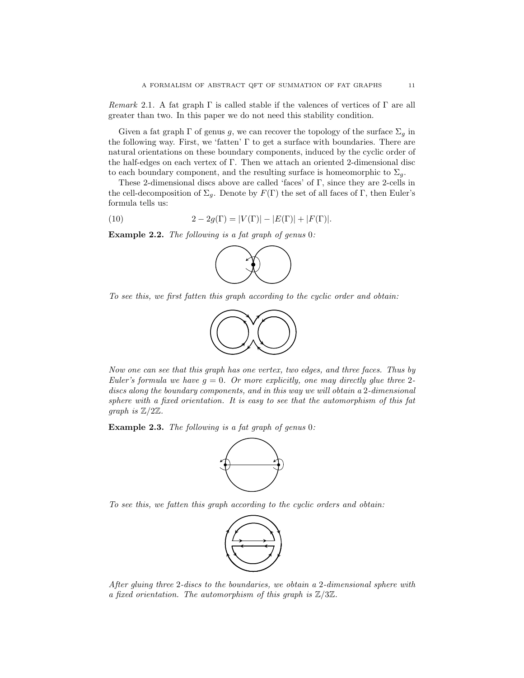<span id="page-10-0"></span>Remark 2.1. A fat graph  $\Gamma$  is called stable if the valences of vertices of  $\Gamma$  are all greater than two. In this paper we do not need this stability condition.

Given a fat graph  $\Gamma$  of genus  $g,$  we can recover the topology of the surface  $\Sigma_g$  in the following way. First, we 'fatten' Γ to get a surface with boundaries. There are natural orientations on these boundary components, induced by the cyclic order of the half-edges on each vertex of Γ. Then we attach an oriented 2-dimensional disc to each boundary component, and the resulting surface is homeomorphic to  $\Sigma_q$ .

These 2-dimensional discs above are called 'faces' of Γ, since they are 2-cells in the cell-decomposition of  $\Sigma_g$ . Denote by  $F(\Gamma)$  the set of all faces of Γ, then Euler's formula tells us:

(10) 
$$
2 - 2g(\Gamma) = |V(\Gamma)| - |E(\Gamma)| + |F(\Gamma)|.
$$

Example 2.2. The following is a fat graph of genus 0:

<span id="page-10-1"></span>

To see this, we first fatten this graph according to the cyclic order and obtain:



Now one can see that this graph has one vertex, two edges, and three faces. Thus by Euler's formula we have  $g = 0$ . Or more explicitly, one may directly glue three 2discs along the boundary components, and in this way we will obtain a 2-dimensional sphere with a fixed orientation. It is easy to see that the automorphism of this fat graph is  $\mathbb{Z}/2\mathbb{Z}$ .

Example 2.3. The following is a fat graph of genus 0:



To see this, we fatten this graph according to the cyclic orders and obtain:



After gluing three 2-discs to the boundaries, we obtain a 2-dimensional sphere with a fixed orientation. The automorphism of this graph is  $\mathbb{Z}/3\mathbb{Z}$ .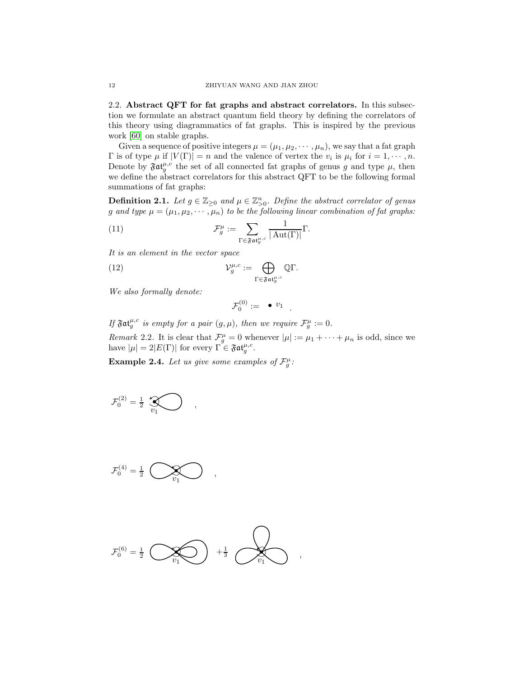<span id="page-11-0"></span>2.2. Abstract QFT for fat graphs and abstract correlators. In this subsection we formulate an abstract quantum field theory by defining the correlators of this theory using diagrammatics of fat graphs. This is inspired by the previous work [\[60\]](#page-74-0) on stable graphs.

Given a sequence of positive integers  $\mu = (\mu_1, \mu_2, \cdots, \mu_n)$ , we say that a fat graph  $\Gamma$  is of type  $\mu$  if  $|V(\Gamma)| = n$  and the valence of vertex the  $v_i$  is  $\mu_i$  for  $i = 1, \dots, n$ . Denote by  $\mathfrak{Fat}^{\mu,c}_{g}$  the set of all connected fat graphs of genus g and type  $\mu$ , then we define the abstract correlators for this abstract QFT to be the following formal summations of fat graphs:

<span id="page-11-2"></span>**Definition 2.1.** Let  $g \in \mathbb{Z}_{\geq 0}$  and  $\mu \in \mathbb{Z}_{\geq 0}^n$ . Define the abstract correlator of genus g and type  $\mu = (\mu_1, \mu_2, \cdots, \mu_n)$  to be the following linear combination of fat graphs:

(11) 
$$
\mathcal{F}_{g}^{\mu} := \sum_{\Gamma \in \mathfrak{F} \mathfrak{at}_{g}^{\mu, c}} \frac{1}{|\operatorname{Aut}(\Gamma)|} \Gamma.
$$

It is an element in the vector space

(12) 
$$
\mathcal{V}_g^{\mu,c} := \bigoplus_{\Gamma \in \mathfrak{Fat}_g^{\mu,c}} \mathbb{Q}\Gamma.
$$

We also formally denote:

$$
\mathcal{F}_0^{(0)} := \quad \bullet \; v_1
$$

.

If  $\mathfrak{Fat}^{\mu,c}_{g}$  is empty for a pair  $(g,\mu)$ , then we require  $\mathcal{F}^{\mu}_{g} := 0$ . Remark 2.2. It is clear that  $\mathcal{F}_{g}^{\mu} = 0$  whenever  $|\mu| := \mu_1 + \cdots + \mu_n$  is odd, since we have  $|\mu| = 2|E(\Gamma)|$  for every  $\Gamma \in \mathfrak{Fat}^{\mu,c}_{g}$ .

<span id="page-11-1"></span>**Example 2.4.** Let us give some examples of  $\mathcal{F}_g^{\mu}$ :

$$
\mathcal{F}_0^{(2)} = \frac{1}{2} \sum_{v_1} \bigotimes ,
$$

$$
\mathcal{F}_0^{(4)} = \frac{1}{2} \sum_{v_1} \bigotimes_{v_2} \dots,
$$

$$
\mathcal{F}_0^{(6)} = \frac{1}{2} \quad \text{and} \quad \frac{1}{3} \quad \text{and} \quad \frac{1}{3} \quad \text{and} \quad \frac{1}{3} \quad \text{and} \quad \frac{1}{3} \quad \text{and} \quad \frac{1}{3} \quad \text{and} \quad \frac{1}{3} \quad \text{and} \quad \frac{1}{3} \quad \text{and} \quad \frac{1}{3} \quad \text{and} \quad \frac{1}{3} \quad \text{and} \quad \frac{1}{3} \quad \text{and} \quad \frac{1}{3} \quad \text{and} \quad \frac{1}{3} \quad \text{and} \quad \frac{1}{3} \quad \text{and} \quad \frac{1}{3} \quad \text{and} \quad \frac{1}{3} \quad \text{and} \quad \frac{1}{3} \quad \text{and} \quad \frac{1}{3} \quad \text{and} \quad \frac{1}{3} \quad \text{and} \quad \frac{1}{3} \quad \text{and} \quad \frac{1}{3} \quad \text{and} \quad \frac{1}{3} \quad \text{and} \quad \frac{1}{3} \quad \text{and} \quad \frac{1}{3} \quad \text{and} \quad \frac{1}{3} \quad \text{and} \quad \frac{1}{3} \quad \text{and} \quad \frac{1}{3} \quad \text{and} \quad \frac{1}{3} \quad \text{and} \quad \frac{1}{3} \quad \text{and} \quad \frac{1}{3} \quad \text{and} \quad \frac{1}{3} \quad \text{and} \quad \frac{1}{3} \quad \text{and} \quad \frac{1}{3} \quad \text{and} \quad \frac{1}{3} \quad \text{and} \quad \frac{1}{3} \quad \text{and} \quad \frac{1}{3} \quad \text{and} \quad \frac{1}{3} \quad \text{and} \quad \frac{1}{3} \quad \text{and} \quad \frac{1}{3} \quad \text{and} \quad \frac{1}{3} \quad \text{and} \quad \frac{1}{3} \quad \text{and} \quad \frac{1}{3} \quad \text{and} \quad \frac{1}{3} \quad \text{and} \quad \frac{1}{3} \quad \text{and} \quad \frac{1}{3} \quad \text{and} \quad \frac{1}{3} \quad \text{and} \quad \frac{1}{3} \quad \text{
$$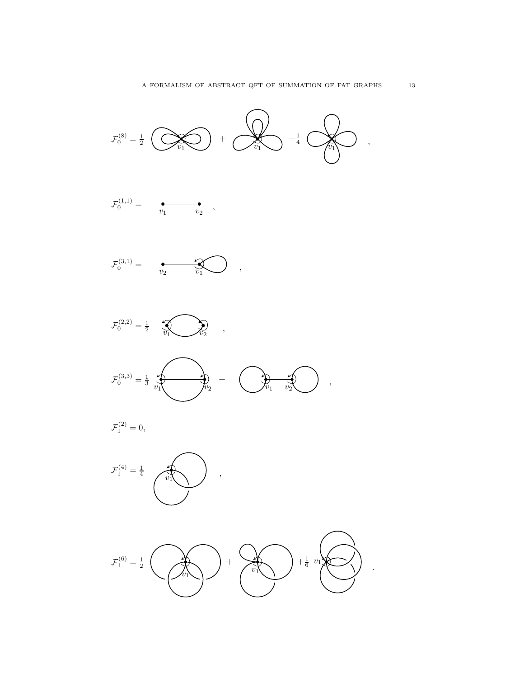

v<sup>1</sup> v<sup>2</sup> F (1,1) <sup>0</sup> = ,

 $\mathcal{F}_0^{(3,1)} =$ 

 $\mathcal{F}^{(2,2)}_0 = \frac{1}{2} \quad \textcolor{red}{\text{N}} \quad \textcolor{blue}{\text{N}} \quad \textcolor{blue}{\text{N}} \quad \textcolor{blue}{\text{N}} \quad ,$ 

 $\overrightarrow{\mathcal{X}}_{v_2}$ +

 $\mathcal{F}_0^{(3,3)}=\frac{1}{3}$ 

 $\mathcal{F}_1^{(2)}=0,$ 





,

 $\bigcirc \hspace{-3.5mm}\bigcirc \hspace{-3.5mm} \bigcirc \hspace{-3.5mm}\bigcirc \hspace{-3.5mm} \bigcirc \hspace{-3.5mm} \bigcirc \hspace{-3.5mm} \bigcirc$ 

,

A FORMALISM OF ABSTRACT QFT OF SUMMATION OF FAT GRAPHS  $13$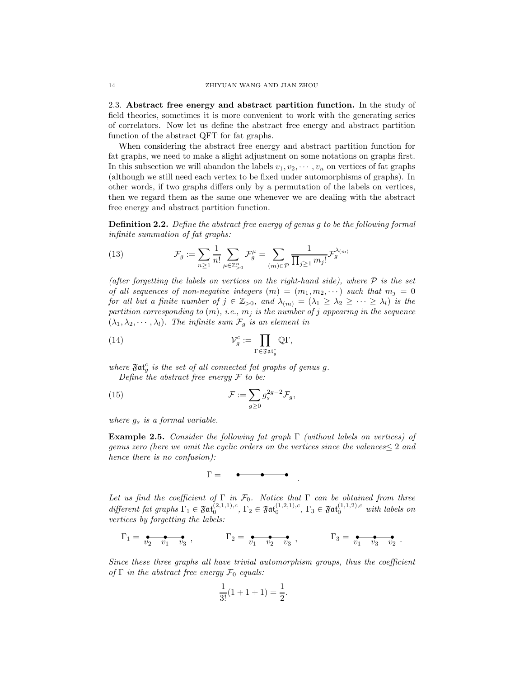<span id="page-13-0"></span>2.3. Abstract free energy and abstract partition function. In the study of field theories, sometimes it is more convenient to work with the generating series of correlators. Now let us define the abstract free energy and abstract partition function of the abstract QFT for fat graphs.

When considering the abstract free energy and abstract partition function for fat graphs, we need to make a slight adjustment on some notations on graphs first. In this subsection we will abandon the labels  $v_1, v_2, \dots, v_n$  on vertices of fat graphs (although we still need each vertex to be fixed under automorphisms of graphs). In other words, if two graphs differs only by a permutation of the labels on vertices, then we regard them as the same one whenever we are dealing with the abstract free energy and abstract partition function.

<span id="page-13-1"></span>Definition 2.2. Define the abstract free energy of genus g to be the following formal infinite summation of fat graphs:

(13) 
$$
\mathcal{F}_g := \sum_{n \geq 1} \frac{1}{n!} \sum_{\mu \in \mathbb{Z}_{>0}^n} \mathcal{F}_g^{\mu} = \sum_{(m) \in \mathcal{P}} \frac{1}{\prod_{j \geq 1} m_j!} \mathcal{F}_g^{\lambda_{(m)}}
$$

(after forgetting the labels on vertices on the right-hand side), where  $\mathcal P$  is the set of all sequences of non-negative integers  $(m) = (m_1, m_2, \cdots)$  such that  $m_j = 0$ for all but a finite number of  $j \in \mathbb{Z}_{>0}$ , and  $\lambda_{(m)} = (\lambda_1 \geq \lambda_2 \geq \cdots \geq \lambda_l)$  is the partition corresponding to  $(m)$ , i.e.,  $m_j$  is the number of j appearing in the sequence  $(\lambda_1, \lambda_2, \cdots, \lambda_l)$ . The infinite sum  $\mathcal{F}_g$  is an element in

(14) 
$$
\mathcal{V}_g^c := \prod_{\Gamma \in \mathfrak{Fat}_g^c} \mathbb{Q}\Gamma,
$$

where  $\mathfrak{Fat}^c_g$  is the set of all connected fat graphs of genus g. Define the abstract free energy  $\mathcal F$  to be:

(15) 
$$
\mathcal{F} := \sum_{g \geq 0} g_s^{2g-2} \mathcal{F}_g,
$$

where  $g_s$  is a formal variable.

**Example 2.5.** Consider the following fat graph  $\Gamma$  (without labels on vertices) of genus zero (here we omit the cyclic orders on the vertices since the valences≤ 2 and hence there is no confusion):

$$
\Gamma = \bullet \bullet \bullet \bullet \bullet
$$

Let us find the coefficient of  $\Gamma$  in  $\mathcal{F}_0$ . Notice that  $\Gamma$  can be obtained from three different fat graphs  $\Gamma_1 \in \mathfrak{Fat}_0^{(2,1,1),c}$ ,  $\Gamma_2 \in \mathfrak{Fat}_0^{(1,2,1),c}$ ,  $\Gamma_3 \in \mathfrak{Fat}_0^{(1,1,2),c}$  with labels on vertices by forgetting the labels:

$$
\Gamma_1 = \underbrace{\bullet \bullet \bullet \bullet}_{v_2 \quad v_1 \quad v_3}, \qquad \Gamma_2 = \underbrace{\bullet \bullet \bullet \bullet}_{v_1 \quad v_2 \quad v_3}, \qquad \Gamma_3 = \underbrace{\bullet \bullet \bullet \bullet}_{v_1 \quad v_3 \quad v_2}.
$$

Since these three graphs all have trivial automorphism groups, thus the coefficient of  $\Gamma$  in the abstract free energy  $\mathcal{F}_0$  equals:

$$
\frac{1}{3!}(1+1+1) = \frac{1}{2}.
$$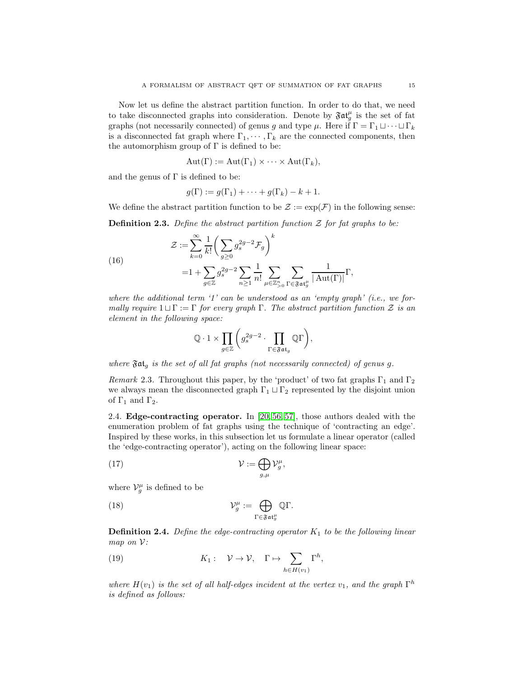Now let us define the abstract partition function. In order to do that, we need to take disconnected graphs into consideration. Denote by  $\mathfrak{Fat}_g^{\mu}$  is the set of fat graphs (not necessarily connected) of genus g and type  $\mu$ . Here if  $\Gamma = \Gamma_1 \sqcup \cdots \sqcup \Gamma_k$ is a disconnected fat graph where  $\Gamma_1, \cdots, \Gamma_k$  are the connected components, then the automorphism group of  $\Gamma$  is defined to be:

$$
Aut(\Gamma) := Aut(\Gamma_1) \times \cdots \times Aut(\Gamma_k),
$$

and the genus of  $\Gamma$  is defined to be:

$$
g(\Gamma) := g(\Gamma_1) + \cdots + g(\Gamma_k) - k + 1.
$$

We define the abstract partition function to be  $\mathcal{Z} := \exp(\mathcal{F})$  in the following sense:

<span id="page-14-1"></span>**Definition 2.3.** Define the abstract partition function  $\mathcal{Z}$  for fat graphs to be:

(16)  
\n
$$
\mathcal{Z} := \sum_{k=0}^{\infty} \frac{1}{k!} \left( \sum_{g \ge 0} g_s^{2g-2} \mathcal{F}_g \right)^k
$$
\n
$$
= 1 + \sum_{g \in \mathbb{Z}} g_s^{2g-2} \sum_{n \ge 1} \frac{1}{n!} \sum_{\mu \in \mathbb{Z}_{>0}^n} \sum_{\Gamma \in \mathfrak{Fat}_g^{\mu}} \frac{1}{|\operatorname{Aut}(\Gamma)|} \Gamma,
$$

where the additional term  $1'$  can be understood as an 'empty graph' (i.e., we formally require  $1 \sqcup \Gamma := \Gamma$  for every graph  $\Gamma$ . The abstract partition function Z is an element in the following space:

$$
\mathbb{Q}\cdot 1 \times \prod_{g\in \mathbb{Z}}{\left(g_s^{2g-2}\cdot \prod_{\Gamma\in\mathfrak{Fat}_g}\mathbb{Q}\Gamma\right)},
$$

where  $\mathfrak{Fat}_q$  is the set of all fat graphs (not necessarily connected) of genus g.

*Remark* 2.3. Throughout this paper, by the 'product' of two fat graphs  $\Gamma_1$  and  $\Gamma_2$ we always mean the disconnected graph  $\Gamma_1 \sqcup \Gamma_2$  represented by the disjoint union of  $\Gamma_1$  and  $\Gamma_2$ .

<span id="page-14-0"></span>2.4. Edge-contracting operator. In [\[20,](#page-72-18) [56,](#page-73-3) [57\]](#page-74-7), those authors dealed with the enumeration problem of fat graphs using the technique of 'contracting an edge'. Inspired by these works, in this subsection let us formulate a linear operator (called the 'edge-contracting operator'), acting on the following linear space:

(17) 
$$
\mathcal{V} := \bigoplus_{g,\mu} \mathcal{V}_g^{\mu},
$$

where  $\mathcal{V}_g^{\mu}$  is defined to be

(18) 
$$
\mathcal{V}_g^{\mu} := \bigoplus_{\Gamma \in \mathfrak{F} \mathfrak{at}_g^{\mu}} \mathbb{Q} \Gamma.
$$

<span id="page-14-3"></span>**Definition 2.4.** Define the edge-contracting operator  $K_1$  to be the following linear map on  $\mathcal{V}$ :

<span id="page-14-2"></span>(19) 
$$
K_1: \quad \mathcal{V} \to \mathcal{V}, \quad \Gamma \mapsto \sum_{h \in H(v_1)} \Gamma^h,
$$

where  $H(v_1)$  is the set of all half-edges incident at the vertex  $v_1$ , and the graph  $\Gamma^h$ is defined as follows: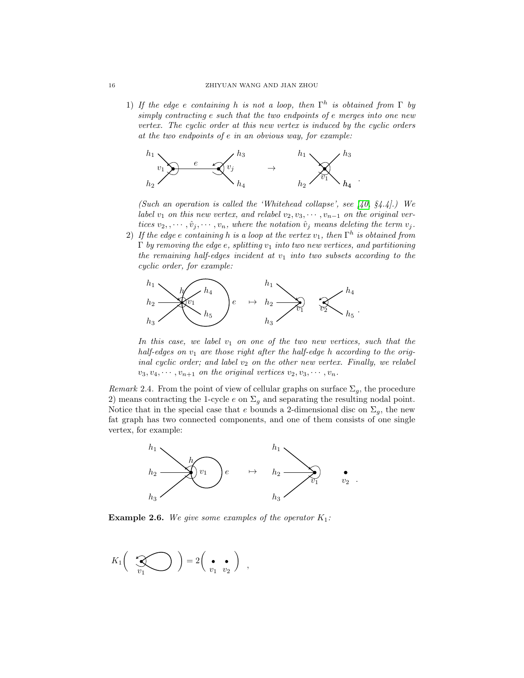1) If the edge e containing h is not a loop, then  $\Gamma^h$  is obtained from  $\Gamma$  by simply contracting e such that the two endpoints of e merges into one new vertex. The cyclic order at this new vertex is induced by the cyclic orders at the two endpoints of e in an obvious way, for example:



(Such an operation is called the 'Whitehead collapse', see  $(40, 84.4)$ .) We label  $v_1$  on this new vertex, and relabel  $v_2, v_3, \cdots, v_{n-1}$  on the original vertices  $v_2, \dots, \hat{v}_j, \dots, v_n$ , where the notation  $\hat{v}_j$  means deleting the term  $v_j$ .

2) If the edge  $e$  containing  $h$  is a loop at the vertex  $v_1,$  then  $\Gamma^h$  is obtained from  $\Gamma$  by removing the edge e, splitting  $v_1$  into two new vertices, and partitioning the remaining half-edges incident at  $v_1$  into two subsets according to the cyclic order, for example:



In this case, we label  $v_1$  on one of the two new vertices, such that the half-edges on  $v_1$  are those right after the half-edge h according to the original cyclic order; and label  $v_2$  on the other new vertex. Finally, we relabel  $v_3, v_4, \cdots, v_{n+1}$  on the original vertices  $v_2, v_3, \cdots, v_n$ .

Remark 2.4. From the point of view of cellular graphs on surface  $\Sigma_g$ , the procedure 2) means contracting the 1-cycle  $e$  on  $\Sigma_g$  and separating the resulting nodal point. Notice that in the special case that e bounds a 2-dimensional disc on  $\Sigma_g$ , the new fat graph has two connected components, and one of them consists of one single vertex, for example:



**Example 2.6.** We give some examples of the operator  $K_1$ :

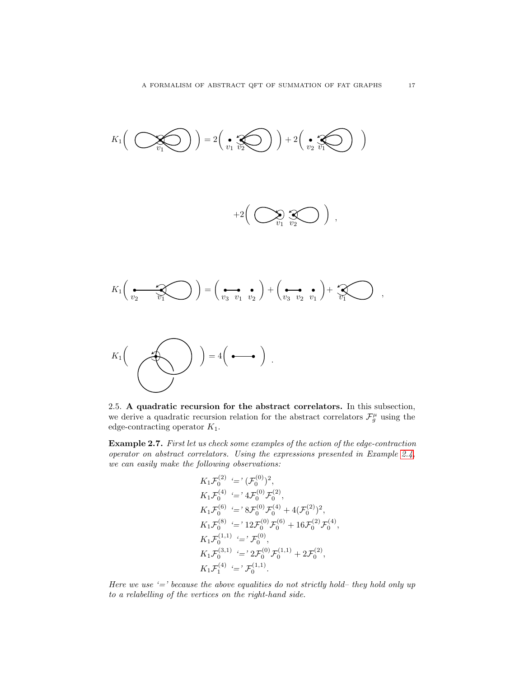

<span id="page-16-0"></span>2.5. A quadratic recursion for the abstract correlators. In this subsection, we derive a quadratic recursion relation for the abstract correlators  $\mathcal{F}^\mu_g$  using the edge-contracting operator  $K_1$ .

Example 2.7. First let us check some examples of the action of the edge-contraction operator on abstract correlators. Using the expressions presented in Example [2.4,](#page-11-1) we can easily make the following observations:

$$
K_1 \mathcal{F}_0^{(2)} \stackrel{(-)}{=} (\mathcal{F}_0^{(0)})^2,
$$
  
\n
$$
K_1 \mathcal{F}_0^{(4)} \stackrel{(-)}{=} 4 \mathcal{F}_0^{(0)} \mathcal{F}_0^{(2)},
$$
  
\n
$$
K_1 \mathcal{F}_0^{(6)} \stackrel{(-)}{=} 8 \mathcal{F}_0^{(0)} \mathcal{F}_0^{(4)} + 4(\mathcal{F}_0^{(2)})^2,
$$
  
\n
$$
K_1 \mathcal{F}_0^{(8)} \stackrel{(-)}{=} 12 \mathcal{F}_0^{(0)} \mathcal{F}_0^{(6)} + 16 \mathcal{F}_0^{(2)} \mathcal{F}_0^{(4)}
$$
  
\n
$$
K_1 \mathcal{F}_0^{(1,1)} \stackrel{(-)}{=} 2 \mathcal{F}_0^{(0)} \mathcal{F}_0^{(1,1)} + 2 \mathcal{F}_0^{(2)},
$$
  
\n
$$
K_1 \mathcal{F}_1^{(4)} \stackrel{(-)}{=} 7 \mathcal{F}_0^{(1,1)}.
$$

,

Here we use  $\epsilon$  '=' because the above equalities do not strictly hold– they hold only up to a relabelling of the vertices on the right-hand side.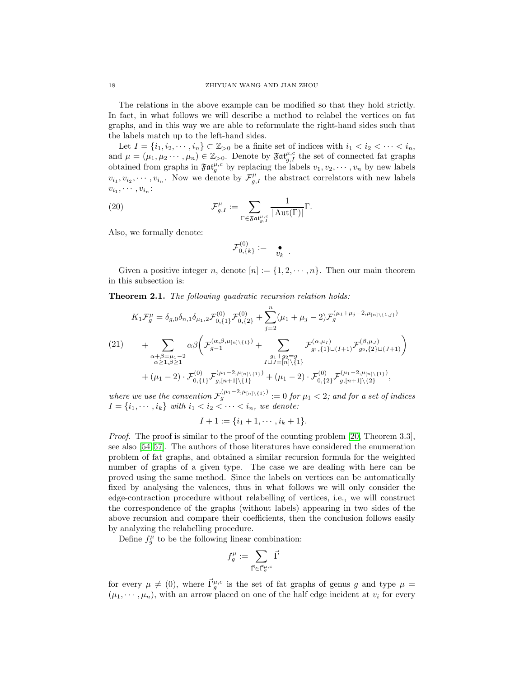The relations in the above example can be modified so that they hold strictly. In fact, in what follows we will describe a method to relabel the vertices on fat graphs, and in this way we are able to reformulate the right-hand sides such that the labels match up to the left-hand sides.

Let  $I = \{i_1, i_2, \dots, i_n\} \subset \mathbb{Z}_{>0}$  be a finite set of indices with  $i_1 < i_2 < \dots < i_n$ , and  $\mu = (\mu_1, \mu_2 \cdots, \mu_n) \in \mathbb{Z}_{>0}$ . Denote by  $\mathfrak{Fat}_{g,I}^{\mu,c}$  the set of connected fat graphs obtained from graphs in  $\mathfrak{Fat}^{\mu,c}_{g}$  by replacing the labels  $v_1, v_2, \dots, v_n$  by new labels  $v_{i_1}, v_{i_2}, \cdots, v_{i_n}$ . Now we denote by  $\mathcal{F}_{g,I}^{\mu}$  the abstract correlators with new labels  $v_{i_1}, \cdots, v_{i_n}$ :

(20) 
$$
\mathcal{F}_{g,I}^{\mu} := \sum_{\Gamma \in \mathfrak{Fat}_{g,I}^{\mu,c}} \frac{1}{|\operatorname{Aut}(\Gamma)|} \Gamma.
$$

Also, we formally denote:

$$
\mathcal{F}^{(0)}_{0,\{k\}}:=-\underset{\mathcal{V}_k}{\bullet}
$$

.

Given a positive integer n, denote  $[n] := \{1, 2, \dots, n\}$ . Then our main theorem in this subsection is:

<span id="page-17-0"></span>Theorem 2.1. The following quadratic recursion relation holds:

<span id="page-17-1"></span>
$$
K_{1}\mathcal{F}_{g}^{\mu} = \delta_{g,0}\delta_{n,1}\delta_{\mu_{1},2}\mathcal{F}_{0,\{1\}}^{(0)}\mathcal{F}_{0,\{2\}}^{(0)} + \sum_{j=2}^{n}(\mu_{1} + \mu_{j} - 2)\mathcal{F}_{g}^{(\mu_{1}+\mu_{j}-2,\mu_{[n]\backslash\{1,j\}})}
$$
\n
$$
(21)
$$
\n
$$
+ \sum_{\substack{\alpha+\beta=\mu_{1}-2 \\ \alpha \geq 1, \beta \geq 1}} \alpha\beta \left( \mathcal{F}_{g-1}^{(\alpha,\beta,\mu_{[n]\backslash\{1\}})} + \sum_{\substack{g_{1}+g_{2}=g \\ I\sqcup J=[n]\backslash\{1\}}} \mathcal{F}_{g_{1},\{1\}\sqcup(I+1)}^{(\alpha,\mu_{I})}\mathcal{F}_{g_{2},\{2\}\sqcup(J+1)}^{(\beta,\mu_{J})} \right)
$$
\n
$$
+ (\mu_{1}-2) \cdot \mathcal{F}_{0,\{1\}}^{(0)}\mathcal{F}_{g,[n+1]\backslash\{1\}}^{(\mu_{1}-2,\mu_{[n]\backslash\{1\}})} + (\mu_{1}-2) \cdot \mathcal{F}_{0,\{2\}}^{(0)}\mathcal{F}_{g,[n+1]\backslash\{2\}}^{(\mu_{1}-2,\mu_{[n]\backslash\{1\}})},
$$

where we use the convention  $\mathcal{F}_{g}^{(\mu_1 - 2, \mu_{[n] \setminus \{1\}})} := 0$  for  $\mu_1 < 2$ ; and for a set of indices  $I = \{i_1, \dots, i_k\}$  with  $i_1 < i_2 < \dots < i_n$ , we denote:

$$
I + 1 := \{i_1 + 1, \cdots, i_k + 1\}.
$$

Proof. The proof is similar to the proof of the counting problem [\[20,](#page-72-18) Theorem 3.3], see also [\[54,](#page-73-21) [57\]](#page-74-7). The authors of those literatures have considered the enumeration problem of fat graphs, and obtained a similar recursion formula for the weighted number of graphs of a given type. The case we are dealing with here can be proved using the same method. Since the labels on vertices can be automatically fixed by analysing the valences, thus in what follows we will only consider the edge-contraction procedure without relabelling of vertices, i.e., we will construct the correspondence of the graphs (without labels) appearing in two sides of the above recursion and compare their coefficients, then the conclusion follows easily by analyzing the relabelling procedure.

Define  $f_g^{\mu}$  to be the following linear combination:

$$
f_g^\mu:=\sum_{\vec{\Gamma}\in \vec{\Gamma}_g^{\mu,c}}\vec{\Gamma}
$$

for every  $\mu \neq (0)$ , where  $\vec{\Gamma}_g^{\mu,c}$  is the set of fat graphs of genus g and type  $\mu =$  $(\mu_1, \dots, \mu_n)$ , with an arrow placed on one of the half edge incident at  $v_i$  for every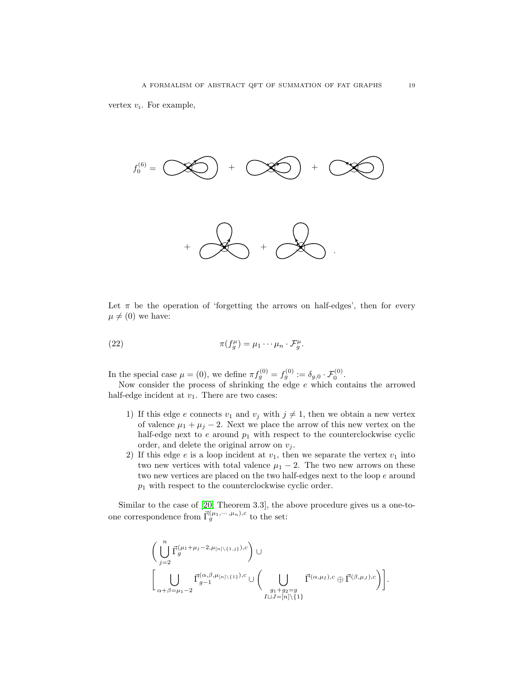

Let  $\pi$  be the operation of 'forgetting the arrows on half-edges', then for every  $\mu \neq (0)$  we have:

<span id="page-18-0"></span>(22) 
$$
\pi(f_g^{\mu}) = \mu_1 \cdots \mu_n \cdot \mathcal{F}_g^{\mu}.
$$

In the special case  $\mu = (0)$ , we define  $\pi f_g^{(0)} = f_g^{(0)} := \delta_{g,0} \cdot \mathcal{F}_0^{(0)}$ .

Now consider the process of shrinking the edge  $e$  which contains the arrowed half-edge incident at  $v_1$ . There are two cases:

- 1) If this edge e connects  $v_1$  and  $v_j$  with  $j \neq 1$ , then we obtain a new vertex of valence  $\mu_1 + \mu_j - 2$ . Next we place the arrow of this new vertex on the half-edge next to  $e$  around  $p_1$  with respect to the counterclockwise cyclic order, and delete the original arrow on  $v_j$ .
- 2) If this edge  $e$  is a loop incident at  $v_1$ , then we separate the vertex  $v_1$  into two new vertices with total valence  $\mu_1 - 2$ . The two new arrows on these two new vertices are placed on the two half-edges next to the loop  $e$  around  $p_1$  with respect to the counterclockwise cyclic order.

Similar to the case of [\[20,](#page-72-18) Theorem 3.3], the above procedure gives us a one-toone correspondence from  $\vec{\Gamma}_g^{(\mu_1,\cdots,\mu_n),c}$  to the set:

$$
\begin{aligned}&\bigg(\bigcup_{j=2}^n\vec{\Gamma}_g^{(\mu_1+\mu_j-2,\mu_{[n]\backslash\{1,j\}}),c}\bigg)\cup\\&\bigg[\bigcup_{\alpha+\beta=\mu_1-2}\vec{\Gamma}_{g-1}^{(\alpha,\beta,\mu_{[n]\backslash\{1\}}),c}\cup\bigg(\bigcup_{\substack{g_1+g_2=g\\I\sqcup J=[n]\backslash\{1\}}}\vec{\Gamma}^{(\alpha,\mu_I),c}\oplus\vec{\Gamma}^{(\beta,\mu_J),c}\bigg)\bigg].\end{aligned}
$$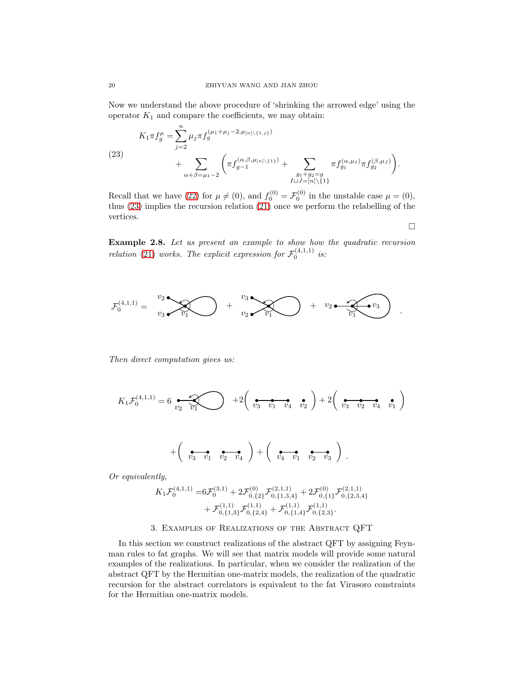Now we understand the above procedure of 'shrinking the arrowed edge' using the operator  $K_1$  and compare the coefficients, we may obtain:

<span id="page-19-1"></span>(23)  
\n
$$
K_{1}\pi f_{g}^{\mu} = \sum_{j=2}^{n} \mu_{j}\pi f_{g}^{(\mu_{1}+\mu_{j}-2,\mu_{[n]\backslash\{1,j\}})}
$$
\n
$$
+ \sum_{\alpha+\beta=\mu_{1}-2} \left( \pi f_{g-1}^{(\alpha,\beta,\mu_{[n]\backslash\{1\}})} + \sum_{\substack{g_{1}+g_{2}=g\\I\sqcup J=[n]\backslash\{1\}}} \pi f_{g_{1}}^{(\alpha,\mu_{I})} \pi f_{g_{2}}^{(\beta,\mu_{J})} \right).
$$

Recall that we have [\(22\)](#page-18-0) for  $\mu \neq (0)$ , and  $f_0^{(0)} = \mathcal{F}_0^{(0)}$  in the unstable case  $\mu = (0)$ , thus [\(23\)](#page-19-1) implies the recursion relation [\(21\)](#page-17-1) once we perform the relabelling of the vertices.

 $\Box$ 

Example 2.8. Let us present an example to show how the quadratic recursion relation [\(21\)](#page-17-1) works. The explicit expression for  $\mathcal{F}_0^{(4,1,1)}$  is:



Then direct computation gives us:

$$
K_1 \mathcal{F}_0^{(4,1,1)} = 6 \underbrace{\bullet}_{v_2} \underbrace{\bullet}_{v_1} \underbrace{\bullet}_{v_1} + 2 \left( \underbrace{\bullet}_{v_3} \underbrace{\bullet}_{v_1} \underbrace{\bullet}_{v_2} \right) + 2 \left( \underbrace{\bullet}_{v_3} \underbrace{\bullet}_{v_2} \underbrace{\bullet}_{v_4} \underbrace{\bullet}_{v_1} \right)
$$

$$
+\left(\begin{array}{cc}\n\bullet & \bullet & \bullet \\
v_3 & v_1 & v_2 & v_4\n\end{array}\right)+\left(\begin{array}{cc}\n\bullet & \bullet & \bullet \\
v_4 & v_1 & v_2 & v_3\n\end{array}\right).
$$

Or equivalently,

$$
K_1 \mathcal{F}_0^{(4,1,1)} = 6 \mathcal{F}_0^{(3,1)} + 2 \mathcal{F}_{0,\{2\}}^{(0)} \mathcal{F}_{0,\{1,3,4\}}^{(2,1,1)} + 2 \mathcal{F}_{0,\{1\}}^{(0)} \mathcal{F}_{0,\{2,3,4\}}^{(2,1,1)} + \mathcal{F}_{0,\{1,3\}}^{(1,1)} \mathcal{F}_{0,\{2,4\}}^{(1,1)} + \mathcal{F}_{0,\{1,4\}}^{(1,1)} \mathcal{F}_{0,\{2,3\}}^{(1,1)}.
$$

# 3. Examples of Realizations of the Abstract QFT

<span id="page-19-0"></span>In this section we construct realizations of the abstract QFT by assigning Feynman rules to fat graphs. We will see that matrix models will provide some natural examples of the realizations. In particular, when we consider the realization of the abstract QFT by the Hermitian one-matrix models, the realization of the quadratic recursion for the abstract correlators is equivalent to the fat Virasoro constraints for the Hermitian one-matrix models.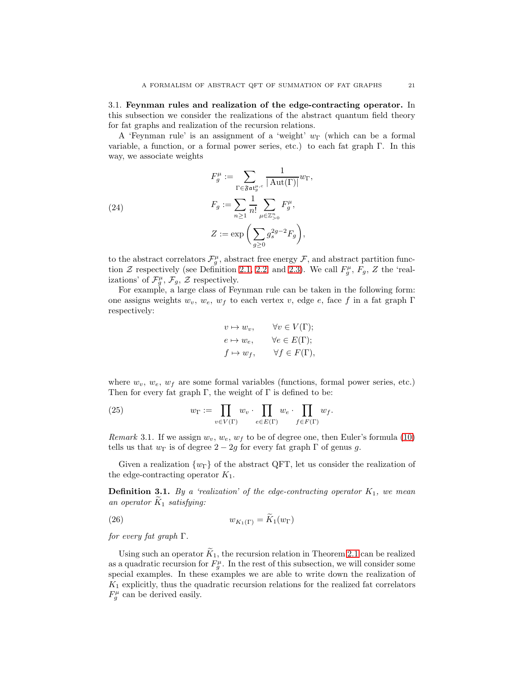<span id="page-20-0"></span>3.1. Feynman rules and realization of the edge-contracting operator. In this subsection we consider the realizations of the abstract quantum field theory for fat graphs and realization of the recursion relations.

A 'Feynman rule' is an assignment of a 'weight'  $w_{\Gamma}$  (which can be a formal variable, a function, or a formal power series, etc.) to each fat graph  $\Gamma$ . In this way, we associate weights

(24)  

$$
F_g' := \sum_{\Gamma \in \mathfrak{Fat}_g^{u,c}} \frac{1}{|\operatorname{Aut}(\Gamma)|} w_{\Gamma},
$$

$$
F_g := \sum_{n \ge 1} \frac{1}{n!} \sum_{\mu \in \mathbb{Z}_{>0}^n} F_g^{\mu},
$$

$$
Z := \exp\left(\sum_{g \ge 0} g_s^{2g-2} F_g\right),
$$

to the abstract correlators  $\mathcal{F}^\mu_g$ , abstract free energy  $\mathcal{F}$ , and abstract partition function  $Z$  respectively (see Definition [2.1,](#page-11-2) [2.2,](#page-13-1) and [2.3\)](#page-14-1). We call  $F_g^{\mu}$ ,  $F_g$ ,  $Z$  the 'realizations' of  $\mathcal{F}_{g}^{\mu}$ ,  $\mathcal{F}_{g}$ ,  $\mathcal{Z}$  respectively.

For example, a large class of Feynman rule can be taken in the following form: one assigns weights  $w_v$ ,  $w_e$ ,  $w_f$  to each vertex v, edge e, face f in a fat graph Γ respectively:

$$
v \mapsto w_v, \qquad \forall v \in V(\Gamma);
$$
  
\n
$$
e \mapsto w_e, \qquad \forall e \in E(\Gamma);
$$
  
\n
$$
f \mapsto w_f, \qquad \forall f \in F(\Gamma),
$$

where  $w_v$ ,  $w_e$ ,  $w_f$  are some formal variables (functions, formal power series, etc.) Then for every fat graph  $\Gamma$ , the weight of  $\Gamma$  is defined to be:

(25) 
$$
w_{\Gamma} := \prod_{v \in V(\Gamma)} w_v \cdot \prod_{e \in E(\Gamma)} w_e \cdot \prod_{f \in F(\Gamma)} w_f.
$$

Remark 3.1. If we assign  $w_v, w_e, w_f$  to be of degree one, then Euler's formula [\(10\)](#page-10-1) tells us that  $w_{\Gamma}$  is of degree  $2 - 2g$  for every fat graph  $\Gamma$  of genus g.

Given a realization  $\{w_{\Gamma}\}\$  of the abstract QFT, let us consider the realization of the edge-contracting operator  $K_1$ .

**Definition 3.1.** By a 'realization' of the edge-contracting operator  $K_1$ , we mean an operator  $\tilde{K}_1$  satisfying:

$$
(26) \t\t\t w_{K_1(\Gamma)} = \tilde{K}_1(w_{\Gamma})
$$

for every fat graph  $\Gamma$ .

Using such an operator  $\tilde{K}_1$ , the recursion relation in Theorem [2.1](#page-17-0) can be realized as a quadratic recursion for  $F_g^{\mu}$ . In the rest of this subsection, we will consider some special examples. In these examples we are able to write down the realization of  $K_1$  explicitly, thus the quadratic recursion relations for the realized fat correlators  $F_g^{\mu}$  can be derived easily.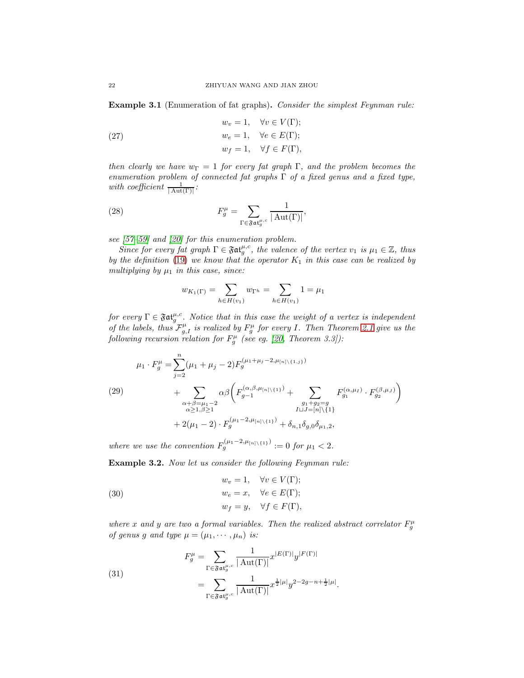<span id="page-21-2"></span>Example 3.1 (Enumeration of fat graphs). Consider the simplest Feynman rule:

(27) 
$$
w_v = 1, \quad \forall v \in V(\Gamma);
$$

$$
w_e = 1, \quad \forall e \in E(\Gamma);
$$

$$
w_f = 1, \quad \forall f \in F(\Gamma),
$$

then clearly we have  $w_{\Gamma} = 1$  for every fat graph  $\Gamma$ , and the problem becomes the enumeration problem of connected fat graphs  $\Gamma$  of a fixed genus and a fixed type, with coefficient  $\frac{1}{|\text{Aut}(\Gamma)|}$ :

(28) 
$$
F_g^{\mu} = \sum_{\Gamma \in \mathfrak{Fat}_g^{\mu,c}} \frac{1}{|\operatorname{Aut}(\Gamma)|},
$$

see [\[57](#page-74-7)[–59\]](#page-74-8) and [\[20\]](#page-72-18) for this enumeration problem.

Since for every fat graph  $\Gamma \in \mathfrak{Fat}^{\mu,c}_{g}$ , the valence of the vertex  $v_1$  is  $\mu_1 \in \mathbb{Z}$ , thus by the definition [\(19\)](#page-14-2) we know that the operator  $K_1$  in this case can be realized by multiplying by  $\mu_1$  in this case, since:

$$
w_{K_1(\Gamma)} = \sum_{h \in H(v_1)} w_{\Gamma^h} = \sum_{h \in H(v_1)} 1 = \mu_1
$$

for every  $\Gamma \in \mathfrak{Fat}^{\mu,c}_{g}$ . Notice that in this case the weight of a vertex is independent of the labels, thus  $\mathcal{F}_{g,I}^{\mu}$  is realized by  $F_g^{\mu}$  for every I. Then Theorem [2.1](#page-17-0) give us the following recursion relation for  $F_g^{\mu}$  (see eg. [\[20,](#page-72-18) Theorem 3.3]):

(29)  
\n
$$
\mu_1 \cdot F_g^{\mu} = \sum_{j=2}^n (\mu_1 + \mu_j - 2) F_g^{(\mu_1 + \mu_j - 2, \mu_{[n] \setminus \{1, j\}})}
$$
\n
$$
+ \sum_{\substack{\alpha + \beta = \mu_1 - 2 \\ \alpha \ge 1, \beta \ge 1}} \alpha \beta \left( F_{g-1}^{(\alpha, \beta, \mu_{[n] \setminus \{1\}})} + \sum_{\substack{g_1 + g_2 = g \\ I \sqcup J = [n] \setminus \{1\}}} F_{g_1}^{(\alpha, \mu_I)} \cdot F_{g_2}^{(\beta, \mu_J)} \right)
$$
\n
$$
+ 2(\mu_1 - 2) \cdot F_g^{(\mu_1 - 2, \mu_{[n] \setminus \{1\}})} + \delta_{n,1} \delta_{g,0} \delta_{\mu_1,2},
$$

where we use the convention  $F_g^{(\mu_1-2,\mu_{[n]}\setminus\{1\})} := 0$  for  $\mu_1 < 2$ .

<span id="page-21-3"></span>Example 3.2. Now let us consider the following Feynman rule:

<span id="page-21-0"></span>(30) 
$$
w_v = 1, \quad \forall v \in V(\Gamma);
$$

$$
w_e = x, \quad \forall e \in E(\Gamma);
$$

$$
w_f = y, \quad \forall f \in F(\Gamma),
$$

where x and y are two a formal variables. Then the realized abstract correlator  $F_g^{\mu}$ of genus g and type  $\mu = (\mu_1, \dots, \mu_n)$  is:

.

<span id="page-21-1"></span>(31)  

$$
F_g^{\mu} = \sum_{\Gamma \in \mathfrak{F} \mathfrak{at}_g^{\mu,c}} \frac{1}{|\operatorname{Aut}(\Gamma)|} x^{|E(\Gamma)|} y^{|F(\Gamma)|}
$$

$$
= \sum_{\Gamma \in \mathfrak{F} \mathfrak{at}_g^{\mu,c}} \frac{1}{|\operatorname{Aut}(\Gamma)|} x^{\frac{1}{2}|\mu|} y^{2-2g-n+\frac{1}{2}|\mu|}
$$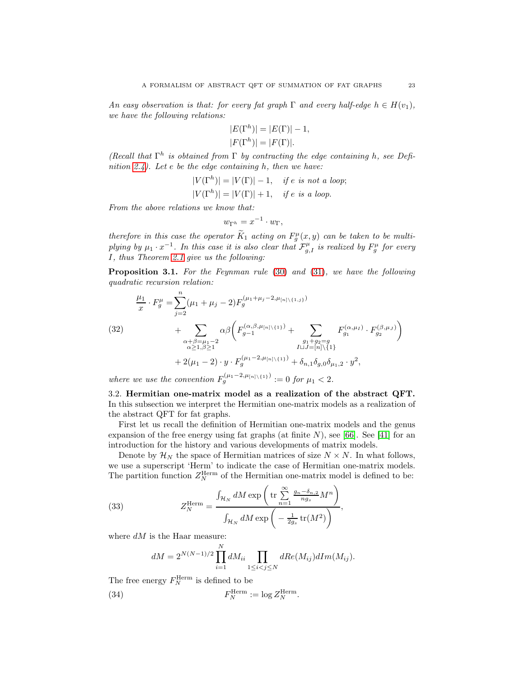An easy observation is that: for every fat graph  $\Gamma$  and every half-edge  $h \in H(v_1)$ , we have the following relations:

$$
|E(\Gamma^h)| = |E(\Gamma)| - 1,
$$
  

$$
|F(\Gamma^h)| = |F(\Gamma)|.
$$

(Recall that  $\Gamma^h$  is obtained from  $\Gamma$  by contracting the edge containing h, see Defi-nition [2.4\)](#page-14-3). Let  $e$  be the edge containing  $h$ , then we have:

$$
|V(\Gamma^h)| = |V(\Gamma)| - 1, \quad \text{if } e \text{ is not a loop};
$$
  

$$
|V(\Gamma^h)| = |V(\Gamma)| + 1, \quad \text{if } e \text{ is a loop}.
$$

From the above relations we know that:

$$
w_{\Gamma^h} = x^{-1} \cdot w_{\Gamma},
$$

therefore in this case the operator  $\tilde{K}_1$  acting on  $F_g^{\mu}(x, y)$  can be taken to be multiplying by  $\mu_1 \cdot x^{-1}$ . In this case it is also clear that  $\mathcal{F}_{g,I}^{\mu}$  is realized by  $F_g^{\mu}$  for every I, thus Theorem [2.1](#page-17-0) give us the following:

<span id="page-22-1"></span>Proposition 3.1. For the Feynman rule [\(30\)](#page-21-0) and [\(31\)](#page-21-1), we have the following quadratic recursion relation:

$$
\frac{\mu_1}{x} \cdot F_g^{\mu} = \sum_{j=2}^n (\mu_1 + \mu_j - 2) F_g^{(\mu_1 + \mu_j - 2, \mu_{[n] \setminus \{1,j\}})} \n+ \sum_{\substack{\alpha + \beta = \mu_1 - 2 \\ \alpha \ge 1, \beta \ge 1}} \alpha \beta \left( F_{g-1}^{(\alpha, \beta, \mu_{[n] \setminus \{1\}})} + \sum_{\substack{g_1 + g_2 = g \\ I \sqcup J = [n] \setminus \{1\} }} F_{g_1}^{(\alpha, \mu_I)} \cdot F_{g_2}^{(\beta, \mu_J)} \right) \n+ 2(\mu_1 - 2) \cdot y \cdot F_g^{(\mu_1 - 2, \mu_{[n] \setminus \{1\}})} + \delta_{n,1} \delta_{g,0} \delta_{\mu_1,2} \cdot y^2,
$$

<span id="page-22-0"></span>where we use the convention  $F_g^{(\mu_1-2,\mu_{[n]}\setminus\{1\})} := 0$  for  $\mu_1 < 2$ .

3.2. Hermitian one-matrix model as a realization of the abstract QFT. In this subsection we interpret the Hermitian one-matrix models as a realization of the abstract QFT for fat graphs.

First let us recall the definition of Hermitian one-matrix models and the genus expansion of the free energy using fat graphs (at finite  $N$ ), see [\[66\]](#page-74-9). See [\[41\]](#page-73-6) for an introduction for the history and various developments of matrix models.

Denote by  $\mathcal{H}_N$  the space of Hermitian matrices of size  $N \times N$ . In what follows, we use a superscript 'Herm' to indicate the case of Hermitian one-matrix models. The partition function  $Z_N^{\text{Herm}}$  of the Hermitian one-matrix model is defined to be:

(33) 
$$
Z_N^{\text{Herm}} = \frac{\int_{\mathcal{H}_N} dM \exp\left(\text{tr}\sum_{n=1}^{\infty} \frac{g_n - \delta_{n,2}}{ng_s} M^n\right)}{\int_{\mathcal{H}_N} dM \exp\left(-\frac{1}{2g_s} \text{tr}(M^2)\right)},
$$

where  $dM$  is the Haar measure:

$$
dM = 2^{N(N-1)/2} \prod_{i=1}^{N} dM_{ii} \prod_{1 \leq i < j \leq N} dRe(M_{ij}) dIm(M_{ij}).
$$

The free energy  $F_N^{\text{Herm}}$  is defined to be

(34) 
$$
F_N^{\text{Herm}} := \log Z_N^{\text{Herm}}.
$$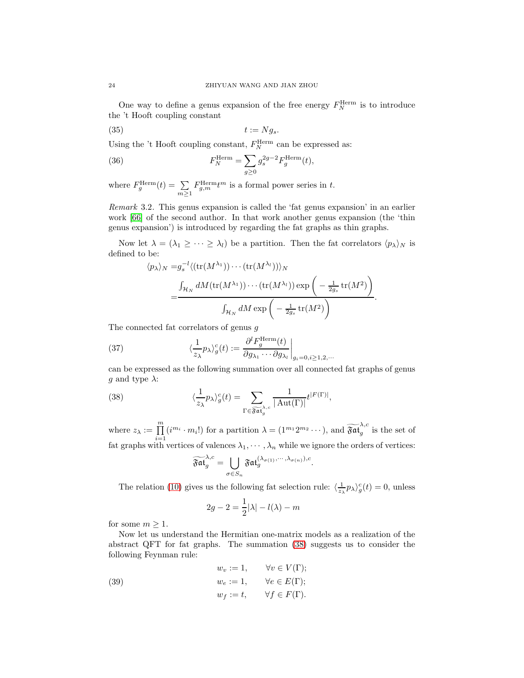One way to define a genus expansion of the free energy  $F_N^{\text{Herm}}$  is to introduce the 't Hooft coupling constant

$$
(35) \t t := Ng_s.
$$

Using the 't Hooft coupling constant,  $F_N^{\text{Herm}}$  can be expressed as:

(36) 
$$
F_N^{\text{Herm}} = \sum_{g \ge 0} g_s^{2g-2} F_g^{\text{Herm}}(t),
$$

where  $F_g^{\text{Herm}}(t) = \sum$  $m \geq 1$  $F_{g,m}^{\text{Herm}}t^m$  is a formal power series in t.

Remark 3.2. This genus expansion is called the 'fat genus expansion' in an earlier work [\[66\]](#page-74-9) of the second author. In that work another genus expansion (the 'thin genus expansion') is introduced by regarding the fat graphs as thin graphs.

Now let  $\lambda = (\lambda_1 \geq \cdots \geq \lambda_l)$  be a partition. Then the fat correlators  $\langle p_{\lambda} \rangle_N$  is defined to be:

$$
\langle p_{\lambda} \rangle_{N} = g_{s}^{-l} \langle (\text{tr}(M^{\lambda_{1}})) \cdots (\text{tr}(M^{\lambda_{l}})) \rangle_{N}
$$
  
= 
$$
\frac{\int_{\mathcal{H}_{N}} dM(\text{tr}(M^{\lambda_{1}})) \cdots (\text{tr}(M^{\lambda_{l}})) \exp\left(-\frac{1}{2g_{s}} \text{tr}(M^{2})\right)}{\int_{\mathcal{H}_{N}} dM \exp\left(-\frac{1}{2g_{s}} \text{tr}(M^{2})\right)}.
$$

The connected fat correlators of genus g

<span id="page-23-1"></span>(37) 
$$
\langle \frac{1}{z_{\lambda}} p_{\lambda} \rangle_{g}^{c}(t) := \frac{\partial^{l} F_{g}^{\text{Herm}}(t)}{\partial g_{\lambda_{1}} \cdots \partial g_{\lambda_{l}}} \bigg|_{g_{i}=0, i \ge 1, 2, \cdots}
$$

can be expressed as the following summation over all connected fat graphs of genus g and type  $\lambda$ :

(38) 
$$
\langle \frac{1}{z_{\lambda}} p_{\lambda} \rangle_{g}^{c}(t) = \sum_{\Gamma \in \widetilde{\mathfrak{F}at}_{g}^{\lambda,c}} \frac{1}{|\operatorname{Aut}(\Gamma)|} t^{|F(\Gamma)|},
$$

where  $z_{\lambda} := \prod_{i=1}^{m} (i^{m_i} \cdot m_i!)$  for a partition  $\lambda = (1^{m_1} 2^{m_2} \cdots)$ , and  $\widetilde{\mathfrak{Fat}}_g^{\lambda, c}$ fat graphs with vertices of valences  $\lambda_1, \dots, \lambda_n$  while we ignore the orders of vertices:  $g$  is the set of

<span id="page-23-0"></span>
$$
\widetilde{\mathfrak{Fat}}_g^{\lambda,c}=\bigcup_{\sigma\in S_n}\mathfrak{Fat}_g^{(\lambda_{\sigma(1)},\cdots,\lambda_{\sigma(n)}),c}.
$$

The relation [\(10\)](#page-10-1) gives us the following fat selection rule:  $\langle \frac{1}{z_{\lambda}} p_{\lambda} \rangle_{g}^{c}(t) = 0$ , unless

$$
2g - 2 = \frac{1}{2}|\lambda| - l(\lambda) - m
$$

for some  $m\geq 1.$ 

Now let us understand the Hermitian one-matrix models as a realization of the abstract QFT for fat graphs. The summation [\(38\)](#page-23-0) suggests us to consider the following Feynman rule:

<span id="page-23-2"></span>(39) 
$$
w_v := 1, \qquad \forall v \in V(\Gamma);
$$

$$
w_e := 1, \qquad \forall e \in E(\Gamma);
$$

$$
w_f := t, \qquad \forall f \in F(\Gamma).
$$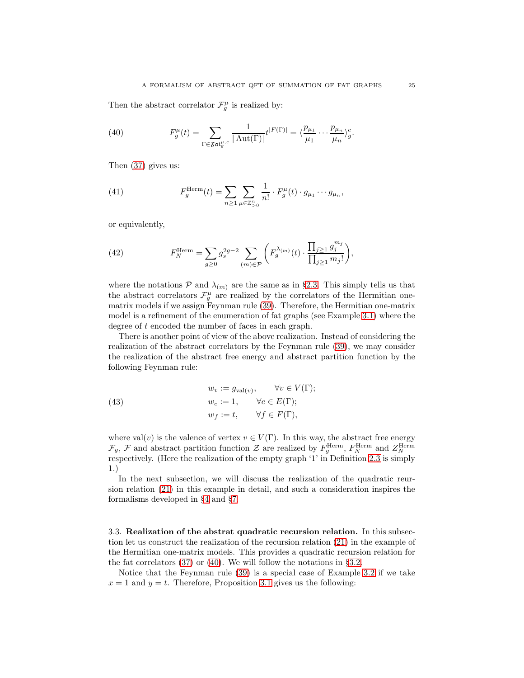Then the abstract correlator  $\mathcal{F}^\mu_g$  is realized by:

<span id="page-24-1"></span>(40) 
$$
F_g^{\mu}(t) = \sum_{\Gamma \in \mathfrak{Fat}_g^{\mu,c}} \frac{1}{|\operatorname{Aut}(\Gamma)|} t^{|F(\Gamma)|} = \langle \frac{p_{\mu_1}}{\mu_1} \cdots \frac{p_{\mu_n}}{\mu_n} \rangle_g^c.
$$

Then [\(37\)](#page-23-1) gives us:

(41) 
$$
F_g^{\text{Herm}}(t) = \sum_{n \ge 1} \sum_{\mu \in \mathbb{Z}_{>0}^n} \frac{1}{n!} \cdot F_g^{\mu}(t) \cdot g_{\mu_1} \cdots g_{\mu_n},
$$

or equivalently,

(42) 
$$
F_N^{\text{Herm}} = \sum_{g \ge 0} g_s^{2g-2} \sum_{(m) \in \mathcal{P}} \left( F_g^{\lambda_{(m)}}(t) \cdot \frac{\prod_{j \ge 1} g_j^{m_j}}{\prod_{j \ge 1} m_j!} \right),
$$

where the notations  $P$  and  $\lambda_{(m)}$  are the same as in §[2.3.](#page-13-0) This simply tells us that the abstract correlators  $\mathcal{F}^{\mu}_{g}$  are realized by the correlators of the Hermitian onematrix models if we assign Feynman rule [\(39\)](#page-23-2). Therefore, the Hermitian one-matrix model is a refinement of the enumeration of fat graphs (see Example [3.1\)](#page-21-2) where the degree of t encoded the number of faces in each graph.

There is another point of view of the above realization. Instead of considering the realization of the abstract correlators by the Feynman rule [\(39\)](#page-23-2), we may consider the realization of the abstract free energy and abstract partition function by the following Feynman rule:

(43) 
$$
w_v := g_{val(v)}, \qquad \forall v \in V(\Gamma);
$$

$$
w_e := 1, \qquad \forall e \in E(\Gamma);
$$

$$
w_f := t, \qquad \forall f \in F(\Gamma),
$$

where val $(v)$  is the valence of vertex  $v \in V(\Gamma)$ . In this way, the abstract free energy  $\mathcal{F}_g$ ,  $\mathcal{F}$  and abstract partition function  $\mathcal{Z}$  are realized by  $F_g^{\text{Herm}}$ ,  $F_N^{\text{Herm}}$  and  $Z_N^{\text{Herm}}$  respectively. (Here the realization of the empty graph '1' in Definition [2.3](#page-14-1) is simply 1.)

In the next subsection, we will discuss the realization of the quadratic reursion relation [\(21\)](#page-17-1) in this example in detail, and such a consideration inspires the formalisms developed in §[4](#page-29-0) and §[7.](#page-52-0)

<span id="page-24-0"></span>3.3. Realization of the abstrat quadratic recursion relation. In this subsection let us construct the realization of the recursion relation [\(21\)](#page-17-1) in the example of the Hermitian one-matrix models. This provides a quadratic recursion relation for the fat correlators [\(37\)](#page-23-1) or [\(40\)](#page-24-1). We will follow the notations in  $\S 3.2$ .

Notice that the Feynman rule [\(39\)](#page-23-2) is a special case of Example [3.2](#page-21-3) if we take  $x = 1$  and  $y = t$ . Therefore, Proposition [3.1](#page-22-1) gives us the following: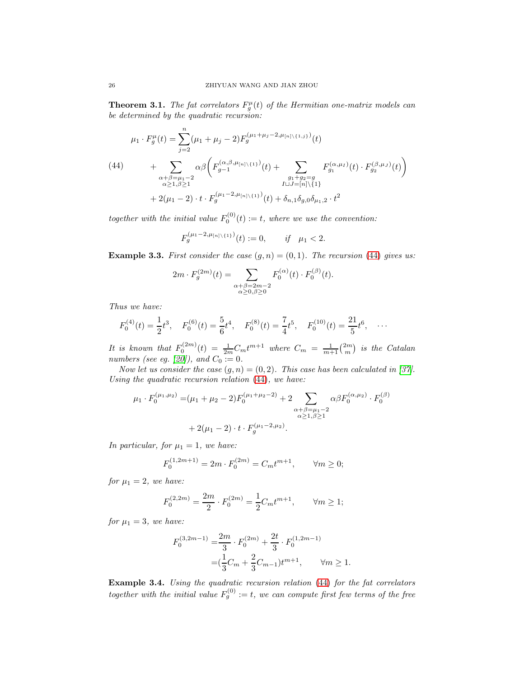**Theorem 3.1.** The fat correlators  $F_g^{\mu}(t)$  of the Hermitian one-matrix models can be determined by the quadratic recursion:

<span id="page-25-0"></span>
$$
\mu_1 \cdot F_g^{\mu}(t) = \sum_{j=2}^n (\mu_1 + \mu_j - 2) F_g^{(\mu_1 + \mu_j - 2, \mu_{[n] \setminus \{1,j\}})}(t)
$$
\n
$$
(44) \qquad + \sum_{\substack{\alpha + \beta = \mu_1 - 2 \\ \alpha \ge 1, \beta \ge 1}} \alpha \beta \left( F_{g-1}^{(\alpha, \beta, \mu_{[n] \setminus \{1\}})}(t) + \sum_{\substack{g_1 + g_2 = g \\ I \sqcup J = [n] \setminus \{1\}}} F_{g_1}^{(\alpha, \mu_I)}(t) \cdot F_{g_2}^{(\beta, \mu_J)}(t) \right)
$$
\n
$$
+ 2(\mu_1 - 2) \cdot t \cdot F_g^{(\mu_1 - 2, \mu_{[n] \setminus \{1\}})}(t) + \delta_{n,1} \delta_{g,0} \delta_{\mu_1,2} \cdot t^2
$$

together with the initial value  $F_0^{(0)}(t) := t$ , where we use the convention:

$$
F_g^{(\mu_1 - 2, \mu_{[n] \setminus \{1\}})}(t) := 0, \quad if \quad \mu_1 < 2.
$$

**Example 3.3.** First consider the case  $(g, n) = (0, 1)$ . The recursion [\(44\)](#page-25-0) gives us:

$$
2m \cdot F_g^{(2m)}(t) = \sum_{\substack{\alpha+\beta=2m-2\\ \alpha \ge 0, \beta \ge 0}} F_0^{(\alpha)}(t) \cdot F_0^{(\beta)}(t).
$$

Thus we have:

$$
F_0^{(4)}(t) = \frac{1}{2}t^3, \quad F_0^{(6)}(t) = \frac{5}{6}t^4, \quad F_0^{(8)}(t) = \frac{7}{4}t^5, \quad F_0^{(10)}(t) = \frac{21}{5}t^6, \quad \cdots
$$

It is known that  $F_0^{(2m)}(t) = \frac{1}{2m}C_mt^{m+1}$  where  $C_m = \frac{1}{m+1} {2m \choose m}$  is the Catalan numbers (see eg. [\[20\]](#page-72-18)), and  $C_0 := 0$ .

Now let us consider the case  $(g, n) = (0, 2)$ . This case has been calculated in [\[37\]](#page-73-22). Using the quadratic recursion relation [\(44\)](#page-25-0), we have:

$$
\mu_1 \cdot F_0^{(\mu_1, \mu_2)} = (\mu_1 + \mu_2 - 2) F_0^{(\mu_1 + \mu_2 - 2)} + 2 \sum_{\substack{\alpha + \beta = \mu_1 - 2 \\ \alpha \ge 1, \beta \ge 1}} \alpha \beta F_0^{(\alpha, \mu_2)} \cdot F_0^{(\beta)}
$$

$$
+ 2(\mu_1 - 2) \cdot t \cdot F_g^{(\mu_1 - 2, \mu_2)}.
$$

In particular, for  $\mu_1 = 1$ , we have:

$$
F_0^{(1,2m+1)} = 2m \cdot F_0^{(2m)} = C_m t^{m+1}, \qquad \forall m \ge 0;
$$

for  $\mu_1 = 2$ , we have:

$$
F_0^{(2,2m)} = \frac{2m}{2}\cdot F_0^{(2m)} = \frac{1}{2}C_m t^{m+1}, \qquad \forall m\geq 1;
$$

for  $\mu_1 = 3$ , we have:

$$
F_0^{(3,2m-1)} = \frac{2m}{3} \cdot F_0^{(2m)} + \frac{2t}{3} \cdot F_0^{(1,2m-1)}
$$
  
=  $(\frac{1}{3}C_m + \frac{2}{3}C_{m-1})t^{m+1}$ ,  $\forall m \ge 1$ .

Example 3.4. Using the quadratic recursion relation [\(44\)](#page-25-0) for the fat correlators together with the initial value  $F_g^{(0)} := t$ , we can compute first few terms of the free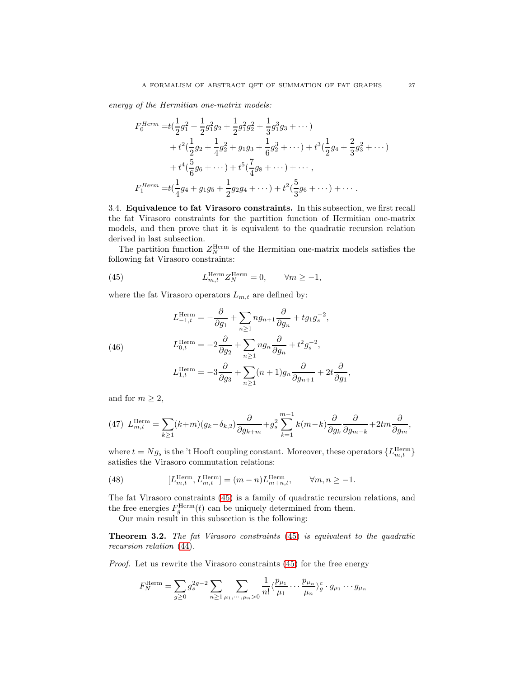energy of the Hermitian one-matrix models:

$$
F_0^{Herm} = t\left(\frac{1}{2}g_1^2 + \frac{1}{2}g_1^2g_2 + \frac{1}{2}g_1^2g_2^2 + \frac{1}{3}g_1^3g_3 + \cdots\right) + t^2\left(\frac{1}{2}g_2 + \frac{1}{4}g_2^2 + g_1g_3 + \frac{1}{6}g_2^3 + \cdots\right) + t^3\left(\frac{1}{2}g_4 + \frac{2}{3}g_3^2 + \cdots\right) + t^4\left(\frac{5}{6}g_6 + \cdots\right) + t^5\left(\frac{7}{4}g_8 + \cdots\right) + \cdots ,
$$
  

$$
F_1^{Herm} = t\left(\frac{1}{4}g_4 + g_1g_5 + \frac{1}{2}g_2g_4 + \cdots\right) + t^2\left(\frac{5}{3}g_6 + \cdots\right) + \cdots .
$$

<span id="page-26-0"></span>3.4. Equivalence to fat Virasoro constraints. In this subsection, we first recall the fat Virasoro constraints for the partition function of Hermitian one-matrix models, and then prove that it is equivalent to the quadratic recursion relation derived in last subsection.

The partition function  $Z_N^{\text{Herm}}$  of the Hermitian one-matrix models satisfies the following fat Virasoro constraints:

<span id="page-26-3"></span>(45) 
$$
L_{m,t}^{\text{Herm}} Z_N^{\text{Herm}} = 0, \qquad \forall m \ge -1,
$$

where the fat Virasoro operators  $L_{m,t}$  are defined by:

<span id="page-26-1"></span>(46)  
\n
$$
L_{-1,t}^{\text{Herm}} = -\frac{\partial}{\partial g_1} + \sum_{n\geq 1} n g_{n+1} \frac{\partial}{\partial g_n} + t g_1 g_s^{-2},
$$
\n
$$
L_{0,t}^{\text{Herm}} = -2 \frac{\partial}{\partial g_2} + \sum_{n\geq 1} n g_n \frac{\partial}{\partial g_n} + t^2 g_s^{-2},
$$
\n
$$
L_{1,t}^{\text{Herm}} = -3 \frac{\partial}{\partial g_3} + \sum_{n\geq 1} (n+1) g_n \frac{\partial}{\partial g_{n+1}} + 2t \frac{\partial}{\partial g_1},
$$

and for  $m \geq 2$ ,

<span id="page-26-2"></span>(47) 
$$
L_{m,t}^{\text{Herm}} = \sum_{k\geq 1} (k+m)(g_k - \delta_{k,2}) \frac{\partial}{\partial g_{k+m}} + g_s^2 \sum_{k=1}^{m-1} k(m-k) \frac{\partial}{\partial g_k} \frac{\partial}{\partial g_{m-k}} + 2tm \frac{\partial}{\partial g_m},
$$

where  $t = Ng_s$  is the 't Hooft coupling constant. Moreover, these operators  $\{L_{m,t}^{\text{Herm}}\}$ satisfies the Virasoro commutation relations:

(48) 
$$
[L_{m,t}^{\text{Herm}}, L_{m,t}^{\text{Herm}}] = (m-n)L_{m+n,t}^{\text{Herm}}, \qquad \forall m, n \ge -1.
$$

The fat Virasoro constraints [\(45\)](#page-26-3) is a family of quadratic recursion relations, and the free energies  $F_g^{\text{Herm}}(t)$  can be uniquely determined from them.

Our main result in this subsection is the following:

Theorem 3.2. The fat Virasoro constraints [\(45\)](#page-26-3) is equivalent to the quadratic recursion relation [\(44\)](#page-25-0).

Proof. Let us rewrite the Virasoro constraints [\(45\)](#page-26-3) for the free energy

$$
F_N^{\text{Herm}} = \sum_{g \ge 0} g_s^{2g-2} \sum_{n \ge 1} \sum_{\mu_1, \cdots, \mu_n > 0} \frac{1}{n!} \langle \frac{p_{\mu_1}}{\mu_1} \cdots \frac{p_{\mu_n}}{\mu_n} \rangle_g^c \cdot g_{\mu_1} \cdots g_{\mu_n}
$$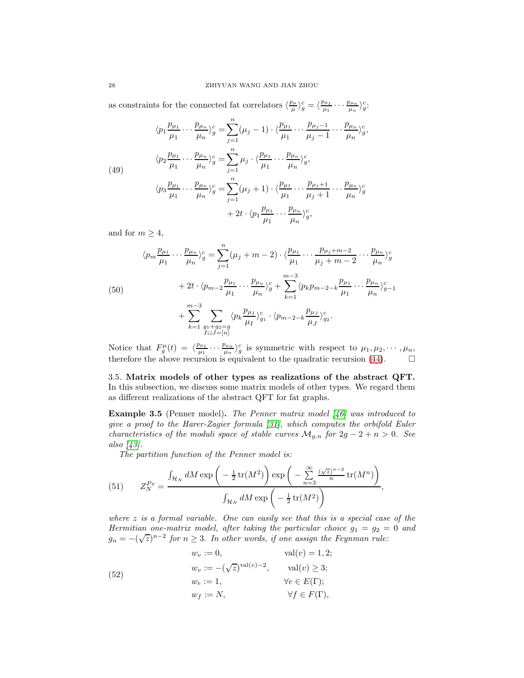as constraints for the connected fat correlators  $\langle \frac{p_\mu}{\mu}$  $\frac{\partial \mu}{\mu}$ <sub>/2</sub> $\frac{\partial}{\mu}$  =  $\langle \frac{p_{\mu_1}}{\mu_1} \cdots \frac{p_{\mu_n}}{\mu_n} \rangle_g^c$ :

<span id="page-27-1"></span>(49)  

$$
\langle p_1 \frac{p_{\mu_1}}{\mu_1} \cdots \frac{p_{\mu_n}}{\mu_n} \rangle_g^c = \sum_{j=1}^n (\mu_j - 1) \cdot \langle \frac{p_{\mu_1}}{\mu_1} \cdots \frac{p_{\mu_j - 1}}{\mu_j - 1} \cdots \frac{p_{\mu_n}}{\mu_n} \rangle_g^c,
$$
  

$$
\langle p_2 \frac{p_{\mu_1}}{\mu_1} \cdots \frac{p_{\mu_n}}{\mu_n} \rangle_g^c = \sum_{j=1}^n \mu_j \cdot \langle \frac{p_{\mu_1}}{\mu_1} \cdots \frac{p_{\mu_n}}{\mu_n} \rangle_g^c,
$$
  

$$
\langle p_3 \frac{p_{\mu_1}}{\mu_1} \cdots \frac{p_{\mu_n}}{\mu_n} \rangle_g^c = \sum_{j=1}^n (\mu_j + 1) \cdot \langle \frac{p_{\mu_1}}{\mu_1} \cdots \frac{p_{\mu_j + 1}}{\mu_j + 1} \cdots \frac{p_{\mu_n}}{\mu_n} \rangle_g^c,
$$
  

$$
+ 2t \cdot \langle p_1 \frac{p_{\mu_1}}{\mu_1} \cdots \frac{p_{\mu_n}}{\mu_n} \rangle_g^c,
$$

and for  $m \geq 4$ ,

<span id="page-27-2"></span>
$$
\langle p_m \frac{p_{\mu_1}}{\mu_1} \cdots \frac{p_{\mu_n}}{\mu_n} \rangle_g^c = \sum_{j=1}^n (\mu_j + m - 2) \cdot \langle \frac{p_{\mu_1}}{\mu_1} \cdots \frac{p_{\mu_j + m - 2}}{\mu_j + m - 2} \cdots \frac{p_{\mu_n}}{\mu_n} \rangle_g^c
$$
  
(50)  

$$
+ 2t \cdot \langle p_{m-2} \frac{p_{\mu_1}}{\mu_1} \cdots \frac{p_{\mu_n}}{\mu_n} \rangle_g^c + \sum_{k=1}^{m-3} \langle p_k p_{m-2-k} \frac{p_{\mu_1}}{\mu_1} \cdots \frac{p_{\mu_n}}{\mu_n} \rangle_{g-1}^c
$$
  

$$
+ \sum_{k=1}^{m-3} \sum_{\substack{g_1 + g_2 = g \\ I \sqcup J = [n]}} \langle p_k \frac{p_{\mu_1}}{\mu_I} \rangle_{g_1}^c \cdot \langle p_{m-2-k} \frac{p_{\mu_J}}{\mu_J} \rangle_{g_2}^c.
$$

Notice that  $F_g^{\mu}(t) = \langle \frac{p_{\mu_1}}{\mu_1} \cdots \frac{p_{\mu_n}}{\mu_n} \rangle_g^c$  is symmetric with respect to  $\mu_1, \mu_2, \cdots, \mu_n$ , therefore the above recursion is equivalent to the quadratic recursion [\(44\)](#page-25-0).  $\Box$ 

<span id="page-27-0"></span>3.5. Matrix models of other types as realizations of the abstract QFT. In this subsection, we discuss some matrix models of other types. We regard them as different realizations of the abstract QFT for fat graphs.

**Example 3.5** (Penner model). The Penner matrix model  $\begin{bmatrix} 46 \end{bmatrix}$  was introduced to give a proof to the Harer-Zagier formula [\[31\]](#page-73-11), which computes the orbifold Euler characteristics of the moduli space of stable curves  $\mathcal{M}_{g,n}$  for  $2g - 2 + n > 0$ . See also [\[43\]](#page-73-23).

The partition function of the Penner model is:

(51) 
$$
Z_N^{Pe} = \frac{\int_{\mathcal{H}_N} dM \exp\left(-\frac{1}{2}\operatorname{tr}(M^2)\right) \exp\left(-\sum_{n=3}^{\infty} \frac{(\sqrt{z})^{n-2}}{n} \operatorname{tr}(M^n)\right)}{\int_{\mathcal{H}_N} dM \exp\left(-\frac{1}{2}\operatorname{tr}(M^2)\right)},
$$

where z is a formal variable. One can easily see that this is a special case of the Hermitian one-matrix model, after taking the particular choice  $g_1 = g_2 = 0$  and  $g_n = -(\sqrt{z})^{n-2}$  for  $n \geq 3$ . In other words, if one assign the Feynman rule:

 $w_v := 0,$  val $(v) = 1, 2;$  $w_v := -(\sqrt{z})^{\text{val}(v)-2}, \quad \text{val}(v) \geq 3;$  $w_e := 1, \qquad \qquad \forall e \in E(\Gamma);$  $w_f := N, \qquad \forall f \in F(\Gamma),$ (52)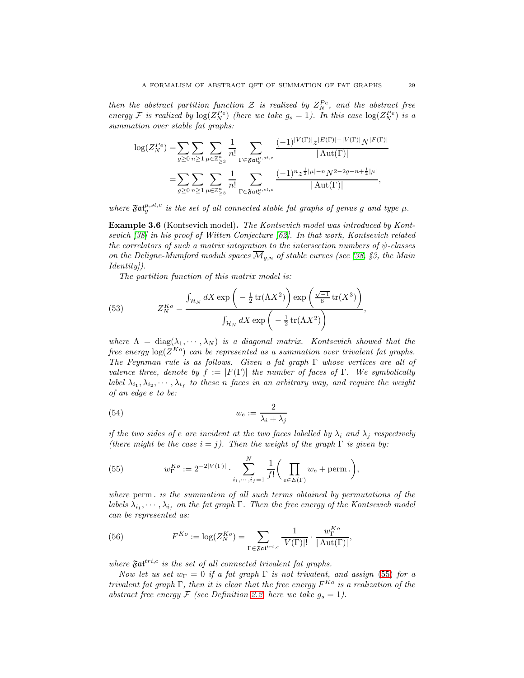then the abstract partition function  $\mathcal Z$  is realized by  $Z_N^{Pe}$ , and the abstract free energy F is realized by  $log(Z_N^{Pe})$  (here we take  $g_s = 1$ ). In this case  $log(Z_N^{Pe})$  is a summation over stable fat graphs:

$$
\log(Z_N^{Pe}) = \sum_{g \ge 0} \sum_{n \ge 1} \sum_{\mu \in \mathbb{Z}_{\ge 3}^n} \frac{1}{n!} \sum_{\Gamma \in \mathfrak{Fat}_g^{\mu, st,c}} \frac{(-1)^{|V(\Gamma)|} |z^{|E(\Gamma)| - |V(\Gamma)|} N^{|F(\Gamma)|}}{|\operatorname{Aut}(\Gamma)|}
$$
  
= 
$$
\sum_{g \ge 0} \sum_{n \ge 1} \sum_{\mu \in \mathbb{Z}_{\ge 3}^n} \frac{1}{n!} \sum_{\Gamma \in \mathfrak{Fat}_g^{\mu, st,c}} \frac{(-1)^n z^{\frac{1}{2}|\mu| - n} N^{2 - 2g - n + \frac{1}{2}|\mu|}}{|\operatorname{Aut}(\Gamma)|},
$$

where  $\mathfrak{Fat}_g^{\mu,st,c}$  is the set of all connected stable fat graphs of genus g and type  $\mu$ .

Example 3.6 (Kontsevich model). The Kontsevich model was introduced by Kontsevich [\[38\]](#page-73-13) in his proof of Witten Conjecture [\[62\]](#page-74-1). In that work, Kontsevich related the correlators of such a matrix integration to the intersection numbers of  $\psi$ -classes on the Deligne-Mumford moduli spaces  $\overline{\mathcal{M}}_{q,n}$  of stable curves (see [\[38,](#page-73-13) §3, the Main Identity]).

The partition function of this matrix model is:

(53) 
$$
Z_N^{Ko} = \frac{\int_{\mathcal{H}_N} dX \exp\left(-\frac{1}{2} \text{tr}(\Lambda X^2)\right) \exp\left(\frac{\sqrt{-1}}{6} \text{tr}(X^3)\right)}{\int_{\mathcal{H}_N} dX \exp\left(-\frac{1}{2} \text{tr}(\Lambda X^2)\right)},
$$

where  $\Lambda = \text{diag}(\lambda_1, \dots, \lambda_N)$  is a diagonal matrix. Kontsevich showed that the free energy  $\log(Z^{Ko})$  can be represented as a summation over trivalent fat graphs. The Feynman rule is as follows. Given a fat graph Γ whose vertices are all of valence three, denote by  $f := |F(\Gamma)|$  the number of faces of  $\Gamma$ . We symbolically label  $\lambda_{i_1}, \lambda_{i_2}, \cdots, \lambda_{i_f}$  to these n faces in an arbitrary way, and require the weight of an edge e to be:

(54) 
$$
w_e := \frac{2}{\lambda_i + \lambda_j}
$$

if the two sides of e are incident at the two faces labelled by  $\lambda_i$  and  $\lambda_j$  respectively (there might be the case  $i = j$ ). Then the weight of the graph  $\Gamma$  is given by:

<span id="page-28-0"></span>(55) 
$$
w_{\Gamma}^{Ko} := 2^{-2|V(\Gamma)|} \cdot \sum_{i_1, \cdots, i_f=1}^{N} \frac{1}{f!} \bigg( \prod_{e \in E(\Gamma)} w_e + \text{perm.} \bigg),
$$

where perm . is the summation of all such terms obtained by permutations of the labels  $\lambda_{i_1}, \cdots, \lambda_{i_f}$  on the fat graph  $\Gamma$ . Then the free energy of the Kontsevich model can be represented as:

(56) 
$$
F^{Ko} := \log(Z_N^{Ko}) = \sum_{\Gamma \in \mathfrak{Fat}^{tri,c}} \frac{1}{|V(\Gamma)|!} \cdot \frac{w_{\Gamma}^{Ko}}{|\operatorname{Aut}(\Gamma)|},
$$

where  $\mathfrak{Fat}^{tri,c}$  is the set of all connected trivalent fat graphs.

Now let us set  $w_{\Gamma} = 0$  if a fat graph  $\Gamma$  is not trivalent, and assign [\(55\)](#page-28-0) for a trivalent fat graph  $\Gamma$ , then it is clear that the free energy  $F^{K\circ}$  is a realization of the abstract free energy  $\mathcal F$  (see Definition [2.2,](#page-13-1) here we take  $g_s = 1$ ).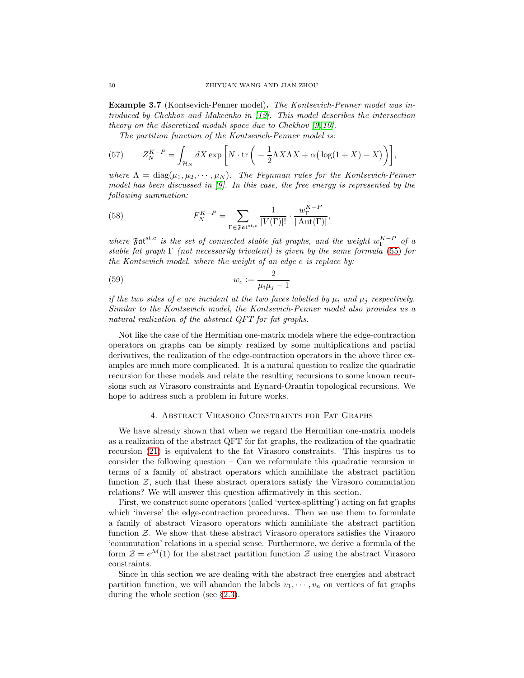Example 3.7 (Kontsevich-Penner model). The Kontsevich-Penner model was introduced by Chekhov and Makeenko in [\[12\]](#page-72-19). This model describes the intersection theory on the discretized moduli space due to Chekhov [\[9,](#page-72-20) [10\]](#page-72-21).

The partition function of the Kontsevich-Penner model is:

(57) 
$$
Z_N^{K-P} = \int_{\mathcal{H}_N} dX \exp\left[N \cdot \text{tr}\left(-\frac{1}{2}\Lambda X \Lambda X + \alpha\left(\log(1+X) - X\right)\right)\right],
$$

where  $\Lambda = \text{diag}(\mu_1, \mu_2, \cdots, \mu_N)$ . The Feynman rules for the Kontsevich-Penner model has been discussed in  $[9]$ . In this case, the free energy is represented by the following summation:

(58) 
$$
F_N^{K-P} = \sum_{\Gamma \in \mathfrak{Fat}^{st,c}} \frac{1}{|V(\Gamma)|!} \cdot \frac{w_{\Gamma}^{K-P}}{|\mathrm{Aut}(\Gamma)|},
$$

where  $\mathfrak{Fat}^{st,c}$  is the set of connected stable fat graphs, and the weight  $w_{\Gamma}^{K-P}$  of a stable fat graph  $\Gamma$  (not necessarily trivalent) is given by the same formula [\(55\)](#page-28-0) for the Kontsevich model, where the weight of an edge e is replace by:

$$
(59) \t\t w_e := \frac{2}{\mu_i \mu_j - 1}
$$

if the two sides of e are incident at the two faces labelled by  $\mu_i$  and  $\mu_j$  respectively. Similar to the Kontsevich model, the Kontsevich-Penner model also provides us a natural realization of the abstract QFT for fat graphs.

Not like the case of the Hermitian one-matrix models where the edge-contraction operators on graphs can be simply realized by some multiplications and partial derivatives, the realization of the edge-contraction operators in the above three examples are much more complicated. It is a natural question to realize the quadratic recursion for these models and relate the resulting recursions to some known recursions such as Virasoro constraints and Eynard-Orantin topological recursions. We hope to address such a problem in future works.

#### 4. Abstract Virasoro Constraints for Fat Graphs

<span id="page-29-0"></span>We have already shown that when we regard the Hermitian one-matrix models as a realization of the abstract QFT for fat graphs, the realization of the quadratic recursion [\(21\)](#page-17-1) is equivalent to the fat Virasoro constraints. This inspires us to consider the following question – Can we reformulate this quadratic recursion in terms of a family of abstract operators which annihilate the abstract partition function  $Z$ , such that these abstract operators satisfy the Virasoro commutation relations? We will answer this question affirmatively in this section.

First, we construct some operators (called 'vertex-splitting') acting on fat graphs which 'inverse' the edge-contraction procedures. Then we use them to formulate a family of abstract Virasoro operators which annihilate the abstract partition function Z. We show that these abstract Virasoro operators satisfies the Virasoro 'commutation' relations in a special sense. Furthermore, we derive a formula of the form  $\mathcal{Z} = e^{\mathcal{M}}(1)$  for the abstract partition function  $\mathcal{Z}$  using the abstract Virasoro constraints.

Since in this section we are dealing with the abstract free energies and abstract partition function, we will abandon the labels  $v_1, \dots, v_n$  on vertices of fat graphs during the whole section (see §[2.3\)](#page-13-0).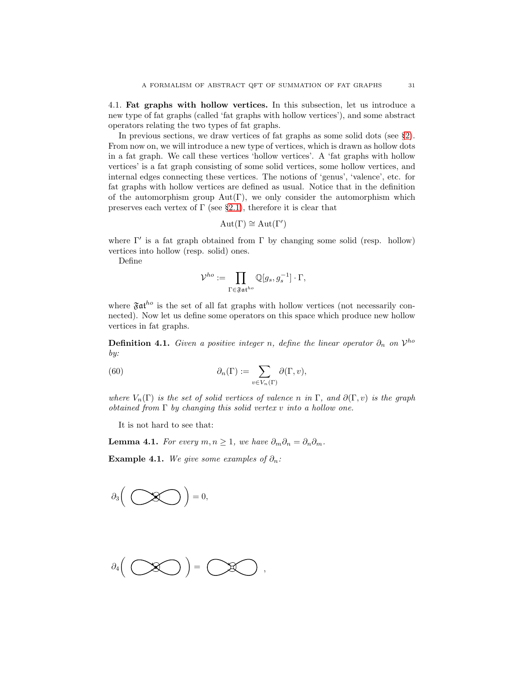<span id="page-30-0"></span>4.1. Fat graphs with hollow vertices. In this subsection, let us introduce a new type of fat graphs (called 'fat graphs with hollow vertices'), and some abstract operators relating the two types of fat graphs.

In previous sections, we draw vertices of fat graphs as some solid dots (see §[2\)](#page-8-1). From now on, we will introduce a new type of vertices, which is drawn as hollow dots in a fat graph. We call these vertices 'hollow vertices'. A 'fat graphs with hollow vertices' is a fat graph consisting of some solid vertices, some hollow vertices, and internal edges connecting these vertices. The notions of 'genus', 'valence', etc. for fat graphs with hollow vertices are defined as usual. Notice that in the definition of the automorphism group  $Aut(\Gamma)$ , we only consider the automorphism which preserves each vertex of  $\Gamma$  (see §[2.1\)](#page-9-0), therefore it is clear that

$$
Aut(\Gamma) \cong Aut(\Gamma')
$$

where  $\Gamma'$  is a fat graph obtained from  $\Gamma$  by changing some solid (resp. hollow) vertices into hollow (resp. solid) ones.

Define

$$
\mathcal{V}^{ho} := \prod_{\Gamma \in \mathfrak{F} \mathfrak{at}^{ho}} \mathbb{Q}[g_s, g_s^{-1}] \cdot \Gamma,
$$

where  $\mathfrak{F}at^{ho}$  is the set of all fat graphs with hollow vertices (not necessarily connected). Now let us define some operators on this space which produce new hollow vertices in fat graphs.

**Definition 4.1.** Given a positive integer n, define the linear operator  $\partial_n$  on  $\mathcal{V}^{ho}$ by:

(60) 
$$
\partial_n(\Gamma) := \sum_{v \in V_n(\Gamma)} \partial(\Gamma, v),
$$

where  $V_n(\Gamma)$  is the set of solid vertices of valence n in  $\Gamma$ , and  $\partial(\Gamma, v)$  is the graph obtained from  $\Gamma$  by changing this solid vertex v into a hollow one.

It is not hard to see that:

**Lemma 4.1.** For every  $m, n \geq 1$ , we have  $\partial_m \partial_n = \partial_n \partial_m$ .

Example 4.1. We give some examples of  $\partial_n$ :



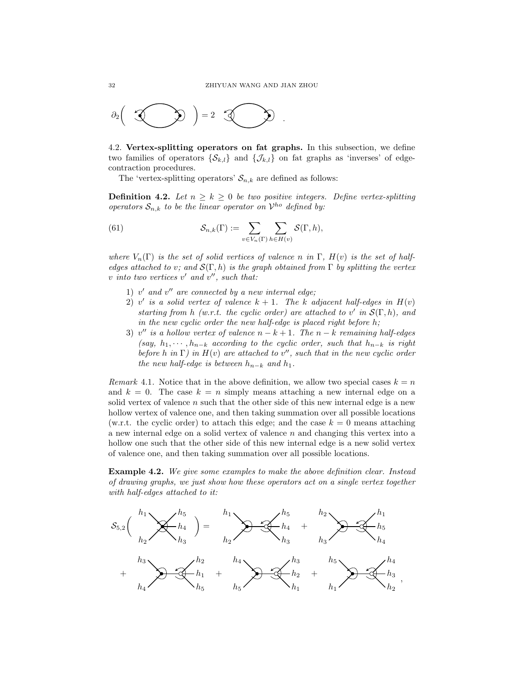

<span id="page-31-0"></span>4.2. Vertex-splitting operators on fat graphs. In this subsection, we define two families of operators  $\{\mathcal{S}_{k,l}\}\$  and  $\{\mathcal{J}_{k,l}\}\$  on fat graphs as 'inverses' of edgecontraction procedures.

The 'vertex-splitting operators'  $S_{n,k}$  are defined as follows:

**Definition 4.2.** Let  $n \geq k \geq 0$  be two positive integers. Define vertex-splitting operators  $S_{n,k}$  to be the linear operator on  $\mathcal{V}^{ho}$  defined by:

(61) 
$$
\mathcal{S}_{n,k}(\Gamma) := \sum_{v \in V_n(\Gamma)} \sum_{h \in H(v)} \mathcal{S}(\Gamma, h),
$$

where  $V_n(\Gamma)$  is the set of solid vertices of valence n in  $\Gamma$ ,  $H(v)$  is the set of halfedges attached to v; and  $\mathcal{S}(\Gamma, h)$  is the graph obtained from  $\Gamma$  by splitting the vertex  $v \text{ into two vertices } v' \text{ and } v'', \text{ such that:}$ 

- $1)$  v' and  $v''$  are connected by a new internal edge;
- 2) v' is a solid vertex of valence  $k + 1$ . The k adjacent half-edges in  $H(v)$ starting from h (w.r.t. the cyclic order) are attached to v' in  $\mathcal{S}(\Gamma,h)$ , and in the new cyclic order the new half-edge is placed right before h;
- 3) v'' is a hollow vertex of valence  $n k + 1$ . The  $n k$  remaining half-edges (say,  $h_1, \dots, h_{n-k}$  according to the cyclic order, such that  $h_{n-k}$  is right before h in  $\Gamma$ ) in  $H(v)$  are attached to v'', such that in the new cyclic order the new half-edge is between  $h_{n-k}$  and  $h_1$ .

Remark 4.1. Notice that in the above definition, we allow two special cases  $k = n$ and  $k = 0$ . The case  $k = n$  simply means attaching a new internal edge on a solid vertex of valence  $n$  such that the other side of this new internal edge is a new hollow vertex of valence one, and then taking summation over all possible locations (w.r.t. the cyclic order) to attach this edge; and the case  $k = 0$  means attaching a new internal edge on a solid vertex of valence  $n$  and changing this vertex into a hollow one such that the other side of this new internal edge is a new solid vertex of valence one, and then taking summation over all possible locations.

<span id="page-31-1"></span>Example 4.2. We give some examples to make the above definition clear. Instead of drawing graphs, we just show how these operators act on a single vertex together with half-edges attached to it:

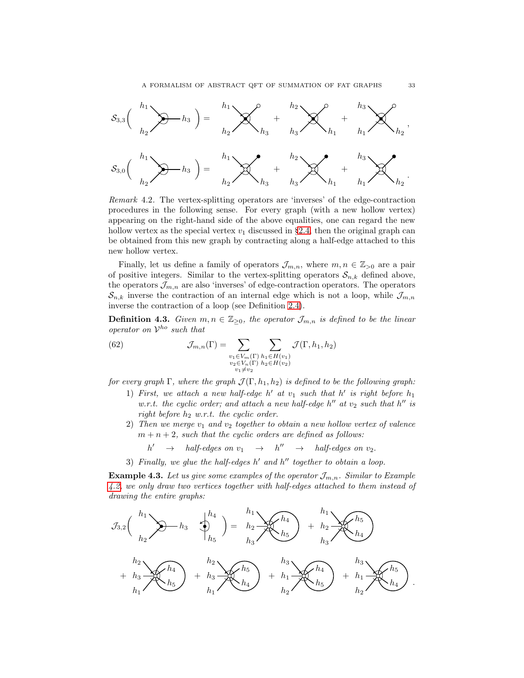

Remark 4.2. The vertex-splitting operators are 'inverses' of the edge-contraction procedures in the following sense. For every graph (with a new hollow vertex) appearing on the right-hand side of the above equalities, one can regard the new hollow vertex as the special vertex  $v_1$  discussed in §[2.4,](#page-14-0) then the original graph can be obtained from this new graph by contracting along a half-edge attached to this new hollow vertex.

Finally, let us define a family of operators  $\mathcal{J}_{m,n}$ , where  $m, n \in \mathbb{Z}_{>0}$  are a pair of positive integers. Similar to the vertex-splitting operators  $S_{n,k}$  defined above, the operators  $\mathcal{J}_{m,n}$  are also 'inverses' of edge-contraction operators. The operators  $\mathcal{S}_{n,k}$  inverse the contraction of an internal edge which is not a loop, while  $\mathcal{J}_{m,n}$ inverse the contraction of a loop (see Definition [2.4\)](#page-14-3).

**Definition 4.3.** Given  $m, n \in \mathbb{Z}_{\geq 0}$ , the operator  $\mathcal{J}_{m,n}$  is defined to be the linear operator on  $\mathcal{V}^{ho}$  such that

(62) 
$$
\mathcal{J}_{m,n}(\Gamma) = \sum_{\substack{v_1 \in V_m(\Gamma) \\ v_2 \in V_n(\Gamma) \\ v_1 \neq v_2}} \sum_{\substack{h_1 \in H(v_1) \\ h_2 \in H(v_2)}} \mathcal{J}(\Gamma, h_1, h_2)
$$

for every graph  $\Gamma$ , where the graph  $\mathcal{J}(\Gamma, h_1, h_2)$  is defined to be the following graph:

- 1) First, we attach a new half-edge  $h'$  at  $v_1$  such that  $h'$  is right before  $h_1$ w.r.t. the cyclic order; and attach a new half-edge  $h''$  at  $v_2$  such that  $h''$  is right before  $h_2$  w.r.t. the cyclic order.
- 2) Then we merge  $v_1$  and  $v_2$  together to obtain a new hollow vertex of valence  $m + n + 2$ , such that the cyclic orders are defined as follows:
	- $h' \rightarrow half-edges \text{ on } v_1 \rightarrow h'' \rightarrow half-edges \text{ on } v_2.$
- 3) Finally, we glue the half-edges  $h'$  and  $h''$  together to obtain a loop.

**Example 4.3.** Let us give some examples of the operator  $\mathcal{J}_{m,n}$ . Similar to Example [4.2,](#page-31-1) we only draw two vertices together with half-edges attached to them instead of drawing the entire graphs:

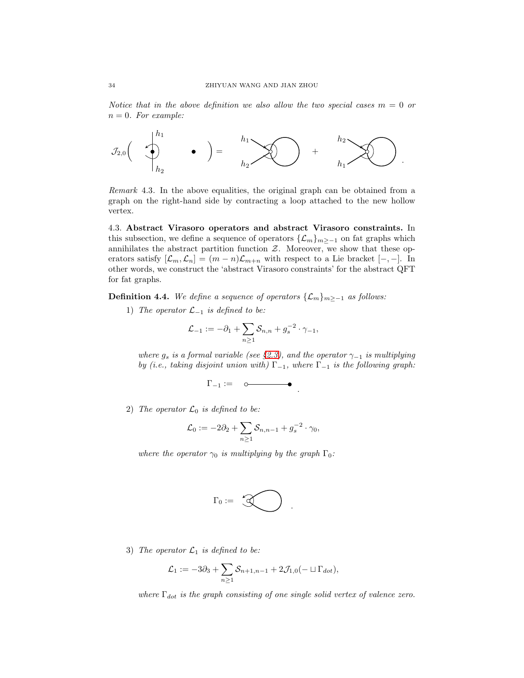Notice that in the above definition we also allow the two special cases  $m = 0$  or  $n = 0$ . For example:



Remark 4.3. In the above equalities, the original graph can be obtained from a graph on the right-hand side by contracting a loop attached to the new hollow vertex.

<span id="page-33-0"></span>4.3. Abstract Virasoro operators and abstract Virasoro constraints. In this subsection, we define a sequence of operators  $\{\mathcal{L}_m\}_{m\geq -1}$  on fat graphs which annihilates the abstract partition function  $\mathcal{Z}$ . Moreover, we show that these operators satisfy  $[\mathcal{L}_m,\mathcal{L}_n] = (m-n)\mathcal{L}_{m+n}$  with respect to a Lie bracket  $[-,-]$ . In other words, we construct the 'abstract Virasoro constraints' for the abstract QFT for fat graphs.

<span id="page-33-1"></span>**Definition 4.4.** We define a sequence of operators  $\{\mathcal{L}_m\}_{m>−1}$  as follows:

1) The operator  $\mathcal{L}_{-1}$  is defined to be:

$$
\mathcal{L}_{-1} := -\partial_1 + \sum_{n \geq 1} S_{n,n} + g_s^{-2} \cdot \gamma_{-1},
$$

where  $g_s$  is a formal variable (see §[2.3\)](#page-13-0), and the operator  $\gamma_{-1}$  is multiplying by (i.e., taking disjoint union with)  $\Gamma_{-1}$ , where  $\Gamma_{-1}$  is the following graph:

$$
\Gamma_{-1} := \quad \circ \hspace{-4pt} \longrightarrow \hspace{-4pt} \bullet \enspace .
$$

2) The operator  $\mathcal{L}_0$  is defined to be:

$$
\mathcal{L}_0 := -2\partial_2 + \sum_{n\geq 1} S_{n,n-1} + g_s^{-2} \cdot \gamma_0,
$$

where the operator  $\gamma_0$  is multiplying by the graph  $\Gamma_0$ :

$$
\Gamma_0:=\bigotimes\hspace{-7.5ex}\bigotimes
$$

3) The operator  $\mathcal{L}_1$  is defined to be:

$$
\mathcal{L}_1 := -3\partial_3 + \sum_{n\geq 1} S_{n+1,n-1} + 2\mathcal{J}_{1,0}(-\sqcup \Gamma_{dot}),
$$

where  $\Gamma_{dot}$  is the graph consisting of one single solid vertex of valence zero.

.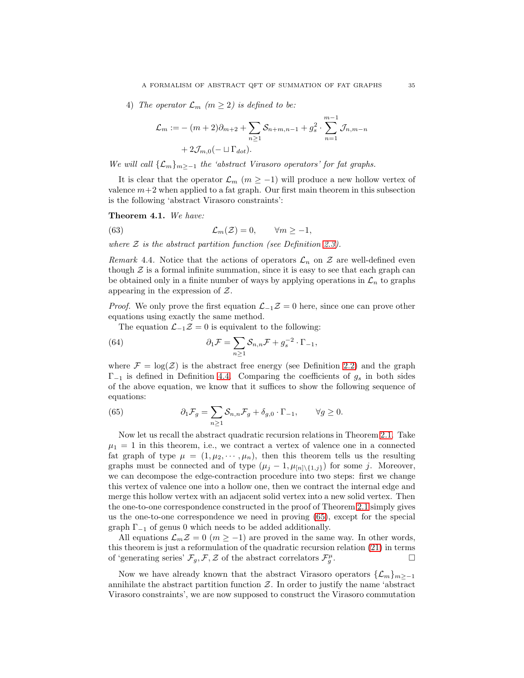4) The operator  $\mathcal{L}_m$  (m  $\geq$  2) is defined to be:

$$
\mathcal{L}_m := -(m+2)\partial_{m+2} + \sum_{n\geq 1} S_{n+m,n-1} + g_s^2 \cdot \sum_{n=1}^{m-1} \mathcal{J}_{n,m-n} + 2\mathcal{J}_{m,0}(-\sqcup \Gamma_{dot}).
$$

We will call  $\{\mathcal{L}_m\}_{m>-1}$  the 'abstract Virasoro operators' for fat graphs.

It is clear that the operator  $\mathcal{L}_m$  ( $m \ge -1$ ) will produce a new hollow vertex of valence  $m+2$  when applied to a fat graph. Our first main theorem in this subsection is the following 'abstract Virasoro constraints':

<span id="page-34-0"></span>Theorem 4.1. We have:

(63) 
$$
\mathcal{L}_m(\mathcal{Z}) = 0, \qquad \forall m \ge -1,
$$

where  $\mathcal Z$  is the abstract partition function (see Definition [2.3\)](#page-14-1).

Remark 4.4. Notice that the actions of operators  $\mathcal{L}_n$  on  $\mathcal Z$  are well-defined even though  $\mathcal Z$  is a formal infinite summation, since it is easy to see that each graph can be obtained only in a finite number of ways by applying operations in  $\mathcal{L}_n$  to graphs appearing in the expression of Z.

*Proof.* We only prove the first equation  $\mathcal{L}_{-1}\mathcal{Z}=0$  here, since one can prove other equations using exactly the same method.

The equation  $\mathcal{L}_{-1}\mathcal{Z}=0$  is equivalent to the following:

(64) 
$$
\partial_1 \mathcal{F} = \sum_{n \ge 1} \mathcal{S}_{n,n} \mathcal{F} + g_s^{-2} \cdot \Gamma_{-1},
$$

where  $\mathcal{F} = \log(\mathcal{Z})$  is the abstract free energy (see Definition [2.2\)](#page-13-1) and the graph  $\Gamma_{-1}$  is defined in Definition [4.4.](#page-33-1) Comparing the coefficients of  $g_s$  in both sides of the above equation, we know that it suffices to show the following sequence of equations:

<span id="page-34-1"></span>(65) 
$$
\partial_1 \mathcal{F}_g = \sum_{n \ge 1} \mathcal{S}_{n,n} \mathcal{F}_g + \delta_{g,0} \cdot \Gamma_{-1}, \qquad \forall g \ge 0.
$$

Now let us recall the abstract quadratic recursion relations in Theorem [2.1.](#page-17-0) Take  $\mu_1 = 1$  in this theorem, i.e., we contract a vertex of valence one in a connected fat graph of type  $\mu = (1, \mu_2, \cdots, \mu_n)$ , then this theorem tells us the resulting graphs must be connected and of type  $(\mu_j - 1, \mu_{[n] \setminus \{1,j\}})$  for some j. Moreover, we can decompose the edge-contraction procedure into two steps: first we change this vertex of valence one into a hollow one, then we contract the internal edge and merge this hollow vertex with an adjacent solid vertex into a new solid vertex. Then the one-to-one correspondence constructed in the proof of Theorem [2.1](#page-17-0) simply gives us the one-to-one correspondence we need in proving [\(65\)](#page-34-1), except for the special graph  $\Gamma_{-1}$  of genus 0 which needs to be added additionally.

All equations  $\mathcal{L}_m \mathcal{Z} = 0$  ( $m \ge -1$ ) are proved in the same way. In other words, this theorem is just a reformulation of the quadratic recursion relation [\(21\)](#page-17-1) in terms of 'generating series'  $\mathcal{F}_{g}, \mathcal{F}, \mathcal{Z}$  of the abstract correlators  $\mathcal{F}_{g}^{\mu}$ .

Now we have already known that the abstract Virasoro operators  $\{\mathcal{L}_m\}_{m\geq -1}$ annihilate the abstract partition function  $\mathcal{Z}$ . In order to justify the name 'abstract Virasoro constraints', we are now supposed to construct the Virasoro commutation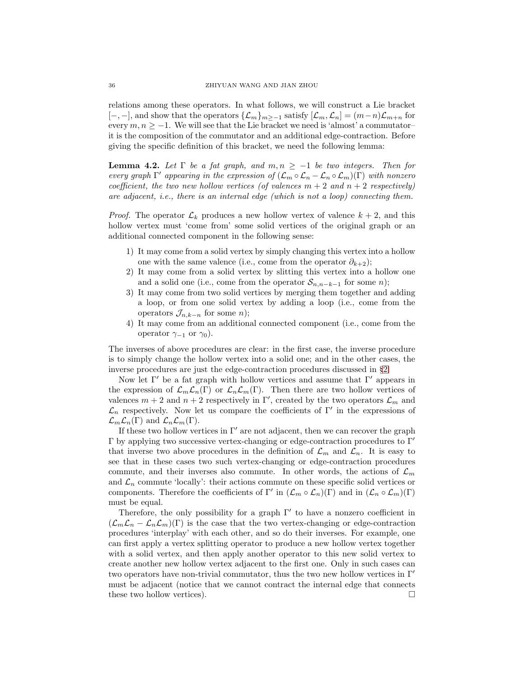relations among these operators. In what follows, we will construct a Lie bracket  $[-,-]$ , and show that the operators  $\{\mathcal{L}_m\}_{m>-1}$  satisfy  $[\mathcal{L}_m,\mathcal{L}_n] = (m-n)\mathcal{L}_{m+n}$  for every  $m, n \ge -1$ . We will see that the Lie bracket we need is 'almost' a commutatorit is the composition of the commutator and an additional edge-contraction. Before giving the specific definition of this bracket, we need the following lemma:

**Lemma 4.2.** Let  $\Gamma$  be a fat graph, and  $m, n \geq -1$  be two integers. Then for every graph  $\Gamma'$  appearing in the expression of  $(\mathcal{L}_m \circ \mathcal{L}_n - \mathcal{L}_n \circ \mathcal{L}_m)(\Gamma)$  with nonzero coefficient, the two new hollow vertices (of valences  $m + 2$  and  $n + 2$  respectively) are adjacent, i.e., there is an internal edge (which is not a loop) connecting them.

*Proof.* The operator  $\mathcal{L}_k$  produces a new hollow vertex of valence  $k + 2$ , and this hollow vertex must 'come from' some solid vertices of the original graph or an additional connected component in the following sense:

- 1) It may come from a solid vertex by simply changing this vertex into a hollow one with the same valence (i.e., come from the operator  $\partial_{k+2}$ );
- 2) It may come from a solid vertex by slitting this vertex into a hollow one and a solid one (i.e., come from the operator  $S_{n,n-k-1}$  for some n);
- 3) It may come from two solid vertices by merging them together and adding a loop, or from one solid vertex by adding a loop (i.e., come from the operators  $\mathcal{J}_{n,k-n}$  for some n);
- 4) It may come from an additional connected component (i.e., come from the operator  $\gamma_{-1}$  or  $\gamma_0$ ).

The inverses of above procedures are clear: in the first case, the inverse procedure is to simply change the hollow vertex into a solid one; and in the other cases, the inverse procedures are just the edge-contraction procedures discussed in §[2.](#page-8-1)

Now let  $\Gamma'$  be a fat graph with hollow vertices and assume that  $\Gamma'$  appears in the expression of  $\mathcal{L}_m\mathcal{L}_n(\Gamma)$  or  $\mathcal{L}_n\mathcal{L}_m(\Gamma)$ . Then there are two hollow vertices of valences  $m + 2$  and  $n + 2$  respectively in Γ', created by the two operators  $\mathcal{L}_m$  and  $\mathcal{L}_n$  respectively. Now let us compare the coefficients of Γ' in the expressions of  $\mathcal{L}_m \mathcal{L}_n(\Gamma)$  and  $\mathcal{L}_n \mathcal{L}_m(\Gamma)$ .

If these two hollow vertices in  $\Gamma'$  are not adjacent, then we can recover the graph  $Γ$  by applying two successive vertex-changing or edge-contraction procedures to  $Γ'$ that inverse two above procedures in the definition of  $\mathcal{L}_m$  and  $\mathcal{L}_n$ . It is easy to see that in these cases two such vertex-changing or edge-contraction procedures commute, and their inverses also commute. In other words, the actions of  $\mathcal{L}_m$ and  $\mathcal{L}_n$  commute 'locally': their actions commute on these specific solid vertices or components. Therefore the coefficients of  $\Gamma'$  in  $(\mathcal{L}_m \circ \mathcal{L}_n)(\Gamma)$  and in  $(\mathcal{L}_n \circ \mathcal{L}_m)(\Gamma)$ must be equal.

Therefore, the only possibility for a graph  $\Gamma'$  to have a nonzero coefficient in  $(\mathcal{L}_m\mathcal{L}_n - \mathcal{L}_n\mathcal{L}_m)(\Gamma)$  is the case that the two vertex-changing or edge-contraction procedures 'interplay' with each other, and so do their inverses. For example, one can first apply a vertex splitting operator to produce a new hollow vertex together with a solid vertex, and then apply another operator to this new solid vertex to create another new hollow vertex adjacent to the first one. Only in such cases can two operators have non-trivial commutator, thus the two new hollow vertices in Γ′ must be adjacent (notice that we cannot contract the internal edge that connects these two hollow vertices).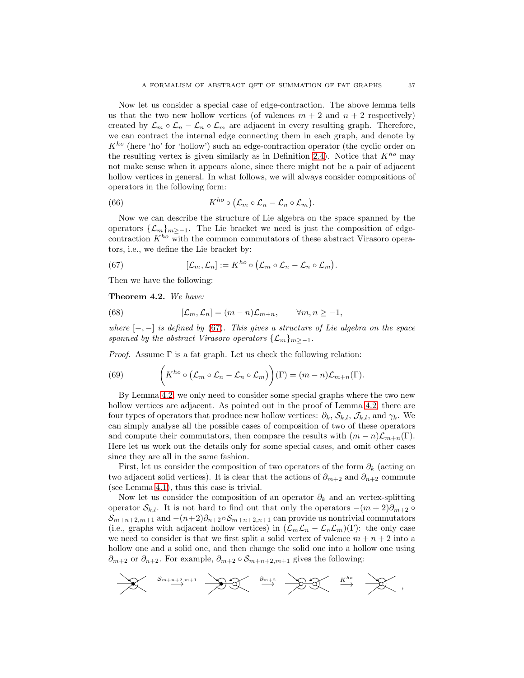Now let us consider a special case of edge-contraction. The above lemma tells us that the two new hollow vertices (of valences  $m + 2$  and  $n + 2$  respectively) created by  $\mathcal{L}_m \circ \mathcal{L}_n - \mathcal{L}_n \circ \mathcal{L}_m$  are adjacent in every resulting graph. Therefore, we can contract the internal edge connecting them in each graph, and denote by  $K^{ho}$  (here 'ho' for 'hollow') such an edge-contraction operator (the cyclic order on the resulting vertex is given similarly as in Definition [2.4\)](#page-14-0). Notice that  $K^{ho}$  may not make sense when it appears alone, since there might not be a pair of adjacent hollow vertices in general. In what follows, we will always consider compositions of operators in the following form:

(66) 
$$
K^{ho} \circ (\mathcal{L}_m \circ \mathcal{L}_n - \mathcal{L}_n \circ \mathcal{L}_m).
$$

Now we can describe the structure of Lie algebra on the space spanned by the operators  $\{\mathcal{L}_m\}_{m>-1}$ . The Lie bracket we need is just the composition of edgecontraction  $K^{ho}$  with the common commutators of these abstract Virasoro operators, i.e., we define the Lie bracket by:

<span id="page-36-0"></span>(67) 
$$
[\mathcal{L}_m,\mathcal{L}_n] := K^{ho} \circ (\mathcal{L}_m \circ \mathcal{L}_n - \mathcal{L}_n \circ \mathcal{L}_m).
$$

Then we have the following:

<span id="page-36-1"></span>Theorem 4.2. We have:

(68) 
$$
[\mathcal{L}_m, \mathcal{L}_n] = (m-n)\mathcal{L}_{m+n}, \qquad \forall m, n \geq -1,
$$

where  $[-,-]$  is defined by [\(67\)](#page-36-0). This gives a structure of Lie algebra on the space spanned by the abstract Virasoro operators  $\{\mathcal{L}_m\}_{m>-1}$ .

*Proof.* Assume  $\Gamma$  is a fat graph. Let us check the following relation:

(69) 
$$
\left(K^{ho} \circ (\mathcal{L}_m \circ \mathcal{L}_n - \mathcal{L}_n \circ \mathcal{L}_m)\right)(\Gamma) = (m-n)\mathcal{L}_{m+n}(\Gamma).
$$

By Lemma [4.2,](#page-35-0) we only need to consider some special graphs where the two new hollow vertices are adjacent. As pointed out in the proof of Lemma [4.2,](#page-35-0) there are four types of operators that produce new hollow vertices:  $\partial_k$ ,  $\mathcal{S}_{k,l}$ ,  $\mathcal{J}_{k,l}$ , and  $\gamma_k$ . We can simply analyse all the possible cases of composition of two of these operators and compute their commutators, then compare the results with  $(m - n)\mathcal{L}_{m+n}(\Gamma)$ . Here let us work out the details only for some special cases, and omit other cases since they are all in the same fashion.

First, let us consider the composition of two operators of the form  $\partial_k$  (acting on two adjacent solid vertices). It is clear that the actions of  $\partial_{m+2}$  and  $\partial_{n+2}$  commute (see Lemma [4.1\)](#page-30-0), thus this case is trivial.

Now let us consider the composition of an operator  $\partial_k$  and an vertex-splitting operator  $S_{k,l}$ . It is not hard to find out that only the operators  $-(m+2)\partial_{m+2} \circ$  $\mathcal{S}_{m+n+2,m+1}$  and  $-(n+2)\partial_{n+2}\circ \mathcal{S}_{m+n+2,n+1}$  can provide us nontrivial commutators (i.e., graphs with adjacent hollow vertices) in  $(\mathcal{L}_m\mathcal{L}_n - \mathcal{L}_n\mathcal{L}_m)(\Gamma)$ : the only case we need to consider is that we first split a solid vertex of valence  $m + n + 2$  into a hollow one and a solid one, and then change the solid one into a hollow one using  $\partial_{m+2}$  or  $\partial_{n+2}$ . For example,  $\partial_{m+2} \circ S_{m+n+2,m+1}$  gives the following:

$$
\sum_{m+n+2, m+1} S_{m+n+2, m+1} \sum_{m+n+2} S_{m+n} \leftarrow \sum_{m+n+2, m+1} S_{m+n} \leftarrow \sum_{m+n+2, m+1} S_{m+n} \leftarrow \sum_{m+n+2, m+1} S_{m+n} \leftarrow \sum_{m+n+2, m+1} S_{m+n} \leftarrow \sum_{m+n+2, m+1} S_{m+n} \leftarrow \sum_{m+n+2, m+1} S_{m+n} \leftarrow \sum_{m+n+2, m+1} S_{m+n} \leftarrow \sum_{m+n+2, m+1} S_{m+n} \leftarrow \sum_{m+n+1} S_{m+n} \leftarrow \sum_{m+n+1} S_{m+n} \leftarrow \sum_{m+n+1} S_{m+n} \leftarrow \sum_{m+n+1} S_{m+n} \leftarrow \sum_{m+n+1} S_{m+n} \leftarrow \sum_{m+n+1} S_{m+n} \leftarrow \sum_{m+n+1} S_{m+n} \leftarrow \sum_{m+n+1} S_{m+n} \leftarrow \sum_{m+n+1} S_{m+n} \leftarrow \sum_{m+n+1} S_{m+n} \leftarrow \sum_{m+n+1} S_{m+n} \leftarrow \sum_{m+n+1} S_{m+n} \leftarrow \sum_{m+n+1} S_{m+n} \leftarrow \sum_{m+n+1} S_{m+n} \leftarrow \sum_{m+n+1} S_{m+n} \leftarrow \sum_{m+n+1} S_{m+n} \leftarrow \sum_{m+n+1} S_{m+n} \leftarrow \sum_{m+n+1} S_{m+n} \leftarrow \sum_{m+n+1} S_{m+n} \leftarrow \sum_{m+n+1} S_{m+n} \leftarrow \sum_{m+n+1} S_{m+n} \leftarrow \sum_{m+n+1} S_{m+n} \leftarrow \sum_{m+n+1} S_{m+n} \leftarrow \sum_{m+n+1} S_{m+n} \leftarrow \sum_{m+n+1} S_{m+n} \leftarrow \sum_{m+n+1} S_{m+n} \leftarrow \sum_{m+n+1} S_{m+n} \leftarrow \sum_{m+n+1} S_{m+n} \leftarrow \sum_{m+n+1} S_{m+n} \leftarrow \sum_{m+n+1} S_{m+n} \leftarrow \sum_{m+n+1} S_{m+n} \leftarrow \sum_{m+n+1} S_{m+n} \leftarrow \sum_{m+n+1} S_{m+n} \leftarrow \sum_{m+n+1} S_{m+n} \leftarrow \sum_{m+n+1} S_{m+n} \leftarrow \
$$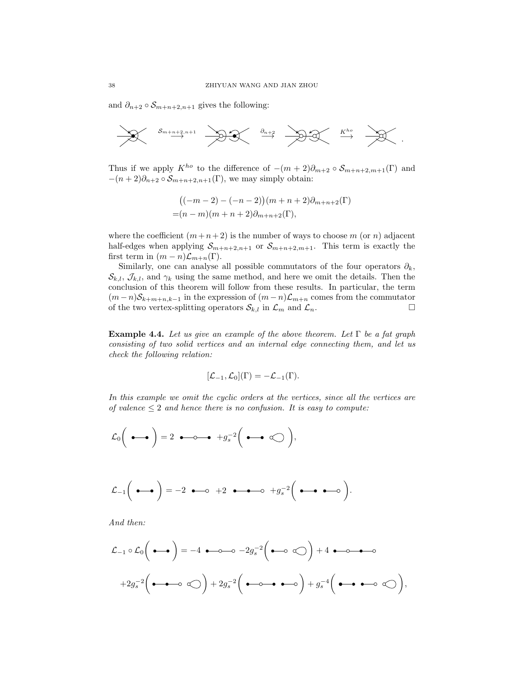and  $\partial_{n+2} \circ S_{m+n+2,n+1}$  gives the following:



Thus if we apply  $K^{ho}$  to the difference of  $-(m+2)\partial_{m+2}\circ \mathcal{S}_{m+n+2,m+1}(\Gamma)$  and  $-(n+2)\partial_{n+2}\circ S_{m+n+2,n+1}(\Gamma)$ , we may simply obtain:

$$
((-m-2) - (-n-2))(m+n+2)\partial_{m+n+2}(\Gamma)
$$
  
= $(n-m)(m+n+2)\partial_{m+n+2}(\Gamma),$ 

where the coefficient  $(m+n+2)$  is the number of ways to choose m (or n) adjacent half-edges when applying  $S_{m+n+2,n+1}$  or  $S_{m+n+2,m+1}$ . This term is exactly the first term in  $(m - n)\mathcal{L}_{m+n}(\Gamma)$ .

Similarly, one can analyse all possible commutators of the four operators  $\partial_k$ ,  $\mathcal{S}_{k,l}, \mathcal{J}_{k,l},$  and  $\gamma_k$  using the same method, and here we omit the details. Then the conclusion of this theorem will follow from these results. In particular, the term  $(m-n)\mathcal{S}_{k+m+n,k-1}$  in the expression of  $(m-n)\mathcal{L}_{m+n}$  comes from the commutator of the two vertex-splitting operators  $\mathcal{S}_{k,l}$  in  $\mathcal{L}_m$  and  $\mathcal{L}_n$ . of the two vertex-splitting operators  $\mathcal{S}_{k,l}$  in  $\mathcal{L}_m$  and  $\mathcal{L}_n$ .

**Example 4.4.** Let us give an example of the above theorem. Let  $\Gamma$  be a fat graph consisting of two solid vertices and an internal edge connecting them, and let us check the following relation:

$$
[\mathcal{L}_{-1}, \mathcal{L}_0](\Gamma) = -\mathcal{L}_{-1}(\Gamma).
$$

In this example we omit the cyclic orders at the vertices, since all the vertices are of valence  $\leq 2$  and hence there is no confusion. It is easy to compute:

$$
\mathcal{L}_0\bigg(\bullet\hspace{-2pt}\bullet\hspace{-2pt}\bullet\bigg)=2\hspace{-2pt}\bullet\hspace{-2pt}\bullet\hspace{-2pt}\bullet\hspace{-2pt}+g_s^{-2}\bigg(\bullet\hspace{-2pt}\bullet\hspace{-2pt}\bullet\hspace{-2pt}\bigcirc\bigg),
$$

$$
\mathcal{L}_{-1}\left(\bullet\hspace{-2.5pt}\bullet\hspace{-2.5pt}\bullet\right)=-2\bullet\hspace{-2.5pt}-\hspace{-2.5pt}-\hspace{-2.5pt}-2\bullet\hspace{-2.5pt}-\hspace{-2.5pt}-\hspace{-2.5pt}-2\bullet\hspace{-2.5pt}-\hspace{-2.5pt}-2\left(\bullet\hspace{-2.5pt}-\hspace{-2.5pt}-\hspace{-2.5pt}-\hspace{-2.5pt}-2\right).
$$

And then:

$$
\mathcal{L}_{-1} \circ \mathcal{L}_0 \left( \bullet \bullet \bullet \right) = -4 \bullet \circ \circ \circ \circ -2g_s^{-2} \left( \bullet \circ \circ \circ \circ \right) + 4 \bullet \circ \circ \bullet \circ \circ
$$

$$
+2g_s^{-2} \left( \bullet \bullet \circ \circ \circ \circ \circ \right) + 2g_s^{-2} \left( \bullet \circ \circ \bullet \bullet \circ \circ \circ \right) + g_s^{-4} \left( \bullet \bullet \bullet \circ \circ \circ \circ \circ \right),
$$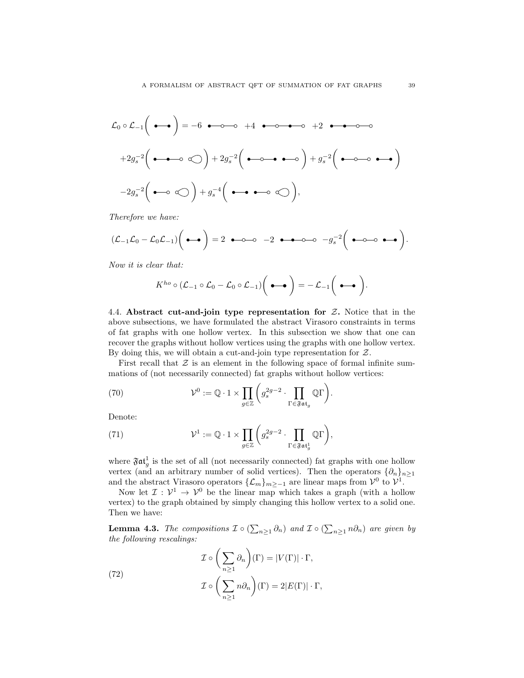$$
\mathcal{L}_0 \circ \mathcal{L}_{-1} \left( \bullet \bullet \bullet \right) = -6 \bullet \bullet \bullet \bullet + 4 \bullet \bullet \bullet \bullet \bullet + 2 \bullet \bullet \bullet \bullet \bullet
$$
\n
$$
+2g_s^{-2} \left( \bullet \bullet \bullet \bullet \bigcirc \right) + 2g_s^{-2} \left( \bullet \bullet \bullet \bullet \bullet \right) + g_s^{-2} \left( \bullet \bullet \bullet \bullet \bullet \right)
$$
\n
$$
-2g_s^{-2} \left( \bullet \bullet \bigcirc \bigcirc \right) + g_s^{-4} \left( \bullet \bullet \bullet \bullet \bigcirc \bigcirc \right),
$$

Therefore we have:

$$
(\mathcal{L}_{-1}\mathcal{L}_0-\mathcal{L}_0\mathcal{L}_{-1})\bigg(\bullet\hspace{-2.5pt}\bullet\hspace{-2.5pt}\bigg)=2\ \bullet\hspace{-2.5pt}\bullet\hspace{-2.5pt}\bullet\hspace{-2.5pt}-\hspace{-2.5pt}0\hspace{-2.5pt}-\hspace{-2.5pt}2\ \bullet\hspace{-2.5pt}\bullet\hspace{-2.5pt}-\hspace{-2.5pt}0\hspace{-2.5pt}-\hspace{-2.5pt}g_s^{-2}\bigg(\bullet\hspace{-2.5pt}-\hspace{-2.5pt}0\hspace{-2.5pt}-\hspace{-2.5pt}\bullet\hspace{-2.5pt}\bullet\hspace{-2.5pt}\bullet\hspace{-2.5pt}\bullet\hspace{-2.5pt}\bullet\hspace{-2.5pt}\bullet\hspace{-2.5pt}\bullet\hspace{-2.5pt}\bullet\hspace{-2.5pt}\bullet\hspace{-2.5pt}\bullet\hspace{-2.5pt}\bullet\hspace{-2.5pt}\bullet\hspace{-2.5pt}\bullet\hspace{-2.5pt}\bullet\hspace{-2.5pt}\bullet\hspace{-2.5pt}\bullet\hspace{-2.5pt}\bullet\hspace{-2.5pt}\bullet\hspace{-2.5pt}\bullet\hspace{-2.5pt}\bullet\hspace{-2.5pt}\bullet\hspace{-2.5pt}\bullet\hspace{-2.5pt}\bullet\hspace{-2.5pt}\bullet\hspace{-2.5pt}\bullet\hspace{-2.5pt}\bullet\hspace{-2.5pt}\bullet\hspace{-2.5pt}\bullet\hspace{-2.5pt}\bullet\hspace{-2.5pt}\bullet\hspace{-2.5pt}\bullet\hspace{-2.5pt}\bullet\hspace{-2.5pt}\bullet\hspace{-2.5pt}\bullet\hspace{-2.5pt}\bullet\hspace{-2.5pt}\bullet\hspace{-2.5pt}\bullet\hspace{-2.5pt}\bullet\hspace{-2.5pt}\bullet\hspace{-2.5pt}\bullet\hspace{-2.5pt}\bullet\hspace{-2.5pt}\bullet\hspace{-2.5pt}\bullet\hspace{-2.5pt}\bullet\hspace{-2.5pt}\bullet\hspace{-2.5pt}\bullet\hspace{-2.5pt}\bullet\hspace{-2.5pt}\bullet\hspace{-2.5pt}\bullet\hspace{-2.5pt}\bullet\hspace{-2.5pt}\bullet\hspace{-2.5pt}\bullet\hspace{-2.5pt}\bullet\hspace{-2.5pt}\bullet\hspace{-2.5pt}\bullet\hs
$$

Now it is clear that:

$$
K^{ho} \circ (\mathcal{L}_{-1} \circ \mathcal{L}_0 - \mathcal{L}_0 \circ \mathcal{L}_{-1}) \bigg( \bullet \bullet \bigg) = - \mathcal{L}_{-1} \bigg( \bullet \bullet \bigg).
$$

4.4. Abstract cut-and-join type representation for  $Z$ . Notice that in the above subsections, we have formulated the abstract Virasoro constraints in terms of fat graphs with one hollow vertex. In this subsection we show that one can recover the graphs without hollow vertices using the graphs with one hollow vertex. By doing this, we will obtain a cut-and-join type representation for  $Z$ .

First recall that  $\mathcal Z$  is an element in the following space of formal infinite summations of (not necessarily connected) fat graphs without hollow vertices:

(70) 
$$
\mathcal{V}^0 := \mathbb{Q} \cdot 1 \times \prod_{g \in \mathbb{Z}} \left( g_s^{2g-2} \cdot \prod_{\Gamma \in \mathfrak{Fat}_g} \mathbb{Q} \Gamma \right).
$$

Denote:

(71) 
$$
\mathcal{V}^1 := \mathbb{Q} \cdot 1 \times \prod_{g \in \mathbb{Z}} \left( g_s^{2g-2} \cdot \prod_{\Gamma \in \mathfrak{F} \mathfrak{at}_g^1} \mathbb{Q} \Gamma \right),
$$

where  $\mathfrak{Fat}_g^1$  is the set of all (not necessarily connected) fat graphs with one hollow vertex (and an arbitrary number of solid vertices). Then the operators  $\{\partial_n\}_{n\geq 1}$ and the abstract Virasoro operators  $\{\mathcal{L}_m\}_{m\geq -1}$  are linear maps from  $\mathcal{V}^0$  to  $\mathcal{V}^1$ .

Now let  $\mathcal{I}: \mathcal{V}^1 \to \mathcal{V}^0$  be the linear map which takes a graph (with a hollow vertex) to the graph obtained by simply changing this hollow vertex to a solid one. Then we have:

<span id="page-38-0"></span>**Lemma 4.3.** The compositions  $\mathcal{I} \circ (\sum_{n\geq 1} \partial_n)$  and  $\mathcal{I} \circ (\sum_{n\geq 1} n \partial_n)$  are given by the following rescalings:

(72)  
\n
$$
\mathcal{I} \circ \left(\sum_{n\geq 1} \partial_n\right)(\Gamma) = |V(\Gamma)| \cdot \Gamma,
$$
\n
$$
\mathcal{I} \circ \left(\sum_{n\geq 1} n \partial_n\right)(\Gamma) = 2|E(\Gamma)| \cdot \Gamma,
$$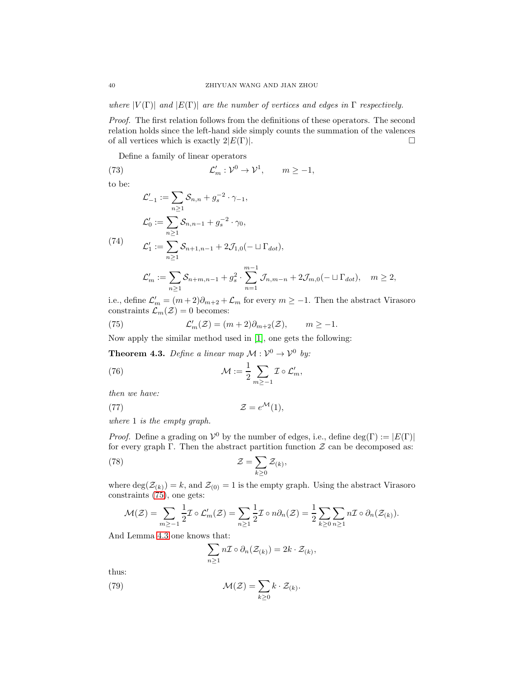where  $|V(\Gamma)|$  and  $|E(\Gamma)|$  are the number of vertices and edges in  $\Gamma$  respectively.

Proof. The first relation follows from the definitions of these operators. The second relation holds since the left-hand side simply counts the summation of the valences of all vertices which is exactly  $2|E(\Gamma)|$ .

Define a family of linear operators

 $(73)$   $\mathcal{L}$  $v'_m: \mathcal{V}^0 \to \mathcal{V}^1$ ,  $m \ge -1$ ,

to be:

<span id="page-39-1"></span>
$$
\mathcal{L}'_{-1} := \sum_{n\geq 1} \mathcal{S}_{n,n} + g_s^{-2} \cdot \gamma_{-1},
$$
\n
$$
\mathcal{L}'_0 := \sum_{n\geq 1} \mathcal{S}_{n,n-1} + g_s^{-2} \cdot \gamma_0,
$$
\n(74)\n
$$
\mathcal{L}'_1 := \sum_{n\geq 1} \mathcal{S}_{n+1,n-1} + 2\mathcal{J}_{1,0}(-\sqcup \Gamma_{dot}),
$$
\n
$$
\mathcal{L}'_m := \sum_{n\geq 1} \mathcal{S}_{n+m,n-1} + g_s^2 \cdot \sum_{n=1}^{m-1} \mathcal{J}_{n,m-n} + 2\mathcal{J}_{m,0}(-\sqcup \Gamma_{dot}), \quad m \geq 2,
$$

i.e., define  $\mathcal{L}'_m = (m+2)\partial_{m+2} + \mathcal{L}_m$  for every  $m \ge -1$ . Then the abstract Virasoro constraints  $\mathcal{L}_m(\mathcal{Z}) = 0$  becomes:

<span id="page-39-0"></span>(75) 
$$
\mathcal{L}'_m(\mathcal{Z}) = (m+2)\partial_{m+2}(\mathcal{Z}), \qquad m \ge -1.
$$

Now apply the similar method used in [\[1\]](#page-72-0), one gets the following:

<span id="page-39-5"></span>**Theorem 4.3.** Define a linear map  $\mathcal{M} : \mathcal{V}^0 \to \mathcal{V}^0$  by:

<span id="page-39-4"></span>(76) 
$$
\mathcal{M} := \frac{1}{2} \sum_{m \geq -1} \mathcal{I} \circ \mathcal{L}'_m,
$$

then we have:

<span id="page-39-3"></span>(77) 
$$
\mathcal{Z} = e^{\mathcal{M}}(1),
$$

where 1 is the empty graph.

*Proof.* Define a grading on  $V^0$  by the number of edges, i.e., define deg(Γ) := |E(Γ)| for every graph Γ. Then the abstract partition function  $\mathcal Z$  can be decomposed as:

(78) 
$$
\mathcal{Z} = \sum_{k \geq 0} \mathcal{Z}_{(k)},
$$

where  $\deg(\mathcal{Z}_{(k)}) = k$ , and  $\mathcal{Z}_{(0)} = 1$  is the empty graph. Using the abstract Virasoro constraints [\(75\)](#page-39-0), one gets:

$$
\mathcal{M}(\mathcal{Z}) = \sum_{m \geq -1} \frac{1}{2} \mathcal{I} \circ \mathcal{L}'_m(\mathcal{Z}) = \sum_{n \geq 1} \frac{1}{2} \mathcal{I} \circ n \partial_n(\mathcal{Z}) = \frac{1}{2} \sum_{k \geq 0} \sum_{n \geq 1} n \mathcal{I} \circ \partial_n(\mathcal{Z}_{(k)}).
$$

And Lemma [4.3](#page-38-0) one knows that:

<span id="page-39-2"></span>
$$
\sum_{n\geq 1} n {\mathcal I}\circ \partial_n ({\mathcal Z}_{(k)})=2k\cdot {\mathcal Z}_{(k)},
$$

thus:

(79) 
$$
\mathcal{M}(\mathcal{Z}) = \sum_{k \geq 0} k \cdot \mathcal{Z}_{(k)}.
$$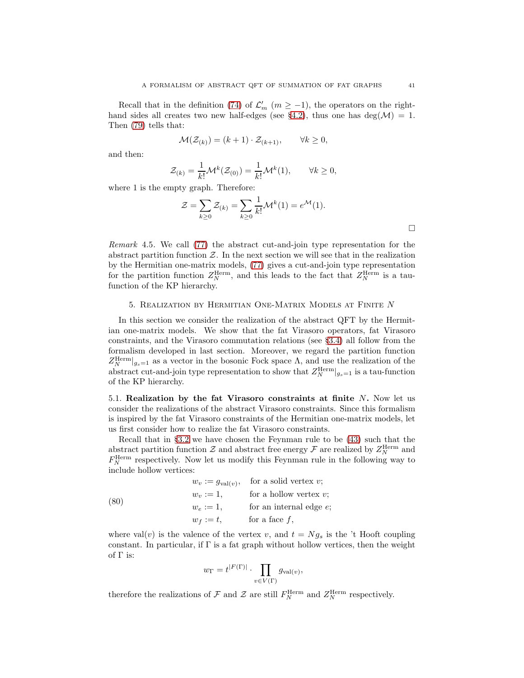Recall that in the definition [\(74\)](#page-39-1) of  $\mathcal{L}'_m$  ( $m \ge -1$ ), the operators on the right-hand sides all creates two new half-edges (see §[4.2\)](#page-31-0), thus one has deg( $\mathcal{M}$ ) = 1. Then [\(79\)](#page-39-2) tells that:

$$
\mathcal{M}(\mathcal{Z}_{(k)}) = (k+1) \cdot \mathcal{Z}_{(k+1)}, \qquad \forall k \ge 0,
$$

and then:

$$
\mathcal{Z}_{(k)} = \frac{1}{k!} \mathcal{M}^k(\mathcal{Z}_{(0)}) = \frac{1}{k!} \mathcal{M}^k(1), \qquad \forall k \ge 0,
$$

where 1 is the empty graph. Therefore:

$$
\mathcal{Z} = \sum_{k \ge 0} \mathcal{Z}_{(k)} = \sum_{k \ge 0} \frac{1}{k!} \mathcal{M}^k(1) = e^{\mathcal{M}}(1).
$$

Remark 4.5. We call [\(77\)](#page-39-3) the abstract cut-and-join type representation for the abstract partition function  $Z$ . In the next section we will see that in the realization by the Hermitian one-matrix models, [\(77\)](#page-39-3) gives a cut-and-join type representation for the partition function  $Z_N^{\text{Herm}}$ , and this leads to the fact that  $Z_N^{\text{Herm}}$  is a taufunction of the KP hierarchy.

#### 5. Realization by Hermitian One-Matrix Models at Finite N

In this section we consider the realization of the abstract QFT by the Hermitian one-matrix models. We show that the fat Virasoro operators, fat Virasoro constraints, and the Virasoro commutation relations (see §[3.4\)](#page-26-0) all follow from the formalism developed in last section. Moreover, we regard the partition function  $Z_N^{\text{Herm}}|_{g_s=1}$  as a vector in the bosonic Fock space  $\Lambda$ , and use the realization of the abstract cut-and-join type representation to show that  $Z_N^{\text{Herm}}|_{g_s=1}$  is a tau-function of the KP hierarchy.

<span id="page-40-1"></span>5.1. Realization by the fat Virasoro constraints at finite  $N$ . Now let us consider the realizations of the abstract Virasoro constraints. Since this formalism is inspired by the fat Virasoro constraints of the Hermitian one-matrix models, let us first consider how to realize the fat Virasoro constraints.

Recall that in §[3.2](#page-22-0) we have chosen the Feynman rule to be [\(43\)](#page-24-0) such that the abstract partition function  $\mathcal Z$  and abstract free energy  $\mathcal F$  are realized by  $Z_N^{\text{Herm}}$  and  $F_N^{\text{Herm}}$  respectively. Now let us modify this Feynman rule in the following way to include hollow vertices:

<span id="page-40-0"></span>(80) 
$$
w_v := g_{val(v)}, \text{ for a solid vertex } v;
$$

$$
w_v := 1, \text{ for a hollow vertex } v;
$$

$$
w_e := 1, \text{ for an internal edge } e;
$$

$$
w_f := t, \text{ for a face } f,
$$

where val(v) is the valence of the vertex v, and  $t = Ng_s$  is the 't Hooft coupling constant. In particular, if  $\Gamma$  is a fat graph without hollow vertices, then the weight of  $\Gamma$  is:

$$
w_{\Gamma} = t^{|F(\Gamma)|} \cdot \prod_{v \in V(\Gamma)} g_{\text{val}(v)},
$$

therefore the realizations of  $\mathcal F$  and  $\mathcal Z$  are still  $F_N^{\text{Herm}}$  and  $Z_N^{\text{Herm}}$  respectively.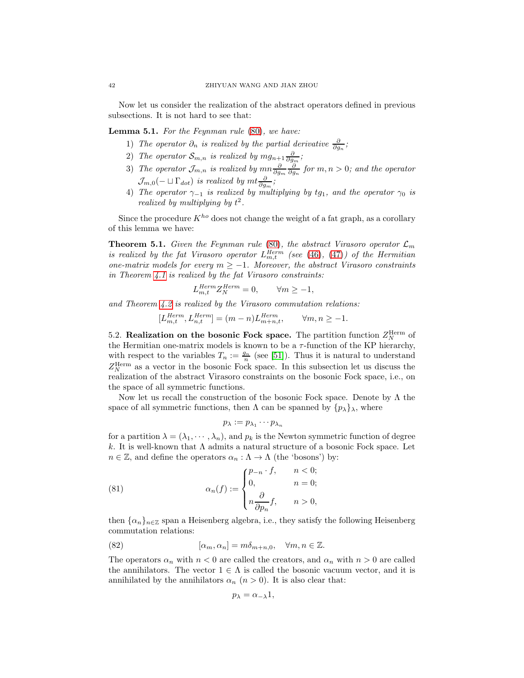Now let us consider the realization of the abstract operators defined in previous subsections. It is not hard to see that:

<span id="page-41-0"></span>Lemma 5.1. For the Feynman rule [\(80\)](#page-40-0), we have:

- 1) The operator  $\partial_n$  is realized by the partial derivative  $\frac{\partial}{\partial q_n}$ ;  $\partial g_n$
- 2) The operator  $\mathcal{S}_{m,n}$  is realized by  $mg_{n+1}\frac{\partial}{\partial g_m}$ ;
- 3) The operator  $\mathcal{J}_{m,n}$  is realized by  $mn\frac{\partial}{\partial g_m}\frac{\partial}{\partial g_n}$  for  $m,n>0$ ; and the operator  $\mathcal{J}_{m,0}(-\sqcup\Gamma_{dot})$  is realized by  $m t\frac{\partial}{\partial g_m};$
- 4) The operator  $\gamma_{-1}$  is realized by multiplying by tg<sub>1</sub>, and the operator  $\gamma_0$  is realized by multiplying by  $t^2$ .

Since the procedure  $K^{ho}$  does not change the weight of a fat graph, as a corollary of this lemma we have:

**Theorem 5.1.** Given the Feynman rule [\(80\)](#page-40-0), the abstract Virasoro operator  $\mathcal{L}_m$ is realized by the fat Virasoro operator  $L_{m,t}^{Herm}$  (see [\(46\)](#page-26-1), [\(47\)](#page-26-2)) of the Hermitian one-matrix models for every  $m \ge -1$ . Moreover, the abstract Virasoro constraints in Theorem [4.1](#page-34-0) is realized by the fat Virasoro constraints:

$$
L_{m,t}^{Herm} Z_N^{Herm} = 0, \qquad \forall m \ge -1,
$$

and Theorem [4.2](#page-36-1) is realized by the Virasoro commutation relations:

$$
[L_{m,t}^{Herm}, L_{n,t}^{Herm}] = (m-n)L_{m+n,t}^{Herm}, \qquad \forall m,n \geq -1.
$$

5.2. Realization on the bosonic Fock space. The partition function  $Z_N^{\text{Herm}}$  of the Hermitian one-matrix models is known to be a  $\tau$ -function of the KP hierarchy, with respect to the variables  $T_n := \frac{g_n}{n}$  (see [\[51\]](#page-73-0)). Thus it is natural to understand  $Z_N^{\text{Herm}}$  as a vector in the bosonic Fock space. In this subsection let us discuss the realization of the abstract Virasoro constraints on the bosonic Fock space, i.e., on the space of all symmetric functions.

Now let us recall the construction of the bosonic Fock space. Denote by  $\Lambda$  the space of all symmetric functions, then  $\Lambda$  can be spanned by  $\{p_{\lambda}\}_{\lambda}$ , where

<span id="page-41-1"></span>
$$
p_\lambda:=p_{\lambda_1}\cdots p_{\lambda_n}
$$

for a partition  $\lambda = (\lambda_1, \dots, \lambda_n)$ , and  $p_k$  is the Newton symmetric function of degree k. It is well-known that  $\Lambda$  admits a natural structure of a bosonic Fock space. Let  $n \in \mathbb{Z}$ , and define the operators  $\alpha_n : \Lambda \to \Lambda$  (the 'bosons') by:

(81) 
$$
\alpha_n(f) := \begin{cases} p_{-n} \cdot f, & n < 0; \\ 0, & n = 0; \\ n \frac{\partial}{\partial p_n} f, & n > 0, \end{cases}
$$

then  $\{\alpha_n\}_{n\in\mathbb{Z}}$  span a Heisenberg algebra, i.e., they satisfy the following Heisenberg commutation relations:

(82) 
$$
[\alpha_m, \alpha_n] = m\delta_{m+n,0}, \quad \forall m, n \in \mathbb{Z}.
$$

The operators  $\alpha_n$  with  $n < 0$  are called the creators, and  $\alpha_n$  with  $n > 0$  are called the annihilators. The vector  $1 \in \Lambda$  is called the bosonic vacuum vector, and it is annihilated by the annihilators  $\alpha_n$   $(n > 0)$ . It is also clear that:

$$
p_{\lambda} = \alpha_{-\lambda} 1,
$$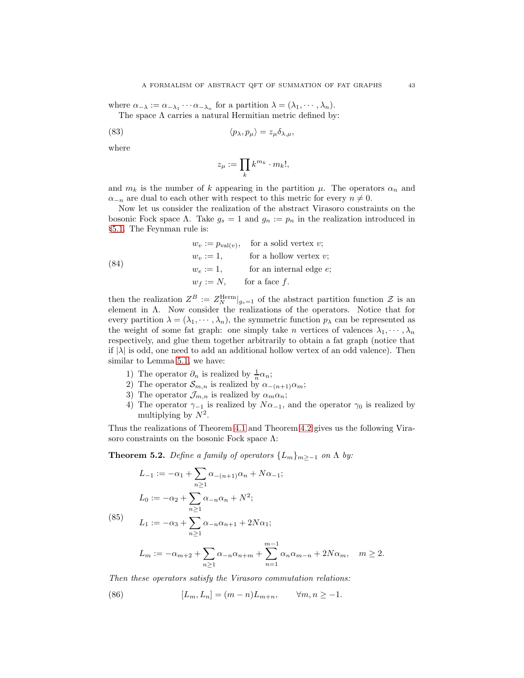where  $\alpha_{-\lambda} := \alpha_{-\lambda_1} \cdots \alpha_{-\lambda_n}$  for a partition  $\lambda = (\lambda_1, \dots, \lambda_n)$ .

The space  $\Lambda$  carries a natural Hermitian metric defined by:

(83) 
$$
\langle p_{\lambda}, p_{\mu} \rangle = z_{\mu} \delta_{\lambda, \mu},
$$

where

$$
z_\mu:=\prod_k k^{m_k}\cdot m_k!,
$$

and  $m_k$  is the number of k appearing in the partition  $\mu$ . The operators  $\alpha_n$  and  $\alpha_{-n}$  are dual to each other with respect to this metric for every  $n \neq 0$ .

Now let us consider the realization of the abstract Virasoro constraints on the bosonic Fock space Λ. Take  $g_s = 1$  and  $g_n := p_n$  in the realization introduced in §[5.1.](#page-40-1) The Feynman rule is:

(84) 
$$
w_v := p_{val(v)}, \text{ for a solid vertex } v;
$$

$$
w_v := 1, \text{ for a hollow vertex } v;
$$

$$
w_e := 1, \text{ for an internal edge } e;
$$

$$
w_f := N, \text{ for a face } f.
$$

then the realization  $Z^B := Z^{\text{Herm}}_N|_{g_s=1}$  of the abstract partition function  $\mathcal Z$  is an element in Λ. Now consider the realizations of the operators. Notice that for every partition  $\lambda = (\lambda_1, \dots, \lambda_n)$ , the symmetric function  $p_\lambda$  can be represented as the weight of some fat graph: one simply take n vertices of valences  $\lambda_1, \dots, \lambda_n$ respectively, and glue them together arbitrarily to obtain a fat graph (notice that if  $|\lambda|$  is odd, one need to add an additional hollow vertex of an odd valence). Then similar to Lemma [5.1,](#page-41-0) we have:

- 1) The operator  $\partial_n$  is realized by  $\frac{1}{n}\alpha_n$ ;
- 2) The operator  $\mathcal{S}_{m,n}$  is realized by  $\alpha_{-(n+1)}\alpha_m$ ;
- 3) The operator  $\mathcal{J}_{m,n}$  is realized by  $\alpha_m \alpha_n$ ;
- 4) The operator  $\gamma_{-1}$  is realized by  $N\alpha_{-1}$ , and the operator  $\gamma_0$  is realized by multiplying by  $N^2$ .

 $n=1$ 

Thus the realizations of Theorem [4.1](#page-34-0) and Theorem [4.2](#page-36-1) gives us the following Virasoro constraints on the bosonic Fock space  $\Lambda$ :

**Theorem 5.2.** Define a family of operators  $\{L_m\}_{m>-1}$  on  $\Lambda$  by:

$$
L_{-1} := -\alpha_1 + \sum_{n\geq 1} \alpha_{-(n+1)}\alpha_n + N\alpha_{-1};
$$
  
\n
$$
L_0 := -\alpha_2 + \sum_{n\geq 1} \alpha_{-n}\alpha_n + N^2;
$$
  
\n(85) 
$$
L_1 := -\alpha_3 + \sum_{n\geq 1} \alpha_{-n}\alpha_{n+1} + 2N\alpha_1;
$$
  
\n
$$
L_m := -\alpha_{m+2} + \sum_{n\geq 1} \alpha_{-n}\alpha_{n+m} + \sum_{n\geq 1} \alpha_n\alpha_{m-n} + 2N\alpha_m, \quad m \geq 2.
$$

Then these operators satisfy the Virasoro commutation relations:

(86) 
$$
[L_m, L_n] = (m - n)L_{m+n}, \qquad \forall m, n \ge -1.
$$

 $n \geq 1$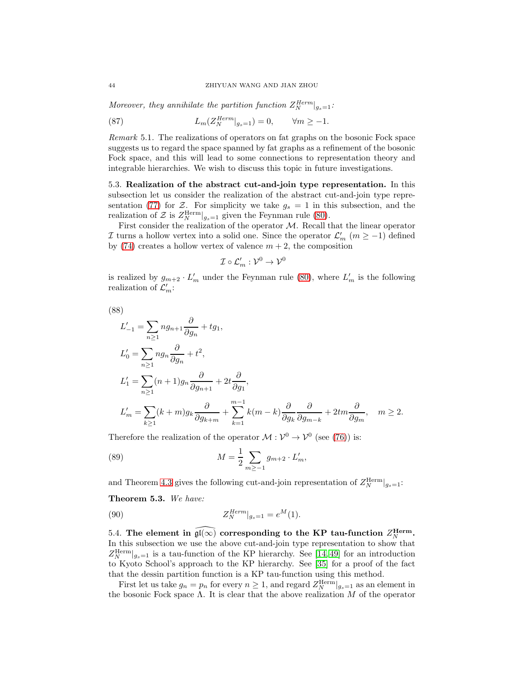Moreover, they annihilate the partition function  $Z_N^{Herm}|_{g_s=1}$ :

(87)  $L_m(Z_N^{Herm}|_{g_s=1}) = 0, \qquad \forall m \ge -1.$ 

Remark 5.1. The realizations of operators on fat graphs on the bosonic Fock space suggests us to regard the space spanned by fat graphs as a refinement of the bosonic Fock space, and this will lead to some connections to representation theory and integrable hierarchies. We wish to discuss this topic in future investigations.

5.3. Realization of the abstract cut-and-join type representation. In this subsection let us consider the realization of the abstract cut-and-join type repre-sentation [\(77\)](#page-39-3) for Z. For simplicity we take  $g_s = 1$  in this subsection, and the realization of  $\mathcal{Z}$  is  $Z_N^{\text{Herm}}|_{g_s=1}$  given the Feynman rule [\(80\)](#page-40-0).

First consider the realization of the operator  $M$ . Recall that the linear operator I turns a hollow vertex into a solid one. Since the operator  $\mathcal{L}'_m$   $(m \ge -1)$  defined by [\(74\)](#page-39-1) creates a hollow vertex of valence  $m + 2$ , the composition

$$
\mathcal{I}\circ\mathcal{L}'_m:\mathcal{V}^0\to\mathcal{V}^0
$$

is realized by  $g_{m+2} \cdot L'_m$  under the Feynman rule [\(80\)](#page-40-0), where  $L'_m$  is the following realization of  $\mathcal{L}'_m$ :

$$
^{(88)}
$$

$$
L'_{-1} = \sum_{n\geq 1} n g_{n+1} \frac{\partial}{\partial g_n} + t g_1,
$$
  
\n
$$
L'_0 = \sum_{n\geq 1} n g_n \frac{\partial}{\partial g_n} + t^2,
$$
  
\n
$$
L'_1 = \sum_{n\geq 1} (n+1) g_n \frac{\partial}{\partial g_{n+1}} + 2t \frac{\partial}{\partial g_1},
$$
  
\n
$$
L'_m = \sum_{k\geq 1} (k+m) g_k \frac{\partial}{\partial g_{k+m}} + \sum_{k=1}^{m-1} k(m-k) \frac{\partial}{\partial g_k} \frac{\partial}{\partial g_{m-k}} + 2t m \frac{\partial}{\partial g_m}, \quad m \geq 2.
$$

Therefore the realization of the operator  $M : \mathcal{V}^0 \to \mathcal{V}^0$  (see [\(76\)](#page-39-4)) is:

(89) 
$$
M = \frac{1}{2} \sum_{m \ge -1} g_{m+2} \cdot L'_m,
$$

and Theorem [4.3](#page-39-5) gives the following cut-and-join representation of  $Z_N^{\text{Herm}}|_{g_s=1}$ :

Theorem 5.3. We have:

(90) 
$$
Z_N^{Herm}|_{g_s=1} = e^M(1).
$$

5.4. The element in  $\widehat{\mathfrak{gl}(\infty)}$  corresponding to the KP tau-function  $Z_N^{\text{Herm}}$ . In this subsection we use the above cut-and-join type representation to show that  $Z_N^{\text{Herm}}|_{g_s=1}$  is a tau-function of the KP hierarchy. See [\[14,](#page-72-1) [49\]](#page-73-1) for an introduction to Kyoto School's approach to the KP hierarchy. See [\[35\]](#page-73-2) for a proof of the fact that the dessin partition function is a KP tau-function using this method.

First let us take  $g_n = p_n$  for every  $n \geq 1$ , and regard  $Z_N^{\text{Herm}}|_{g_s=1}$  as an element in the bosonic Fock space Λ. It is clear that the above realization  $M$  of the operator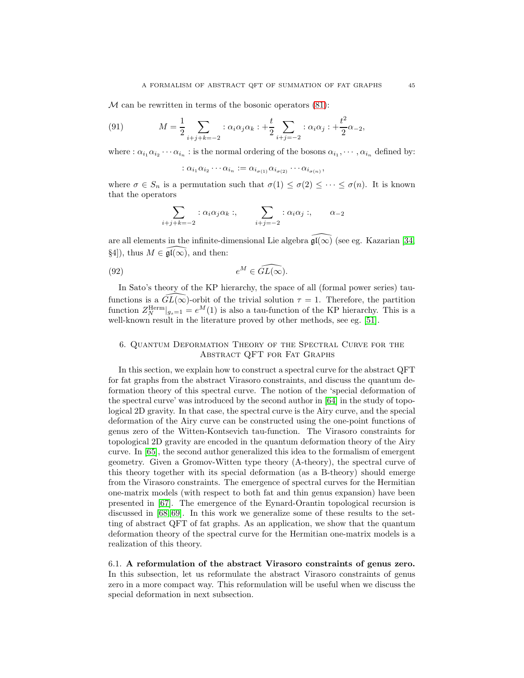$M$  can be rewritten in terms of the bosonic operators  $(81)$ :

(91) 
$$
M = \frac{1}{2} \sum_{i+j+k=-2} : \alpha_i \alpha_j \alpha_k : + \frac{t}{2} \sum_{i+j=-2} : \alpha_i \alpha_j : + \frac{t^2}{2} \alpha_{-2},
$$

where :  $\alpha_{i_1}\alpha_{i_2}\cdots\alpha_{i_n}$  : is the normal ordering of the bosons  $\alpha_{i_1},\cdots,\alpha_{i_n}$  defined by:

$$
\colon \alpha_{i_1}\alpha_{i_2}\cdots \alpha_{i_n} := \alpha_{i_{\sigma(1)}}\alpha_{i_{\sigma(2)}}\cdots \alpha_{i_{\sigma(n)}},
$$

where  $\sigma \in S_n$  is a permutation such that  $\sigma(1) \leq \sigma(2) \leq \cdots \leq \sigma(n)$ . It is known that the operators

$$
\sum_{i+j+k=-2} : \alpha_i \alpha_j \alpha_k : , \qquad \sum_{i+j=-2} : \alpha_i \alpha_j : , \qquad \alpha_{-2}
$$

are all elements in the infinite-dimensional Lie algebra  $\widehat{\mathfrak{gl}(\infty)}$  (see eg. Kazarian [\[34,](#page-73-3) §4]), thus  $M \in \widehat{\mathfrak{gl}(\infty)}$ , and then:

(92) 
$$
e^M \in \widehat{GL(\infty)}.
$$

In Sato's theory of the KP hierarchy, the space of all (formal power series) taufunctions is a  $GL(\infty)$ -orbit of the trivial solution  $\tau = 1$ . Therefore, the partition function  $Z_N^{\text{Herm}}|_{g_s=1} = e^M(1)$  is also a tau-function of the KP hierarchy. This is a well-known result in the literature proved by other methods, see eg. [\[51\]](#page-73-0).

## <span id="page-44-0"></span>6. Quantum Deformation Theory of the Spectral Curve for the Abstract QFT for Fat Graphs

In this section, we explain how to construct a spectral curve for the abstract QFT for fat graphs from the abstract Virasoro constraints, and discuss the quantum deformation theory of this spectral curve. The notion of the 'special deformation of the spectral curve' was introduced by the second author in [\[64\]](#page-74-0) in the study of topological 2D gravity. In that case, the spectral curve is the Airy curve, and the special deformation of the Airy curve can be constructed using the one-point functions of genus zero of the Witten-Kontsevich tau-function. The Virasoro constraints for topological 2D gravity are encoded in the quantum deformation theory of the Airy curve. In [\[65\]](#page-74-1), the second author generalized this idea to the formalism of emergent geometry. Given a Gromov-Witten type theory (A-theory), the spectral curve of this theory together with its special deformation (as a B-theory) should emerge from the Virasoro constraints. The emergence of spectral curves for the Hermitian one-matrix models (with respect to both fat and thin genus expansion) have been presented in [\[67\]](#page-74-2). The emergence of the Eynard-Orantin topological recursion is discussed in [\[68,](#page-74-3) [69\]](#page-74-4). In this work we generalize some of these results to the setting of abstract QFT of fat graphs. As an application, we show that the quantum deformation theory of the spectral curve for the Hermitian one-matrix models is a realization of this theory.

6.1. A reformulation of the abstract Virasoro constraints of genus zero. In this subsection, let us reformulate the abstract Virasoro constraints of genus zero in a more compact way. This reformulation will be useful when we discuss the special deformation in next subsection.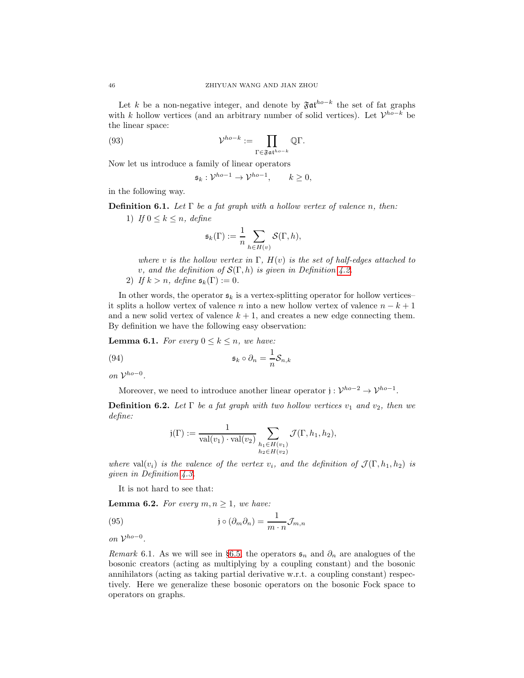Let k be a non-negative integer, and denote by  $\mathfrak{F} \mathfrak{a} \mathfrak{t}^{ho-k}$  the set of fat graphs with k hollow vertices (and an arbitrary number of solid vertices). Let  $\mathcal{V}^{ho-k}$  be the linear space:

(93) 
$$
\mathcal{V}^{ho-k} := \prod_{\Gamma \in \mathfrak{F} \mathfrak{a} \mathfrak{t}^{ho-k}} \mathbb{Q} \Gamma.
$$

Now let us introduce a family of linear operators

$$
\mathfrak{s}_k: \mathcal{V}^{ho-1} \to \mathcal{V}^{ho-1}, \qquad k \ge 0,
$$

in the following way.

**Definition 6.1.** Let  $\Gamma$  be a fat graph with a hollow vertex of valence n, then:

1) If  $0 \leq k \leq n$ , define

$$
\mathfrak{s}_k(\Gamma) := \frac{1}{n} \sum_{h \in H(v)} \mathcal{S}(\Gamma, h),
$$

where v is the hollow vertex in  $\Gamma$ ,  $H(v)$  is the set of half-edges attached to v, and the definition of  $\mathcal{S}(\Gamma,h)$  is given in Definition [4.2.](#page-31-1)

2) If  $k > n$ , define  $\mathfrak{s}_k(\Gamma) := 0$ .

In other words, the operator  $s_k$  is a vertex-splitting operator for hollow vertices– it splits a hollow vertex of valence n into a new hollow vertex of valence  $n - k + 1$ and a new solid vertex of valence  $k + 1$ , and creates a new edge connecting them. By definition we have the following easy observation:

<span id="page-45-0"></span>**Lemma 6.1.** For every  $0 \leq k \leq n$ , we have:

(94) 
$$
\mathfrak{s}_k \circ \partial_n = \frac{1}{n} \mathcal{S}_{n,k}
$$

on  $\mathcal{V}^{ho=0}$ .

Moreover, we need to introduce another linear operator  $j: \mathcal{V}^{ho-2} \to \mathcal{V}^{ho-1}$ .

**Definition 6.2.** Let  $\Gamma$  be a fat graph with two hollow vertices  $v_1$  and  $v_2$ , then we define:

$$
j(\Gamma) := \frac{1}{\text{val}(v_1) \cdot \text{val}(v_2)} \sum_{\substack{h_1 \in H(v_1) \\ h_2 \in H(v_2)}} \mathcal{J}(\Gamma, h_1, h_2),
$$

where val $(v_i)$  is the valence of the vertex  $v_i$ , and the definition of  $\mathcal{J}(\Gamma, h_1, h_2)$  is given in Definition [4.3.](#page-32-0)

It is not hard to see that:

<span id="page-45-1"></span>**Lemma 6.2.** For every  $m, n \geq 1$ , we have:

(95) 
$$
\mathfrak{j} \circ (\partial_m \partial_n) = \frac{1}{m \cdot n} \mathcal{J}_{m,n}
$$

on  $\mathcal{V}^{ho=0}$ .

Remark 6.1. As we will see in §[6.5,](#page-51-0) the operators  $\mathfrak{s}_n$  and  $\partial_n$  are analogues of the bosonic creators (acting as multiplying by a coupling constant) and the bosonic annihilators (acting as taking partial derivative w.r.t. a coupling constant) respectively. Here we generalize these bosonic operators on the bosonic Fock space to operators on graphs.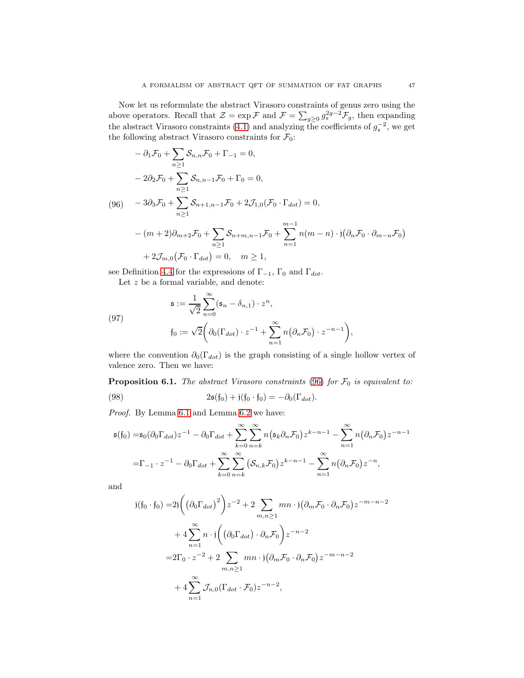Now let us reformulate the abstract Virasoro constraints of genus zero using the above operators. Recall that  $\mathcal{Z} = \exp \mathcal{F}$  and  $\mathcal{F} = \sum_{g\geq 0} g_s^{2g-2} \mathcal{F}_g$ , then expanding the abstract Virasoro constraints [\(4.1\)](#page-34-0) and analyzing the coefficients of  $g_s^{-2}$ , we get the following abstract Virasoro constraints for  $\mathcal{F}_0$ :

<span id="page-46-0"></span>
$$
- \partial_1 \mathcal{F}_0 + \sum_{n \ge 1} \mathcal{S}_{n,n} \mathcal{F}_0 + \Gamma_{-1} = 0,
$$
  
\n
$$
- 2\partial_2 \mathcal{F}_0 + \sum_{n \ge 1} \mathcal{S}_{n,n-1} \mathcal{F}_0 + \Gamma_0 = 0,
$$
  
\n(96) 
$$
- 3\partial_3 \mathcal{F}_0 + \sum_{n \ge 1} \mathcal{S}_{n+1,n-1} \mathcal{F}_0 + 2 \mathcal{J}_{1,0} (\mathcal{F}_0 \cdot \Gamma_{dot}) = 0,
$$
  
\n
$$
- (m+2)\partial_{m+2} \mathcal{F}_0 + \sum_{n \ge 1} \mathcal{S}_{n+m,n-1} \mathcal{F}_0 + \sum_{n=1}^{m-1} n(m-n) \cdot j(\partial_n \mathcal{F}_0 \cdot \partial_{m-n} \mathcal{F}_0)
$$
  
\n
$$
+ 2 \mathcal{J}_{m,0} (\mathcal{F}_0 \cdot \Gamma_{dot}) = 0, \quad m \ge 1,
$$

see Definition [4.4](#page-33-0) for the expressions of  $\Gamma_{-1}$ ,  $\Gamma_0$  and  $\Gamma_{dot}$ .

Let  $z$  be a formal variable, and denote:

(97)  

$$
\mathfrak{s} := \frac{1}{\sqrt{2}} \sum_{n=0}^{\infty} (\mathfrak{s}_n - \delta_{n,1}) \cdot z^n,
$$

$$
\mathfrak{f}_0 := \sqrt{2} \bigg( \partial_0 (\Gamma_{dot}) \cdot z^{-1} + \sum_{n=1}^{\infty} n (\partial_n \mathcal{F}_0) \cdot z^{-n-1} \bigg),
$$

where the convention  $\partial_0(\Gamma_{dot})$  is the graph consisting of a single hollow vertex of valence zero. Then we have:

<span id="page-46-1"></span>**Proposition 6.1.** The abstract Virasoro constraints [\(96\)](#page-46-0) for  $\mathcal{F}_0$  is equivalent to: (98)  $2\mathfrak{s}(f_0) + j(f_0 \cdot f_0) = -\partial_0(\Gamma_{dot}).$ 

Proof. By Lemma [6.1](#page-45-0) and Lemma [6.2](#page-45-1) we have:

$$
\mathfrak{s}(\mathfrak{f}_0) = \mathfrak{s}_0(\partial_0 \Gamma_{dot}) z^{-1} - \partial_0 \Gamma_{dot} + \sum_{k=0}^{\infty} \sum_{n=k}^{\infty} n(\mathfrak{s}_k \partial_n \mathcal{F}_0) z^{k-n-1} - \sum_{n=1}^{\infty} n(\partial_n \mathcal{F}_0) z^{-n-1}
$$

$$
= \Gamma_{-1} \cdot z^{-1} - \partial_0 \Gamma_{dot} + \sum_{k=0}^{\infty} \sum_{n=k}^{\infty} (\mathcal{S}_{n,k} \mathcal{F}_0) z^{k-n-1} - \sum_{n=1}^{\infty} n(\partial_n \mathcal{F}_0) z^{-n},
$$

and

$$
j(f_0 \cdot f_0) = 2j \left( \left( \partial_0 \Gamma_{dot} \right)^2 \right) z^{-2} + 2 \sum_{m,n \ge 1} mn \cdot j \left( \partial_m \mathcal{F}_0 \cdot \partial_n \mathcal{F}_0 \right) z^{-m-n-2}
$$

$$
+ 4 \sum_{n=1}^{\infty} n \cdot j \left( \left( \partial_0 \Gamma_{dot} \right) \cdot \partial_n \mathcal{F}_0 \right) z^{-n-2}
$$

$$
= 2\Gamma_0 \cdot z^{-2} + 2 \sum_{m,n \ge 1} mn \cdot j \left( \partial_m \mathcal{F}_0 \cdot \partial_n \mathcal{F}_0 \right) z^{-m-n-2}
$$

$$
+ 4 \sum_{n=1}^{\infty} \mathcal{J}_{n,0} (\Gamma_{dot} \cdot \mathcal{F}_0) z^{-n-2},
$$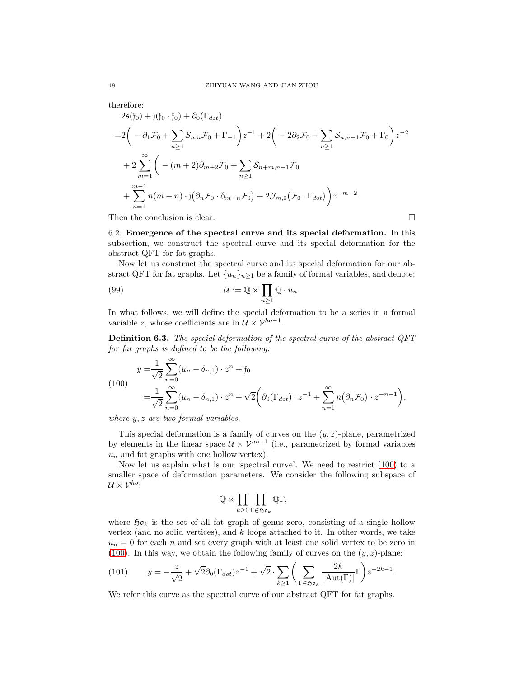therefore:

$$
2\mathfrak{s}(\mathfrak{f}_0) + \mathfrak{j}(\mathfrak{f}_0 \cdot \mathfrak{f}_0) + \partial_0(\Gamma_{dot})
$$
  
\n
$$
= 2\left(-\partial_1 \mathcal{F}_0 + \sum_{n \geq 1} \mathcal{S}_{n,n} \mathcal{F}_0 + \Gamma_{-1}\right) z^{-1} + 2\left(-2\partial_2 \mathcal{F}_0 + \sum_{n \geq 1} \mathcal{S}_{n,n-1} \mathcal{F}_0 + \Gamma_0\right) z^{-2}
$$
  
\n
$$
+ 2\sum_{m=1}^{\infty} \left(-(m+2)\partial_{m+2} \mathcal{F}_0 + \sum_{n \geq 1} \mathcal{S}_{n+m,n-1} \mathcal{F}_0
$$
  
\n
$$
+ \sum_{n=1}^{m-1} n(m-n) \cdot \mathfrak{j}(\partial_n \mathcal{F}_0 \cdot \partial_{m-n} \mathcal{F}_0) + 2\mathcal{J}_{m,0}(\mathcal{F}_0 \cdot \Gamma_{dot}) z^{-m-2}.
$$

Then the conclusion is clear.  $\Box$ 

6.2. Emergence of the spectral curve and its special deformation. In this subsection, we construct the spectral curve and its special deformation for the abstract QFT for fat graphs.

Now let us construct the spectral curve and its special deformation for our abstract QFT for fat graphs. Let  $\{u_n\}_{n>1}$  be a family of formal variables, and denote:

(99) 
$$
\mathcal{U} := \mathbb{Q} \times \prod_{n \geq 1} \mathbb{Q} \cdot u_n.
$$

In what follows, we will define the special deformation to be a series in a formal variable z, whose coefficients are in  $\mathcal{U} \times \mathcal{V}^{ho-1}$ .

Definition 6.3. The special deformation of the spectral curve of the abstract QFT for fat graphs is defined to be the following:

<span id="page-47-0"></span>(100)  

$$
y = \frac{1}{\sqrt{2}} \sum_{n=0}^{\infty} (u_n - \delta_{n,1}) \cdot z^n + \mathfrak{f}_0
$$

$$
= \frac{1}{\sqrt{2}} \sum_{n=0}^{\infty} (u_n - \delta_{n,1}) \cdot z^n + \sqrt{2} \left( \partial_0 (\Gamma_{dot}) \cdot z^{-1} + \sum_{n=1}^{\infty} n (\partial_n \mathcal{F}_0) \cdot z^{-n-1} \right),
$$

where  $y, z$  are two formal variables.

This special deformation is a family of curves on the  $(y, z)$ -plane, parametrized by elements in the linear space  $\mathcal{U} \times \mathcal{V}^{ho-1}$  (i.e., parametrized by formal variables  $u_n$  and fat graphs with one hollow vertex).

Now let us explain what is our 'spectral curve'. We need to restrict [\(100\)](#page-47-0) to a smaller space of deformation parameters. We consider the following subspace of  $U \times V^{ho}$ :

$$
\mathbb{Q}\times \prod_{k\geq 0}\prod_{\Gamma\in \mathfrak{Hom}_k}\mathbb{Q}\Gamma,
$$

where  $\mathfrak{H}o_k$  is the set of all fat graph of genus zero, consisting of a single hollow vertex (and no solid vertices), and  $k$  loops attached to it. In other words, we take  $u_n = 0$  for each n and set every graph with at least one solid vertex to be zero in [\(100\)](#page-47-0). In this way, we obtain the following family of curves on the  $(y, z)$ -plane:

<span id="page-47-1"></span>(101) 
$$
y = -\frac{z}{\sqrt{2}} + \sqrt{2}\partial_0(\Gamma_{dot})z^{-1} + \sqrt{2}\cdot \sum_{k\geq 1} \left(\sum_{\Gamma \in \mathfrak{H}\mathfrak{d}_k} \frac{2k}{|\mathrm{Aut}(\Gamma)|} \Gamma\right) z^{-2k-1}.
$$

We refer this curve as the spectral curve of our abstract QFT for fat graphs.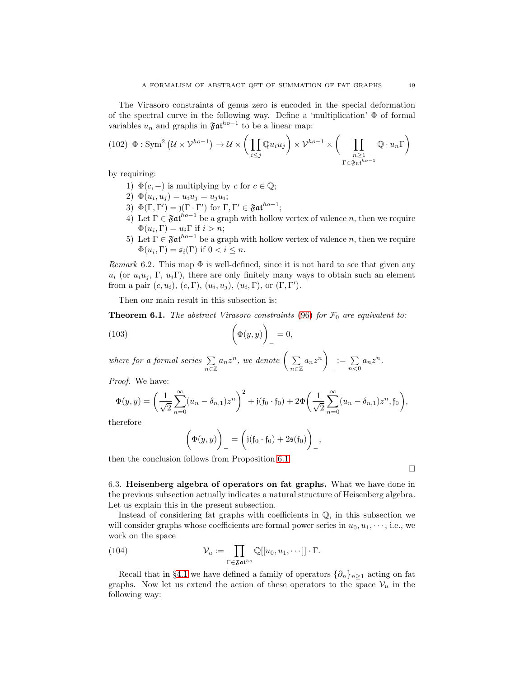The Virasoro constraints of genus zero is encoded in the special deformation of the spectral curve in the following way. Define a 'multiplication'  $\Phi$  of formal variables  $u_n$  and graphs in  $\mathfrak{F}$ at<sup>ho-1</sup> to be a linear map:

(102) 
$$
\Phi : \text{Sym}^2 (U \times V^{ho-1}) \to U \times \left( \prod_{i \leq j} \mathbb{Q} u_i u_j \right) \times V^{ho-1} \times \left( \prod_{\substack{n \geq 1 \\ \Gamma \in \mathfrak{F} \mathfrak{a} \mathfrak{t}^{ho-1}}} \mathbb{Q} \cdot u_n \Gamma \right)
$$

by requiring:

- 1)  $\Phi(c, -)$  is multiplying by c for  $c \in \mathbb{Q}$ ;
- 2)  $\Phi(u_i, u_j) = u_i u_j = u_j u_i;$
- 3)  $\Phi(\Gamma, \Gamma') = \mathfrak{j}(\Gamma \cdot \Gamma')$  for  $\Gamma, \Gamma' \in \mathfrak{Fat}^{ho-1}$ ;
- 4) Let  $\Gamma \in \mathfrak{Fat}^{h^o-1}$  be a graph with hollow vertex of valence n, then we require  $\Phi(u_i, \Gamma) = u_i \Gamma$  if  $i > n$ ;
- 5) Let  $\Gamma \in \mathfrak{Fat}^{ho-1}$  be a graph with hollow vertex of valence n, then we require  $\Phi(u_i, \Gamma) = \mathfrak{s}_i(\Gamma)$  if  $0 < i \leq n$ .

Remark 6.2. This map  $\Phi$  is well-defined, since it is not hard to see that given any  $u_i$  (or  $u_i u_j$ , Γ,  $u_i \Gamma$ ), there are only finitely many ways to obtain such an element from a pair  $(c, u_i)$ ,  $(c, \Gamma)$ ,  $(u_i, u_j)$ ,  $(u_i, \Gamma)$ , or  $(\Gamma, \Gamma')$ .

Then our main result in this subsection is:

<span id="page-48-0"></span>**Theorem 6.1.** The abstract Virasoro constraints [\(96\)](#page-46-0) for  $\mathcal{F}_0$  are equivalent to:

(103) 
$$
\left(\Phi(y,y)\right)_-=0,
$$

where for a formal series  $\sum$  $n\overline{\in}\mathbb{Z}$  $a_nz^n, \ we \ denote \ \Big(\ \sum$  $\sum_{n\in\mathbb{Z}}$  $a_nz^n$ −  $:= \sum_{n<0} a_n z^n.$ 

Proof. We have:

$$
\Phi(y,y) = \left(\frac{1}{\sqrt{2}} \sum_{n=0}^{\infty} (u_n - \delta_{n,1}) z^n\right)^2 + j(\mathfrak{f}_0 \cdot \mathfrak{f}_0) + 2\Phi\left(\frac{1}{\sqrt{2}} \sum_{n=0}^{\infty} (u_n - \delta_{n,1}) z^n, \mathfrak{f}_0\right),
$$

therefore

$$
\biggl(\Phi(y,y)\biggr)_-=\biggl(\mathfrak{j}(\mathfrak{f}_0\cdot\mathfrak{f}_0)+2\mathfrak{s}(\mathfrak{f}_0)\biggr)_-,
$$

then the conclusion follows from Proposition [6.1.](#page-46-1)

6.3. Heisenberg algebra of operators on fat graphs. What we have done in the previous subsection actually indicates a natural structure of Heisenberg algebra. Let us explain this in the present subsection.

Instead of considering fat graphs with coefficients in  $\mathbb{Q}$ , in this subsection we will consider graphs whose coefficients are formal power series in  $u_0, u_1, \dots$ , i.e., we work on the space

(104) 
$$
\mathcal{V}_u := \prod_{\Gamma \in \mathfrak{F} \mathfrak{a} \mathfrak{t}^{h_o}} \mathbb{Q}[[u_0, u_1, \cdots]] \cdot \Gamma.
$$

Recall that in §[4.1](#page-30-1) we have defined a family of operators  $\{\partial_n\}_{n\geq 1}$  acting on fat graphs. Now let us extend the action of these operators to the space  $V_u$  in the following way:

 $\Box$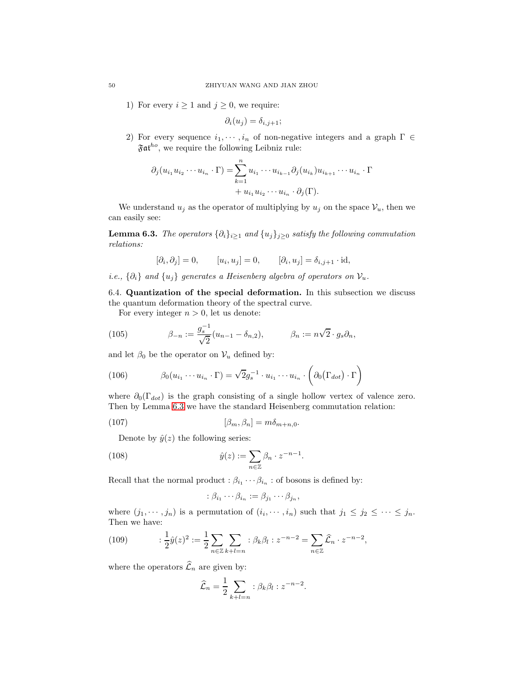1) For every  $i \geq 1$  and  $j \geq 0$ , we require:

$$
\partial_i(u_j)=\delta_{i,j+1};
$$

2) For every sequence  $i_1, \dots, i_n$  of non-negative integers and a graph  $\Gamma \in$  $\mathfrak{Fat}^{ho}$ , we require the following Leibniz rule:

$$
\partial_j (u_{i_1} u_{i_2} \cdots u_{i_n} \cdot \Gamma) = \sum_{k=1}^n u_{i_1} \cdots u_{i_{k-1}} \partial_j (u_{i_k}) u_{i_{k+1}} \cdots u_{i_n} \cdot \Gamma
$$

$$
+ u_{i_1} u_{i_2} \cdots u_{i_n} \cdot \partial_j (\Gamma).
$$

We understand  $u_j$  as the operator of multiplying by  $u_j$  on the space  $\mathcal{V}_u$ , then we can easily see:

<span id="page-49-0"></span>**Lemma 6.3.** The operators  $\{\partial_i\}_{i\geq 1}$  and  $\{u_j\}_{j\geq 0}$  satisfy the following commutation relations:

$$
[\partial_i, \partial_j] = 0, \qquad [u_i, u_j] = 0, \qquad [\partial_i, u_j] = \delta_{i, j+1} \cdot \mathrm{id},
$$

i.e.,  $\{\partial_i\}$  and  $\{u_i\}$  generates a Heisenberg algebra of operators on  $\mathcal{V}_u$ .

6.4. Quantization of the special deformation. In this subsection we discuss the quantum deformation theory of the spectral curve.

For every integer  $n > 0$ , let us denote:

(105) 
$$
\beta_{-n} := \frac{g_s^{-1}}{\sqrt{2}} (u_{n-1} - \delta_{n,2}), \qquad \beta_n := n\sqrt{2} \cdot g_s \partial_n,
$$

and let  $\beta_0$  be the operator on  $\mathcal{V}_u$  defined by:

(106) 
$$
\beta_0(u_{i_1}\cdots u_{i_n}\cdot \Gamma)=\sqrt{2}g_s^{-1}\cdot u_{i_1}\cdots u_{i_n}\cdot\left(\partial_0(\Gamma_{dot})\cdot \Gamma\right)
$$

where  $\partial_0(\Gamma_{dot})$  is the graph consisting of a single hollow vertex of valence zero. Then by Lemma [6.3](#page-49-0) we have the standard Heisenberg commutation relation:

(107) 
$$
[\beta_m, \beta_n] = m\delta_{m+n,0}.
$$

Denote by  $\hat{y}(z)$  the following series:

(108) 
$$
\hat{y}(z) := \sum_{n \in \mathbb{Z}} \beta_n \cdot z^{-n-1}.
$$

Recall that the normal product  $:\beta_{i_1}\cdots\beta_{i_n}$ : of bosons is defined by:

<span id="page-49-1"></span>
$$
\therefore \beta_{i_1} \cdots \beta_{i_n} := \beta_{j_1} \cdots \beta_{j_n},
$$

where  $(j_1, \dots, j_n)$  is a permutation of  $(i_i, \dots, i_n)$  such that  $j_1 \leq j_2 \leq \dots \leq j_n$ . Then we have:

(109) 
$$
\frac{1}{2}\hat{y}(z)^2 := \frac{1}{2}\sum_{n\in\mathbb{Z}}\sum_{k+l=n}:\beta_k\beta_l:z^{-n-2} = \sum_{n\in\mathbb{Z}}\hat{\mathcal{L}}_n\cdot z^{-n-2},
$$

where the operators  $\widehat{\mathcal{L}}_n$  are given by:

$$
\widehat{\mathcal{L}}_n = \frac{1}{2} \sum_{k+l=n} : \beta_k \beta_l : z^{-n-2}.
$$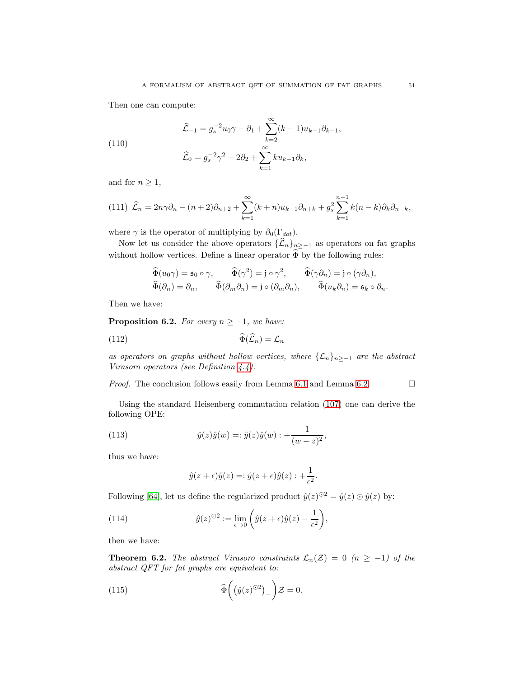Then one can compute:

(110)  

$$
\widehat{\mathcal{L}}_{-1} = g_s^{-2} u_0 \gamma - \partial_1 + \sum_{k=2}^{\infty} (k-1) u_{k-1} \partial_{k-1},
$$

$$
\widehat{\mathcal{L}}_0 = g_s^{-2} \gamma^2 - 2\partial_2 + \sum_{k=1}^{\infty} k u_{k-1} \partial_k,
$$

and for  $n \geq 1$ ,

$$
(111)\ \hat{\mathcal{L}}_n = 2n\gamma \partial_n - (n+2)\partial_{n+2} + \sum_{k=1}^{\infty} (k+n)u_{k-1}\partial_{n+k} + g_s^2 \sum_{k=1}^{n-1} k(n-k)\partial_k \partial_{n-k},
$$

where  $\gamma$  is the operator of multiplying by  $\partial_0(\Gamma_{dot})$ .

Now let us consider the above operators  $\{\widehat{\mathcal{L}}_n\}_{n\geq -1}$  as operators on fat graphs without hollow vertices. Define a linear operator  $\widehat{\Phi}$  by the following rules:

$$
\begin{aligned}\n\widehat{\Phi}(u_0 \gamma) &= \mathfrak{s}_0 \circ \gamma, & \widehat{\Phi}(\gamma^2) &= \mathfrak{j} \circ \gamma^2, & \widehat{\Phi}(\gamma \partial_n) &= \mathfrak{j} \circ (\gamma \partial_n), \\
\widehat{\Phi}(\partial_n) &= \partial_n, & \widehat{\Phi}(\partial_m \partial_n) &= \mathfrak{j} \circ (\partial_m \partial_n), & \widehat{\Phi}(u_k \partial_n) &= \mathfrak{s}_k \circ \partial_n.\n\end{aligned}
$$

Then we have:

<span id="page-50-0"></span>**Proposition 6.2.** For every  $n \geq -1$ , we have:

$$
\widehat{\Phi}(\widehat{\mathcal{L}}_n) = \mathcal{L}_n
$$

as operators on graphs without hollow vertices, where  $\{\mathcal{L}_n\}_{n\geq -1}$  are the abstract Virasoro operators (see Definition [4.4\)](#page-33-0).

*Proof.* The conclusion follows easily from Lemma [6.1](#page-45-0) and Lemma [6.2.](#page-45-1)  $\Box$ 

Using the standard Heisenberg commutation relation [\(107\)](#page-49-1) one can derive the following OPE:

(113) 
$$
\hat{y}(z)\hat{y}(w) =: \hat{y}(z)\hat{y}(w) : + \frac{1}{(w-z)^2},
$$

thus we have:

$$
\hat{y}(z+\epsilon)\hat{y}(z)=:\hat{y}(z+\epsilon)\hat{y}(z):+\frac{1}{\epsilon^2}.
$$

Following [\[64\]](#page-74-0), let us define the regularized product  $\hat{y}(z)^{\odot 2} = \hat{y}(z) \odot \hat{y}(z)$  by:

(114) 
$$
\hat{y}(z)^{\odot 2} := \lim_{\epsilon \to 0} \left( \hat{y}(z + \epsilon) \hat{y}(z) - \frac{1}{\epsilon^2} \right),
$$

then we have:

<span id="page-50-1"></span>**Theorem 6.2.** The abstract Virasoro constraints  $\mathcal{L}_n(\mathcal{Z}) = 0$  (n  $\geq -1$ ) of the  $abstract\ QFT$  for fat graphs are equivalent to:

(115) 
$$
\widehat{\Phi}\left(\left(\widehat{y}(z)^{\odot 2}\right)_{-}\right)\mathcal{Z}=0.
$$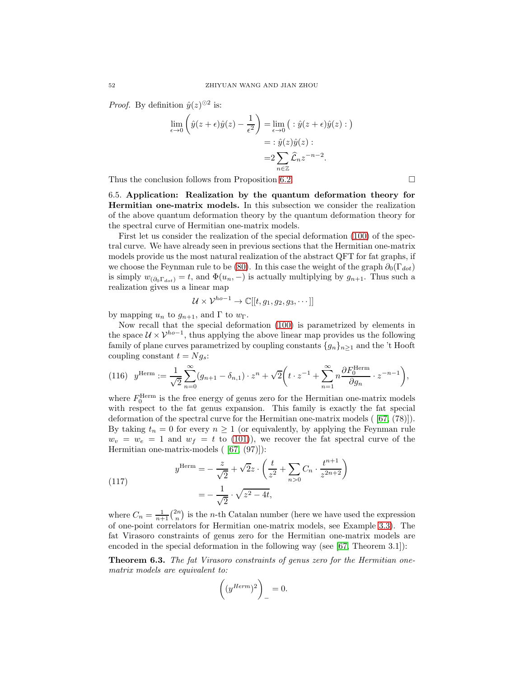*Proof.* By definition  $\hat{y}(z)^{\odot 2}$  is:

$$
\lim_{\epsilon \to 0} \left( \hat{y}(z + \epsilon) \hat{y}(z) - \frac{1}{\epsilon^2} \right) = \lim_{\epsilon \to 0} \left( : \hat{y}(z + \epsilon) \hat{y}(z) : \right)
$$

$$
= : \hat{y}(z) \hat{y}(z) :
$$

$$
= 2 \sum_{n \in \mathbb{Z}} \hat{\mathcal{L}}_n z^{-n-2}.
$$

<span id="page-51-0"></span>Thus the conclusion follows from Proposition [6.2.](#page-50-0)  $\Box$ 

6.5. Application: Realization by the quantum deformation theory for Hermitian one-matrix models. In this subsection we consider the realization of the above quantum deformation theory by the quantum deformation theory for the spectral curve of Hermitian one-matrix models.

First let us consider the realization of the special deformation [\(100\)](#page-47-0) of the spectral curve. We have already seen in previous sections that the Hermitian one-matrix models provide us the most natural realization of the abstract QFT for fat graphs, if we choose the Feynman rule to be [\(80\)](#page-40-0). In this case the weight of the graph  $\partial_0(\Gamma_{dot})$ is simply  $w_{(\partial_0 \Gamma_{dot})} = t$ , and  $\Phi(u_n, -)$  is actually multiplying by  $g_{n+1}$ . Thus such a realization gives us a linear map

$$
\mathcal{U} \times \mathcal{V}^{ho-1} \to \mathbb{C}[[t, g_1, g_2, g_3, \cdots]]
$$

by mapping  $u_n$  to  $g_{n+1}$ , and  $\Gamma$  to  $w_{\Gamma}$ .

Now recall that the special deformation [\(100\)](#page-47-0) is parametrized by elements in the space  $\mathcal{U} \times \mathcal{V}^{ho-1}$ , thus applying the above linear map provides us the following family of plane curves parametrized by coupling constants  $\{g_n\}_{n>1}$  and the 't Hooft coupling constant  $t = Ng_s$ :

(116) 
$$
y^{\text{Herm}} := \frac{1}{\sqrt{2}} \sum_{n=0}^{\infty} (g_{n+1} - \delta_{n,1}) \cdot z^n + \sqrt{2} \left( t \cdot z^{-1} + \sum_{n=1}^{\infty} n \frac{\partial F_0^{\text{Herm}}}{\partial g_n} \cdot z^{-n-1} \right),
$$

where  $F_0^{\text{Herm}}$  is the free energy of genus zero for the Hermitian one-matrix models with respect to the fat genus expansion. This family is exactly the fat special deformation of the spectral curve for the Hermitian one-matrix models ( [\[67,](#page-74-2) (78)]). By taking  $t_n = 0$  for every  $n \geq 1$  (or equivalently, by applying the Feynman rule  $w_v = w_e = 1$  and  $w_f = t$  to [\(101\)](#page-47-1)), we recover the fat spectral curve of the Hermitian one-matrix-models ( [\[67,](#page-74-2) (97)]):

<span id="page-51-1"></span>(117) 
$$
y^{\text{Herm}} = -\frac{z}{\sqrt{2}} + \sqrt{2}z \cdot \left(\frac{t}{z^2} + \sum_{n>0} C_n \cdot \frac{t^{n+1}}{z^{2n+2}}\right) = -\frac{1}{\sqrt{2}} \cdot \sqrt{z^2 - 4t},
$$

where  $C_n = \frac{1}{n+1} \binom{2n}{n}$  is the *n*-th Catalan number (here we have used the expression of one-point correlators for Hermitian one-matrix models, see Example [3.3\)](#page-25-0). The fat Virasoro constraints of genus zero for the Hermitian one-matrix models are encoded in the special deformation in the following way (see [\[67,](#page-74-2) Theorem 3.1]):

Theorem 6.3. The fat Virasoro constraints of genus zero for the Hermitian onematrix models are equivalent to:

$$
\left((y^{Herm})^2\right)_- = 0.
$$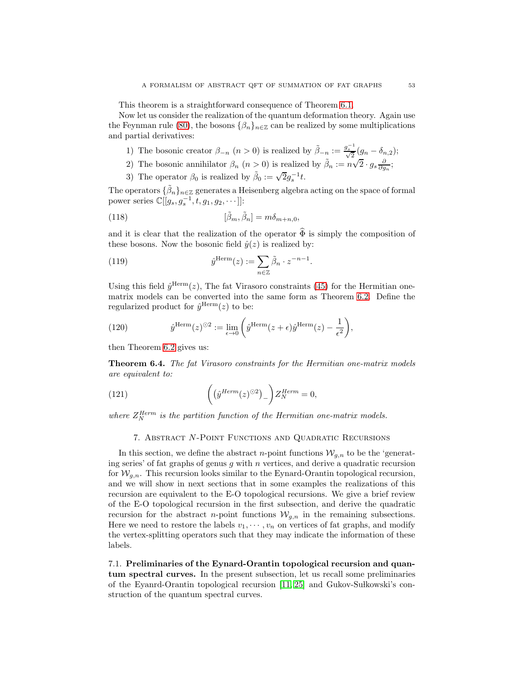This theorem is a straightforward consequence of Theorem [6.1.](#page-48-0)

Now let us consider the realization of the quantum deformation theory. Again use the Feynman rule [\(80\)](#page-40-0), the bosons  $\{\beta_n\}_{n\in\mathbb{Z}}$  can be realized by some multiplications and partial derivatives:

- 1) The bosonic creator  $\beta_{-n}$   $(n > 0)$  is realized by  $\tilde{\beta}_{-n} := \frac{g_s^{-1}}{\sqrt{2}} (g_n \delta_{n,2});$
- 2) The bosonic annihilator  $\beta_n$   $(n > 0)$  is realized by  $\tilde{\beta}_n := n\sqrt{2} \cdot g_s \frac{\partial}{\partial g_n};$
- 3) The operator  $\beta_0$  is realized by  $\tilde{\beta}_0 := \sqrt{2} g_s^{-1} t$ .

The operators  $\{\tilde{\beta}_n\}_{n\in\mathbb{Z}}$  generates a Heisenberg algebra acting on the space of formal power series  $\mathbb{C}[[g_s, g_s^{-1}, t, g_1, g_2, \cdots]]$ :

(118) 
$$
[\tilde{\beta}_m, \tilde{\beta}_n] = m \delta_{m+n,0},
$$

and it is clear that the realization of the operator  $\hat{\Phi}$  is simply the composition of these bosons. Now the bosonic field  $\hat{y}(z)$  is realized by:

(119) 
$$
\hat{y}^{\text{Herm}}(z) := \sum_{n \in \mathbb{Z}} \tilde{\beta}_n \cdot z^{-n-1}.
$$

Using this field  $\hat{y}^{\text{Herm}}(z)$ , The fat Virasoro constraints [\(45\)](#page-26-3) for the Hermitian onematrix models can be converted into the same form as Theorem [6.2.](#page-50-1) Define the regularized product for  $\hat{y}^{\text{Herm}}(z)$  to be:

(120) 
$$
\hat{y}^{\text{Herm}}(z)^{\odot 2} := \lim_{\epsilon \to 0} \left( \hat{y}^{\text{Herm}}(z + \epsilon) \hat{y}^{\text{Herm}}(z) - \frac{1}{\epsilon^2} \right),
$$

then Theorem [6.2](#page-50-1) gives us:

Theorem 6.4. The fat Virasoro constraints for the Hermitian one-matrix models are equivalent to:

(121) 
$$
\left( \left( \hat{y}^{Herm}(z)^{\odot 2} \right)_- \right) Z_N^{Herm} = 0,
$$

<span id="page-52-0"></span>where  $Z_N^{Herm}$  is the partition function of the Hermitian one-matrix models.

### 7. Abstract N-Point Functions and Quadratic Recursions

In this section, we define the abstract *n*-point functions  $W_{a,n}$  to be the 'generating series' of fat graphs of genus  $g$  with  $n$  vertices, and derive a quadratic recursion for  $W_{q,n}$ . This recursion looks similar to the Eynard-Orantin topological recursion, and we will show in next sections that in some examples the realizations of this recursion are equivalent to the E-O topological recursions. We give a brief review of the E-O topological recursion in the first subsection, and derive the quadratic recursion for the abstract *n*-point functions  $W_{g,n}$  in the remaining subsections. Here we need to restore the labels  $v_1, \dots, v_n$  on vertices of fat graphs, and modify the vertex-splitting operators such that they may indicate the information of these labels.

7.1. Preliminaries of the Eynard-Orantin topological recursion and quantum spectral curves. In the present subsection, let us recall some preliminaries of the Eyanrd-Orantin topological recursion  $|11, 25|$  and Gukov-Sułkowski's construction of the quantum spectral curves.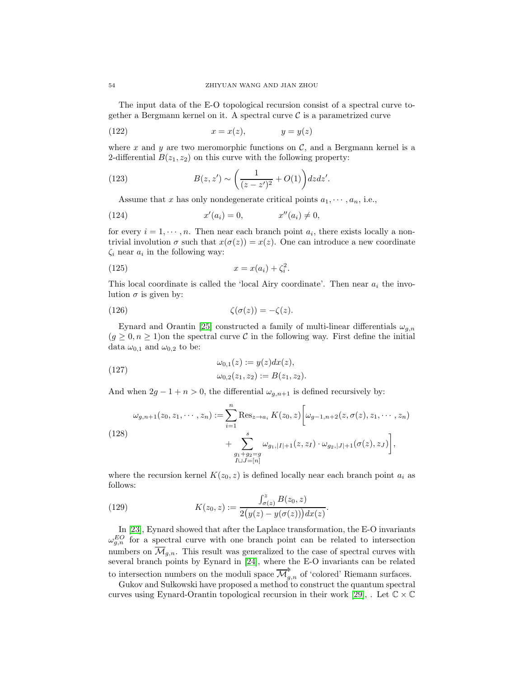The input data of the E-O topological recursion consist of a spectral curve together a Bergmann kernel on it. A spectral curve  $\mathcal C$  is a parametrized curve

$$
(122) \t\t x = x(z), \t\t y = y(z)
$$

where x and y are two meromorphic functions on  $\mathcal{C}$ , and a Bergmann kernel is a 2-differential  $B(z_1, z_2)$  on this curve with the following property:

(123) 
$$
B(z, z') \sim \left(\frac{1}{(z - z')^{2}} + O(1)\right) dz dz'.
$$

Assume that x has only nondegenerate critical points  $a_1, \dots, a_n$ , i.e.,

(124) 
$$
x'(a_i) = 0,
$$
  $x''(a_i) \neq 0,$ 

for every  $i = 1, \dots, n$ . Then near each branch point  $a_i$ , there exists locally a nontrivial involution  $\sigma$  such that  $x(\sigma(z)) = x(z)$ . One can introduce a new coordinate  $\zeta_i$  near  $a_i$  in the following way:

$$
(125) \t\t x = x(a_i) + \zeta_i^2.
$$

This local coordinate is called the 'local Airy coordinate'. Then near  $a_i$  the involution  $\sigma$  is given by:

(126) 
$$
\zeta(\sigma(z)) = -\zeta(z).
$$

Eynard and Orantin [\[25\]](#page-72-3) constructed a family of multi-linear differentials  $\omega_{q,n}$  $(g \geq 0, n \geq 1)$ on the spectral curve C in the following way. First define the initial data  $\omega_{0,1}$  and  $\omega_{0,2}$  to be:

(127) 
$$
\omega_{0,1}(z) := y(z)dx(z), \n\omega_{0,2}(z_1, z_2) := B(z_1, z_2).
$$

And when  $2g - 1 + n > 0$ , the differential  $\omega_{q,n+1}$  is defined recursively by:

<span id="page-53-0"></span>(128)  

$$
\omega_{g,n+1}(z_0, z_1, \cdots, z_n) := \sum_{i=1}^n \text{Res}_{z \to a_i} K(z_0, z) \left[ \omega_{g-1,n+2}(z, \sigma(z), z_1, \cdots, z_n) + \sum_{\substack{g_1 + g_2 = g \\ I \sqcup J = [n]}}^s \omega_{g_1, |I| + 1}(z, z_I) \cdot \omega_{g_2, |J| + 1}(\sigma(z), z_J) \right],
$$

where the recursion kernel  $K(z_0, z)$  is defined locally near each branch point  $a_i$  as follows:

(129) 
$$
K(z_0, z) := \frac{\int_{\sigma(z)}^z B(z_0, z)}{2(y(z) - y(\sigma(z)))dx(z)}.
$$

In [\[23\]](#page-72-4), Eynard showed that after the Laplace transformation, the E-O invariants  $\omega_{g,n}^{EO}$  for a spectral curve with one branch point can be related to intersection numbers on  $\overline{\mathcal{M}}_{g,n}$ . This result was generalized to the case of spectral curves with several branch points by Eynard in [\[24\]](#page-72-5), where the E-O invariants can be related to intersection numbers on the moduli space  $\overline{\mathcal{M}}_{g,n}^{\mathfrak{b}}$  of 'colored' Riemann surfaces.

Gukov and Sułkowski have proposed a method to construct the quantum spectral curves using Eynard-Orantin topological recursion in their work [\[29\]](#page-73-4), . Let  $\mathbb{C} \times \mathbb{C}$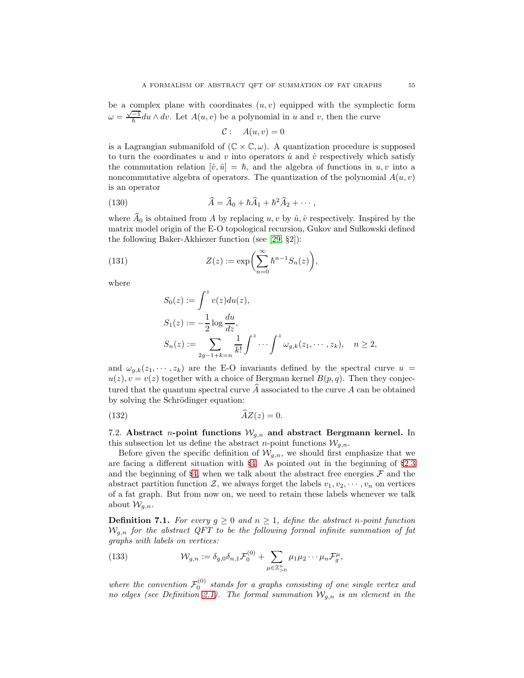be a complex plane with coordinates  $(u, v)$  equipped with the symplectic form  $\omega = \frac{\sqrt{-1}}{\hbar} du \wedge dv$ . Let  $A(u, v)$  be a polynomial in u and v, then the curve

$$
C: A(u,v) = 0
$$

is a Lagrangian submanifold of  $(\mathbb{C} \times \mathbb{C}, \omega)$ . A quantization procedure is supposed to turn the coordinates u and v into operators  $\hat{u}$  and  $\hat{v}$  respectively which satisfy the commutation relation  $[\hat{v}, \hat{u}] = \hbar$ , and the algebra of functions in  $u, v$  into a noncommutative algebra of operators. The quantization of the polynomial  $A(u, v)$ is an operator

(130) 
$$
\widehat{A} = \widehat{A}_0 + \hbar \widehat{A}_1 + \hbar^2 \widehat{A}_2 + \cdots,
$$

where  $\widehat{A}_0$  is obtained from A by replacing u, v by  $\hat{u}, \hat{v}$  respectively. Inspired by the matrix model origin of the E-O topological recursion, Gukov and Sułkowski defined the following Baker-Akhiezer function (see [\[29,](#page-73-4) §2]):

(131) 
$$
Z(z) := \exp\left(\sum_{n=0}^{\infty} \hbar^{n-1} S_n(z)\right),
$$

where

$$
S_0(z) := \int^z v(z) du(z),
$$
  
\n
$$
S_1(z) := -\frac{1}{2} \log \frac{du}{dz},
$$
  
\n
$$
S_n(z) := \sum_{2g-1+k=n} \frac{1}{k!} \int^z \cdots \int^z \omega_{g,k}(z_1, \cdots, z_k), \quad n \ge 2,
$$

and  $\omega_{g,k}(z_1,\dots,z_k)$  are the E-O invariants defined by the spectral curve  $u =$  $u(z), v = v(z)$  together with a choice of Bergman kernel  $B(p, q)$ . Then they conjectured that the quantum spectral curve  $\tilde{A}$  associated to the curve  $A$  can be obtained by solving the Schrödinger equation:

$$
(132)\quad \ \ \overline{AZ}(z) = 0.
$$

7.2. Abstract *n*-point functions  $W_{g,n}$  and abstract Bergmann kernel. In this subsection let us define the abstract *n*-point functions  $W_{a,n}$ .

Before given the specific definition of  $W_{a,n}$ , we should first emphasize that we are facing a different situation with §[4.](#page-29-0) As pointed out in the beginning of §[2.3](#page-13-0) and the beginning of §[4,](#page-29-0) when we talk about the abstract free energies  $\mathcal F$  and the abstract partition function Z, we always forget the labels  $v_1, v_2, \dots, v_n$  on vertices of a fat graph. But from now on, we need to retain these labels whenever we talk about  $\mathcal{W}_{q,n}$ .

**Definition 7.1.** For every  $g \geq 0$  and  $n \geq 1$ , define the abstract n-point function  $W_{q,n}$  for the abstract QFT to be the following formal infinite summation of fat graphs with labels on vertices:

(133) 
$$
\mathcal{W}_{g,n} := \delta_{g,0}\delta_{n,1}\mathcal{F}_0^{(0)} + \sum_{\mu \in \mathbb{Z}_{>0}^n} \mu_1\mu_2\cdots\mu_n\mathcal{F}_g^{\mu},
$$

where the convention  $\mathcal{F}_0^{(0)}$  stands for a graphs consisting of one single vertex and no edges (see Definition [2.1\)](#page-11-0). The formal summation  $\mathcal{W}_{g,n}$  is an element in the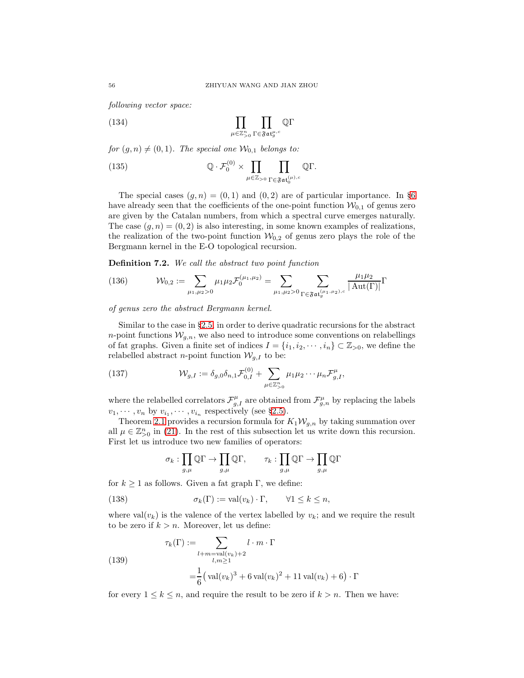following vector space:

(134) 
$$
\prod_{\mu \in \mathbb{Z}_{>0}^n} \prod_{\Gamma \in \mathfrak{Fat}_g^{\mu,c}} \mathbb{Q}\Gamma
$$

for  $(g, n) \neq (0, 1)$ . The special one  $\mathcal{W}_{0,1}$  belongs to:

(135) 
$$
\mathbb{Q} \cdot \mathcal{F}_0^{(0)} \times \prod_{\mu \in \mathbb{Z}_{>0}} \prod_{\Gamma \in \mathfrak{Fat}_0^{(\mu),c}} \mathbb{Q}\Gamma.
$$

The special cases  $(g, n) = (0, 1)$  and  $(0, 2)$  are of particular importance. In §[6](#page-44-0) have already seen that the coefficients of the one-point function  $\mathcal{W}_{0,1}$  of genus zero are given by the Catalan numbers, from which a spectral curve emerges naturally. The case  $(q, n) = (0, 2)$  is also interesting, in some known examples of realizations, the realization of the two-point function  $\mathcal{W}_{0,2}$  of genus zero plays the role of the Bergmann kernel in the E-O topological recursion.

Definition 7.2. We call the abstract two point function

(136) 
$$
\mathcal{W}_{0,2} := \sum_{\mu_1,\mu_2>0} \mu_1 \mu_2 \mathcal{F}_0^{(\mu_1,\mu_2)} = \sum_{\mu_1,\mu_2>0} \sum_{\Gamma \in \mathfrak{Fat}_g^{(\mu_1,\mu_2),c}} \frac{\mu_1 \mu_2}{|\operatorname{Aut}(\Gamma)|} \Gamma
$$

of genus zero the abstract Bergmann kernel.

Similar to the case in §[2.5,](#page-16-0) in order to derive quadratic recursions for the abstract n-point functions  $W_{q,n}$ , we also need to introduce some conventions on relabellings of fat graphs. Given a finite set of indices  $I = \{i_1, i_2, \dots, i_n\} \subset \mathbb{Z}_{>0}$ , we define the relabelled abstract *n*-point function  $\mathcal{W}_{g,I}$  to be:

<span id="page-55-1"></span>(137) 
$$
\mathcal{W}_{g,I} := \delta_{g,0} \delta_{n,1} \mathcal{F}_{0,I}^{(0)} + \sum_{\mu \in \mathbb{Z}_{>0}^n} \mu_1 \mu_2 \cdots \mu_n \mathcal{F}_{g,I}^{\mu},
$$

where the relabelled correlators  $\mathcal{F}^{\mu}_{g,I}$  are obtained from  $\mathcal{F}^{\mu}_{g,n}$  by replacing the labels  $v_1, \dots, v_n$  by  $v_{i_1}, \dots, v_{i_n}$  respectively (see §[2.5\)](#page-16-0).

Theorem [2.1](#page-17-0) provides a recursion formula for  $K_1 \mathcal{W}_{g,n}$  by taking summation over all  $\mu \in \mathbb{Z}_{>0}^n$  in [\(21\)](#page-17-1). In the rest of this subsection let us write down this recursion. First let us introduce two new families of operators:

<span id="page-55-0"></span>
$$
\sigma_k: \prod_{g,\mu}\mathbb{Q}\Gamma\to \prod_{g,\mu}\mathbb{Q}\Gamma,\qquad \tau_k: \prod_{g,\mu}\mathbb{Q}\Gamma\to \prod_{g,\mu}\mathbb{Q}\Gamma
$$

for  $k \geq 1$  as follows. Given a fat graph Γ, we define:

(138) 
$$
\sigma_k(\Gamma) := \text{val}(v_k) \cdot \Gamma, \qquad \forall 1 \leq k \leq n,
$$

where  $val(v_k)$  is the valence of the vertex labelled by  $v_k$ ; and we require the result to be zero if  $k > n$ . Moreover, let us define:

· Γ

(139) 
$$
\tau_k(\Gamma) := \sum_{\substack{l+m=\text{val}(v_k)+2 \\ l,m \ge 1}} l \cdot m \cdot \Gamma
$$

$$
= \frac{1}{6} \left( \text{val}(v_k)^3 + 6 \text{ val}(v_k)^2 + 11 \text{ val}(v_k) + 6 \right).
$$

for every  $1 \leq k \leq n$ , and require the result to be zero if  $k > n$ . Then we have: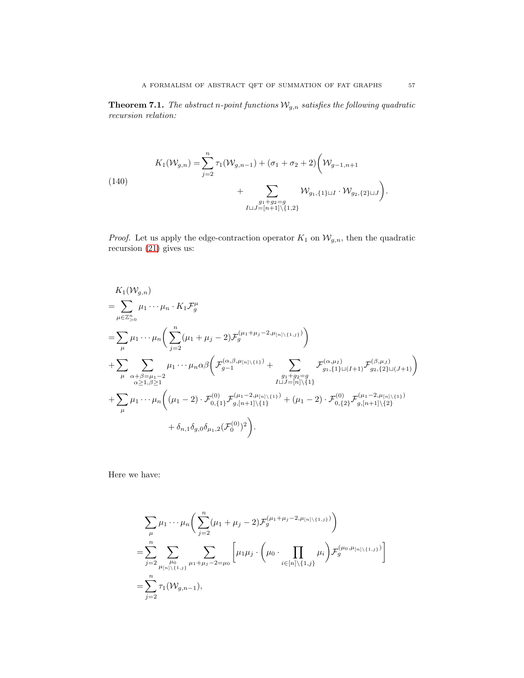**Theorem 7.1.** The abstract n-point functions  $\mathcal{W}_{g,n}$  satisfies the following quadratic recursion relation:

<span id="page-56-0"></span>(140)  
\n
$$
K_{1}(\mathcal{W}_{g,n}) = \sum_{j=2}^{n} \tau_{1}(\mathcal{W}_{g,n-1}) + (\sigma_{1} + \sigma_{2} + 2) \left( \mathcal{W}_{g-1,n+1} + \sum_{\substack{g_{1}+g_{2}=g\\ I \sqcup J=[n+1]\setminus\{1,2\}}} \mathcal{W}_{g_{1},\{1\}\sqcup I} \cdot \mathcal{W}_{g_{2},\{2\}\sqcup J} \right).
$$

*Proof.* Let us apply the edge-contraction operator  $K_1$  on  $\mathcal{W}_{g,n}$ , then the quadratic recursion [\(21\)](#page-17-1) gives us:

$$
K_{1}(\mathcal{W}_{g,n})
$$
\n
$$
= \sum_{\mu \in \mathbb{Z}_{>0}^{n}} \mu_{1} \cdots \mu_{n} \cdot K_{1} \mathcal{F}_{g}^{\mu}
$$
\n
$$
= \sum_{\mu} \mu_{1} \cdots \mu_{n} \left( \sum_{j=2}^{n} (\mu_{1} + \mu_{j} - 2) \mathcal{F}_{g}^{(\mu_{1} + \mu_{j} - 2, \mu_{[n] \setminus \{1,j\}})} \right)
$$
\n
$$
+ \sum_{\mu} \sum_{\substack{\alpha+\beta=\mu_{1}-2 \\ \alpha \geq 1, \beta \geq 1}} \mu_{1} \cdots \mu_{n} \alpha \beta \left( \mathcal{F}_{g-1}^{(\alpha,\beta,\mu_{[n] \setminus \{1\}})} + \sum_{\substack{g_{1}+g_{2}=g \\ g_{1}, \{1\} \sqcup (I+1)}} \mathcal{F}_{g_{1}, \{1\} \sqcup (I+1)}^{(\beta,\mu_{J})} \mathcal{F}_{g_{2}, \{2\} \sqcup (J+1)}^{(\beta,\mu_{J})} \right)
$$
\n
$$
+ \sum_{\mu} \mu_{1} \cdots \mu_{n} \left( (\mu_{1} - 2) \cdot \mathcal{F}_{0, \{1\}}^{(0)} \mathcal{F}_{g, [n+1] \setminus \{1\}}^{(\mu_{1} - 2, \mu_{[n] \setminus \{1\}})} + (\mu_{1} - 2) \cdot \mathcal{F}_{0, \{2\}}^{(0)} \mathcal{F}_{g, [n+1] \setminus \{2\}}^{(\mu_{1} - 2, \mu_{[n] \setminus \{1\}})} + \delta_{n,1} \delta_{g,0} \delta_{\mu_{1},2} (\mathcal{F}_{0}^{(0)})^{2} \right).
$$

Here we have:

$$
\sum_{\mu} \mu_1 \cdots \mu_n \bigg( \sum_{j=2}^n (\mu_1 + \mu_j - 2) \mathcal{F}_g^{(\mu_1 + \mu_j - 2, \mu_{[n] \setminus \{1, j\}})} \bigg)
$$
\n
$$
= \sum_{j=2}^n \sum_{\mu_1 \mu_2 \atop \mu_1 \mid \mu_1 \leq \mu_2 \leq \mu_3} \sum_{\mu_1 + \mu_j - 2 = \mu_0} \bigg[ \mu_1 \mu_j \cdot \bigg( \mu_0 \cdot \prod_{i \in [n] \setminus \{1, j\}} \mu_i \bigg) \mathcal{F}_g^{(\mu_0, \mu_{[n] \setminus \{1, j\}})} \bigg]
$$
\n
$$
= \sum_{j=2}^n \tau_1(\mathcal{W}_{g,n-1}),
$$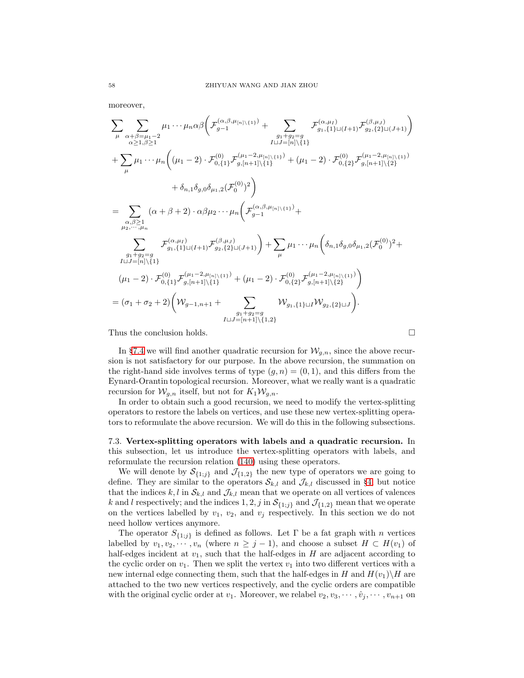moreover,

$$
\sum_{\mu} \sum_{\substack{\alpha+\beta=\mu_{1}-2 \ \alpha \geq 1, \beta \geq 1}} \mu_{1} \cdots \mu_{n} \alpha \beta \Big( \mathcal{F}_{g-1}^{(\alpha,\beta,\mu_{[n]\setminus\{1\}})} + \sum_{\substack{g_{1}+g_{2}=g \ \beta_{1}, \{1\}\sqcup(I+1)}} \mathcal{F}_{g_{1}, \{1\}\sqcup(I+1)}^{(\alpha,\mu_{I})} \mathcal{F}_{g_{2}, \{2\}\sqcup(J+1)}^{(\beta,\mu_{J})} \Big)
$$
\n
$$
+ \sum_{\mu} \mu_{1} \cdots \mu_{n} \Big( (\mu_{1}-2) \cdot \mathcal{F}_{0,\{1\}}^{(0)} \mathcal{F}_{g,[n+1]\setminus\{1\}}^{(\mu_{1}-2,\mu_{[n]\setminus\{1\}})} + (\mu_{1}-2) \cdot \mathcal{F}_{0,\{2\}}^{(0)} \mathcal{F}_{g,[n+1]\setminus\{2\}}^{(\mu_{1}-2,\mu_{[n]\setminus\{1\}})} \Big)
$$
\n
$$
+ \delta_{n,1} \delta_{g,0} \delta_{\mu_{1},2} (\mathcal{F}_{0}^{(0)})^{2} \Big)
$$
\n
$$
= \sum_{\substack{\alpha,\beta \geq 1 \\ \mu_{2}, \cdots, \mu_{n}}} (\alpha + \beta + 2) \cdot \alpha \beta \mu_{2} \cdots \mu_{n} \Big( \mathcal{F}_{g-1}^{(\alpha,\beta,\mu_{[n]\setminus\{1\}})} + \mu_{1} \cdots \mu_{n} \Big( \delta_{n,1} \delta_{g,0} \delta_{\mu_{1},2} (\mathcal{F}_{0}^{(0)})^{2} + \mu_{1} \cdots \mu_{n} \Big( \delta_{n,1} \delta_{g,0} \delta_{\mu_{1},2} (\mathcal{F}_{0}^{(0)})^{2} + \mu_{1} \cdots \mu_{n} \Big( \delta_{n,1} \delta_{g,0} \delta_{\mu_{1},2} (\mathcal{F}_{0}^{(0)})^{2} + \mu_{1} \cdots \mu_{n} \Big( \delta_{n,1} \delta_{g,0} \delta_{\mu_{1},2} (\mathcal{F}_{0}^{(0)})^{2} + \mu_{1} \cdots \mu_{n} \Big( \delta_{n,1} \delta_{g,0} \
$$

Thus the conclusion holds.  $\Box$ 

In §[7.4](#page-60-0) we will find another quadratic recursion for  $\mathcal{W}_{g,n}$ , since the above recursion is not satisfactory for our purpose. In the above recursion, the summation on the right-hand side involves terms of type  $(g, n) = (0, 1)$ , and this differs from the Eynard-Orantin topological recursion. Moreover, what we really want is a quadratic recursion for  $W_{q,n}$  itself, but not for  $K_1 W_{q,n}$ .

In order to obtain such a good recursion, we need to modify the vertex-splitting operators to restore the labels on vertices, and use these new vertex-splitting operators to reformulate the above recursion. We will do this in the following subsections.

7.3. Vertex-splitting operators with labels and a quadratic recursion. In this subsection, let us introduce the vertex-splitting operators with labels, and reformulate the recursion relation [\(140\)](#page-56-0) using these operators.

We will denote by  $S_{\{1;j\}}$  and  $\mathcal{J}_{\{1,2\}}$  the new type of operators we are going to define. They are similar to the operators  $S_{k,l}$  and  $\mathcal{J}_{k,l}$  discussed in §[4,](#page-29-0) but notice that the indices k, l in  $\mathcal{S}_{k,l}$  and  $\mathcal{J}_{k,l}$  mean that we operate on all vertices of valences k and l respectively; and the indices 1, 2, j in  $S_{\{1;j\}}$  and  $\mathcal{J}_{\{1,2\}}$  mean that we operate on the vertices labelled by  $v_1, v_2$ , and  $v_j$  respectively. In this section we do not need hollow vertices anymore.

The operator  $S_{\{1;j\}}$  is defined as follows. Let  $\Gamma$  be a fat graph with n vertices labelled by  $v_1, v_2, \dots, v_n$  (where  $n \geq j-1$ ), and choose a subset  $H \subset H(v_1)$  of half-edges incident at  $v_1$ , such that the half-edges in H are adjacent according to the cyclic order on  $v_1$ . Then we split the vertex  $v_1$  into two different vertices with a new internal edge connecting them, such that the half-edges in H and  $H(v_1)\setminus H$  are attached to the two new vertices respectively, and the cyclic orders are compatible with the original cyclic order at  $v_1$ . Moreover, we relabel  $v_2, v_3, \cdots, \hat{v}_i, \cdots, v_{n+1}$  on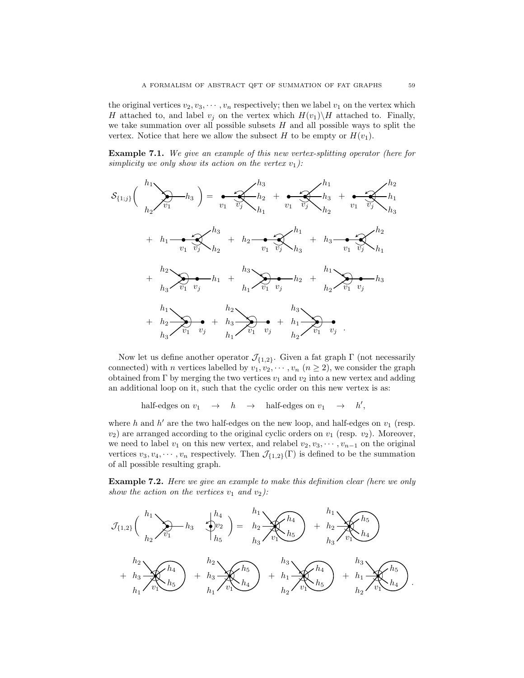the original vertices  $v_2, v_3, \dots, v_n$  respectively; then we label  $v_1$  on the vertex which H attached to, and label  $v_j$  on the vertex which  $H(v_1)\backslash H$  attached to. Finally, we take summation over all possible subsets  $H$  and all possible ways to split the vertex. Notice that here we allow the subsect H to be empty or  $H(v_1)$ .

Example 7.1. We give an example of this new vertex-splitting operator (here for simplicity we only show its action on the vertex  $v_1$ ):

$$
S_{\{1;j\}}\left(\begin{array}{c} h_1 \\ h_2 \end{array}\right) = \underbrace{\sum_{v_1} h_2}_{v_1} + \underbrace{h_2}_{v_1} + \underbrace{\sum_{v_1} h_2}_{v_1} + \underbrace{h_3}_{v_1} + \underbrace{\sum_{v_1} h_3}_{v_1} + \underbrace{\sum_{v_1} h_2}_{v_1} + \underbrace{h_3}_{v_1} + \underbrace{\sum_{v_1} h_2}_{v_1} + \underbrace{h_2}_{v_1} + \underbrace{\sum_{v_1} h_2}_{v_1} + \underbrace{h_3}_{v_1} + \underbrace{\sum_{v_1} h_2}_{v_1} + \underbrace{h_2}_{v_1} + \underbrace{\sum_{v_1} h_2}_{v_1} + \underbrace{h_3}_{v_1} + \underbrace{\sum_{v_1} h_3}_{v_1} + \underbrace{h_2}_{v_1} + \underbrace{h_3}_{v_1} + \underbrace{\sum_{v_1} h_3}_{v_1} + \underbrace{h_3}_{v_1} + \underbrace{h_3}_{v_1} + \underbrace{h_3}_{v_1} + \underbrace{h_3}_{v_1} + \underbrace{h_2}_{v_1} + \underbrace{h_3}_{v_1} + \underbrace{h_3}_{v_1} + \underbrace{h_2}_{v_1} + \underbrace{h_3}_{v_1} + \underbrace{h_3}_{v_1} + \underbrace{h_2}_{v_1} + \underbrace{h_3}_{v_1} + \underbrace{h_3}_{v_1} + \underbrace{h_2}_{v_1} + \underbrace{h_3}_{v_1} + \underbrace{h_3}_{v_1} + \underbrace{h_3}_{v_1} + \underbrace{h_2}_{v_1} + \underbrace{h_3}_{v_1} + \underbrace{h_3}_{v_1} + \underbrace{h_3}_{v_1} + \underbrace{h_3}_{v_1} + \underbrace{h_3}_{v_1} + \underbrace{h_3}_{v_1} + \underbrace{h_3}_{v_1} + \underbrace{h_3}_{v_1} + \underbrace{h_3}_{v_1} + \underbrace{h_3}_{v_1} + \underbrace{h_3}_{v_1} + \underbrace{h_3}_{v_1} + \underbrace{h_3}_{v_1} + \underbrace{h_3}_{v_1} + \underbrace{
$$

Now let us define another operator  $\mathcal{J}_{\{1,2\}}$ . Given a fat graph Γ (not necessarily connected) with *n* vertices labelled by  $v_1, v_2, \dots, v_n$   $(n \geq 2)$ , we consider the graph obtained from  $\Gamma$  by merging the two vertices  $v_1$  and  $v_2$  into a new vertex and adding an additional loop on it, such that the cyclic order on this new vertex is as:

half-edges on  $v_1 \rightarrow h \rightarrow$  half-edges on  $v_1 \rightarrow h'$ ,

where h and  $h'$  are the two half-edges on the new loop, and half-edges on  $v_1$  (resp.  $v_2$ ) are arranged according to the original cyclic orders on  $v_1$  (resp.  $v_2$ ). Moreover, we need to label  $v_1$  on this new vertex, and relabel  $v_2, v_3, \cdots, v_{n-1}$  on the original vertices  $v_3, v_4, \dots, v_n$  respectively. Then  $\mathcal{J}_{\{1,2\}}(\Gamma)$  is defined to be the summation of all possible resulting graph.

**Example 7.2.** Here we give an example to make this definition clear (here we only show the action on the vertices  $v_1$  and  $v_2$ ):

$$
\mathcal{J}_{\{1,2\}}\left(\begin{array}{c} h_1 \\ h_2 \end{array}\right)_{v_1} - h_3 \qquad \bigoplus_{h_2}^{h_4} \bigoplus_{l_5}^{h_2} = h_2 \underbrace{\bigoplus_{h_3}^{h_4} \bigoplus_{v_1}^{h_4} \bigoplus_{h_5}^{h_5}}_{h_3} + \frac{h_2 \bigoplus_{h_3}^{h_5} \bigoplus_{v_1}^{h_5} \bigoplus_{h_4}^{h_5} \bigoplus_{h_5}^{h_6} + \frac{h_3 \bigoplus_{h_1}^{h_2} \bigoplus_{h_2}^{h_4} \bigoplus_{v_1}^{h_5} \bigoplus_{h_2}^{h_6} + \frac{h_3 \bigoplus_{h_1}^{h_5} \bigoplus_{h_2}^{h_6} \bigoplus_{v_1}^{h_7} \bigoplus_{h_8}^{h_9} \bigoplus_{h_9}^{h_9}.
$$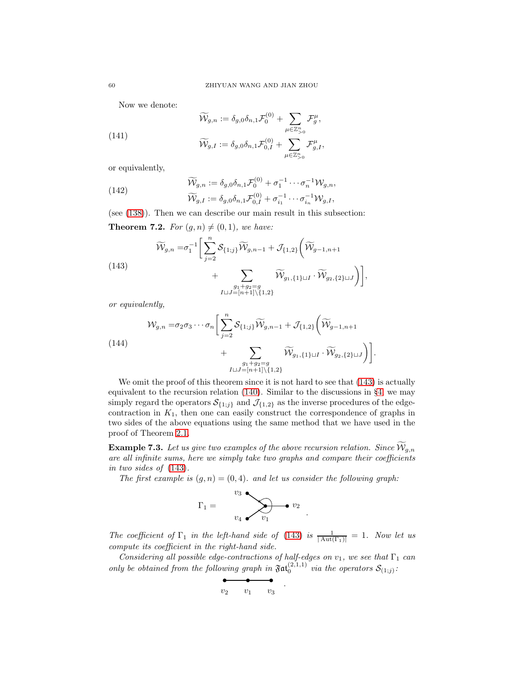Now we denote:

(141)  
\n
$$
\widetilde{\mathcal{W}}_{g,n} := \delta_{g,0} \delta_{n,1} \mathcal{F}_0^{(0)} + \sum_{\mu \in \mathbb{Z}_{>0}^n} \mathcal{F}_g^{\mu},
$$
\n
$$
\widetilde{\mathcal{W}}_{g,I} := \delta_{g,0} \delta_{n,1} \mathcal{F}_{0,I}^{(0)} + \sum_{\mu \in \mathbb{Z}_{>0}^n} \mathcal{F}_{g,I}^{\mu},
$$

or equivalently,

(142) 
$$
\widetilde{\mathcal{W}}_{g,n} := \delta_{g,0} \delta_{n,1} \mathcal{F}_0^{(0)} + \sigma_1^{-1} \cdots \sigma_n^{-1} \mathcal{W}_{g,n},
$$

$$
\widetilde{\mathcal{W}}_{g,I} := \delta_{g,0} \delta_{n,1} \mathcal{F}_{0,I}^{(0)} + \sigma_{i_1}^{-1} \cdots \sigma_{i_n}^{-1} \mathcal{W}_{g,I},
$$

(see [\(138\)](#page-55-0)). Then we can describe our main result in this subsection:

<span id="page-59-1"></span>**Theorem 7.2.** For  $(g, n) \neq (0, 1)$ , we have:

<span id="page-59-0"></span>(143)  
\n
$$
\widetilde{\mathcal{W}}_{g,n} = \sigma_1^{-1} \bigg[ \sum_{j=2}^n \mathcal{S}_{\{1;j\}} \widetilde{\mathcal{W}}_{g,n-1} + \mathcal{J}_{\{1,2\}} \bigg( \widetilde{\mathcal{W}}_{g-1,n+1} + \sum_{\substack{g_1 + g_2 = g \\ I \cup J = [n+1] \setminus \{1,2\}}} \widetilde{\mathcal{W}}_{g_1, \{1\} \cup I} \cdot \widetilde{\mathcal{W}}_{g_2, \{2\} \cup J} \bigg) \bigg],
$$

or equivalently,

$$
\mathcal{W}_{g,n} = \sigma_2 \sigma_3 \cdots \sigma_n \bigg[ \sum_{j=2}^n \mathcal{S}_{\{1;j\}} \widetilde{\mathcal{W}}_{g,n-1} + \mathcal{J}_{\{1,2\}} \bigg( \widetilde{\mathcal{W}}_{g-1,n+1} + \sum_{\substack{g_1 + g_2 = g \\ I \cup J = [n+1] \setminus \{1,2\}}} \widetilde{\mathcal{W}}_{g_1, \{1\} \cup I} \cdot \widetilde{\mathcal{W}}_{g_2, \{2\} \cup J} \bigg) \bigg].
$$

We omit the proof of this theorem since it is not hard to see that  $(143)$  is actually equivalent to the recursion relation [\(140\)](#page-56-0). Similar to the discussions in §[4,](#page-29-0) we may simply regard the operators  $S_{\{1,j\}}$  and  $\mathcal{J}_{\{1,2\}}$  as the inverse procedures of the edgecontraction in  $K_1$ , then one can easily construct the correspondence of graphs in two sides of the above equations using the same method that we have used in the proof of Theorem [2.1.](#page-17-0)

**Example 7.3.** Let us give two examples of the above recursion relation. Since  $W_{g,n}$ are all infinite sums, here we simply take two graphs and compare their coefficients in two sides of [\(143\)](#page-59-0).

The first example is  $(g, n) = (0, 4)$ . and let us consider the following graph:

$$
\Gamma_1 = \bigotimes_{v_4}^{v_3} \bigotimes_{v_1} \bullet v_2
$$

The coefficient of  $\Gamma_1$  in the left-hand side of [\(143\)](#page-59-0) is  $\frac{1}{|\text{Aut}(\Gamma_1)|} = 1$ . Now let us compute its coefficient in the right-hand side.

.

Considering all possible edge-contractions of half-edges on  $v_1$ , we see that  $\Gamma_1$  can only be obtained from the following graph in  $\mathfrak{Fat}_0^{(2,1,1)}$  via the operators  $\mathcal{S}_{(1;j)}$ :

.

$$
\begin{array}{cc}\n & \bullet \\
v_2 & v_1 & v_3\n\end{array}
$$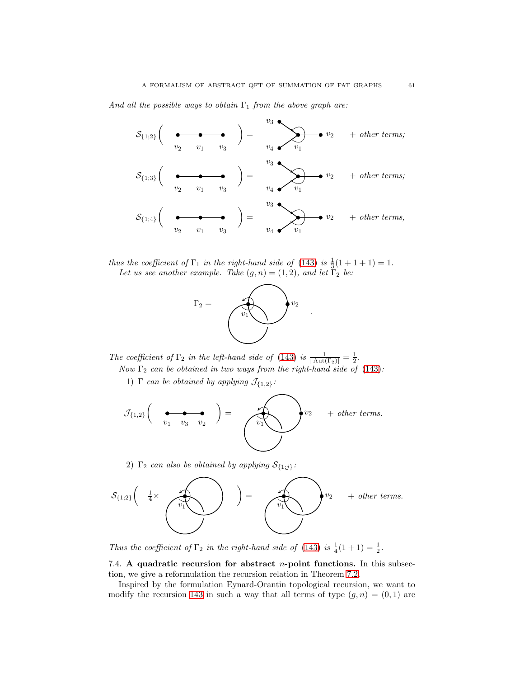And all the possible ways to obtain  $\Gamma_1$  from the above graph are:



thus the coefficient of  $\Gamma_1$  in the right-hand side of [\(143\)](#page-59-0) is  $\frac{1}{3}(1+1+1) = 1$ . Let us see another example. Take  $(g, n) = (1, 2)$ , and let  $\Gamma_2$  be:



The coefficient of  $\Gamma_2$  in the left-hand side of [\(143\)](#page-59-0) is  $\frac{1}{|\text{Aut}(\Gamma_2)|} = \frac{1}{2}$ .

Now  $\Gamma_2$  can be obtained in two ways from the right-hand side of [\(143\)](#page-59-0):

1)  $\Gamma$  can be obtained by applying  $\mathcal{J}_{\{1,2\}}$ :

J{1,2} v<sup>1</sup> v<sup>3</sup> v<sup>2</sup> = v1 v<sup>2</sup> + other terms.

2)  $\Gamma_2$  can also be obtained by applying  $S_{\{1;j\}}$ :



Thus the coefficient of  $\Gamma_2$  in the right-hand side of [\(143\)](#page-59-0) is  $\frac{1}{4}(1+1) = \frac{1}{2}$ .

<span id="page-60-0"></span>7.4. A quadratic recursion for abstract  $n$ -point functions. In this subsection, we give a reformulation the recursion relation in Theorem [7.2.](#page-59-1)

Inspired by the formulation Eynard-Orantin topological recursion, we want to modify the recursion [143](#page-59-0) in such a way that all terms of type  $(g, n) = (0, 1)$  are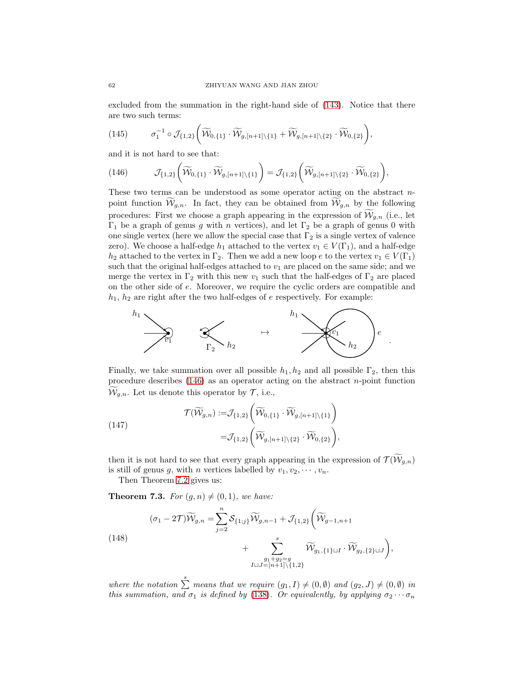excluded from the summation in the right-hand side of [\(143\)](#page-59-0). Notice that there are two such terms:

$$
(145) \qquad \sigma_1^{-1}\circ \mathcal{J}_{\{1,2\}}\bigg(\widetilde{\mathcal{W}}_{0,\{1\}}\cdot \widetilde{\mathcal{W}}_{g,[n+1]\backslash \{1\}}+\widetilde{\mathcal{W}}_{g,[n+1]\backslash \{2\}}\cdot \widetilde{\mathcal{W}}_{0,\{2\}}\bigg),
$$

and it is not hard to see that:

<span id="page-61-0"></span>
$$
(146) \t\t \mathcal{J}_{\{1,2\}}\left(\widetilde{\mathcal{W}}_{0,\{1\}}\cdot \widetilde{\mathcal{W}}_{g,[n+1]\backslash \{1\}}\right)=\mathcal{J}_{\{1,2\}}\left(\widetilde{\mathcal{W}}_{g,[n+1]\backslash \{2\}}\cdot \widetilde{\mathcal{W}}_{0,\{2\}}\right),
$$

These two terms can be understood as some operator acting on the abstract npoint function  $W_{g,n}$ . In fact, they can be obtained from  $W_{g,n}$  by the following procedures: First we choose a graph appearing in the expression of  $\mathcal{W}_{q,n}$  (i.e., let  $Γ<sub>1</sub>$  be a graph of genus g with n vertices), and let  $Γ<sub>2</sub>$  be a graph of genus 0 with one single vertex (here we allow the special case that  $\Gamma_2$  is a single vertex of valence zero). We choose a half-edge  $h_1$  attached to the vertex  $v_1 \in V(\Gamma_1)$ , and a half-edge  $h_2$  attached to the vertex in  $\Gamma_2$ . Then we add a new loop e to the vertex  $v_1 \in V(\Gamma_1)$ such that the original half-edges attached to  $v_1$  are placed on the same side; and we merge the vertex in  $\Gamma_2$  with this new  $v_1$  such that the half-edges of  $\Gamma_2$  are placed on the other side of e. Moreover, we require the cyclic orders are compatible and  $h_1$ ,  $h_2$  are right after the two half-edges of e respectively. For example:



Finally, we take summation over all possible  $h_1, h_2$  and all possible  $\Gamma_2$ , then this procedure describes  $(146)$  as an operator acting on the abstract *n*-point function  $\mathcal{W}_{q,n}$ . Let us denote this operator by  $\mathcal{T}$ , i.e.,

(147)  

$$
\mathcal{T}(\widetilde{\mathcal{W}}_{g,n}) := \mathcal{J}_{\{1,2\}}\left(\widetilde{\mathcal{W}}_{0,\{1\}} \cdot \widetilde{\mathcal{W}}_{g,[n+1]\setminus\{1\}}\right) = \mathcal{J}_{\{1,2\}}\left(\widetilde{\mathcal{W}}_{g,[n+1]\setminus\{2\}} \cdot \widetilde{\mathcal{W}}_{0,\{2\}}\right),
$$

then it is not hard to see that every graph appearing in the expression of  $\mathcal{T}(\mathcal{W}_{q,n})$ is still of genus g, with n vertices labelled by  $v_1, v_2, \dots, v_n$ .

Then Theorem [7.2](#page-59-1) gives us:

<span id="page-61-2"></span>**Theorem 7.3.** For  $(g, n) \neq (0, 1)$ , we have:

<span id="page-61-1"></span>(148)  
\n
$$
(\sigma_1 - 2\mathcal{T})\widetilde{\mathcal{W}}_{g,n} = \sum_{j=2}^n \mathcal{S}_{\{1;j\}} \widetilde{\mathcal{W}}_{g,n-1} + \mathcal{J}_{\{1,2\}} \bigg( \widetilde{\mathcal{W}}_{g-1,n+1} + \sum_{\substack{g_1+g_2=g\\I \cup J=[n+1]\setminus\{1,2\}}}^s \widetilde{\mathcal{W}}_{g_1,\{1\} \cup I} \cdot \widetilde{\mathcal{W}}_{g_2,\{2\} \cup J} \bigg),
$$

where the notation  $\sum_{n=1}^{\infty}$  means that we require  $(g_1, I) \neq (0, \emptyset)$  and  $(g_2, J) \neq (0, \emptyset)$  in this summation, and  $\sigma_1$  is defined by [\(138\)](#page-55-0). Or equivalently, by applying  $\sigma_2 \cdots \sigma_n$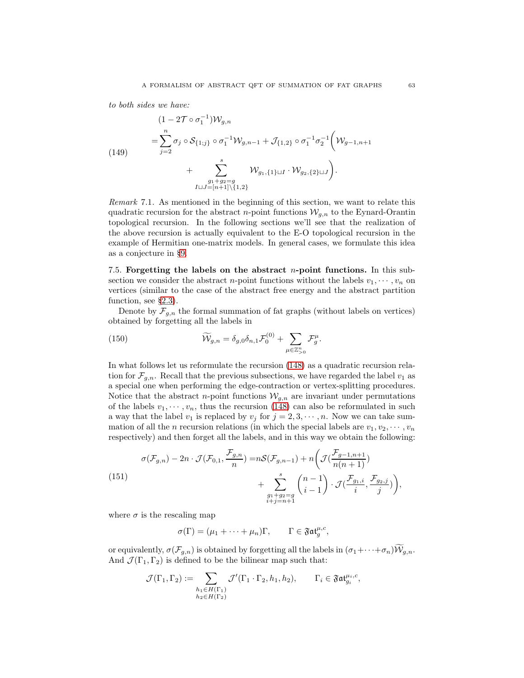to both sides we have:

<span id="page-62-1"></span>
$$
(1-2\mathcal{T}\circ\sigma_1^{-1})\mathcal{W}_{g,n}
$$
  
= $\sum_{j=2}^n \sigma_j \circ \mathcal{S}_{\{1;j\}} \circ \sigma_1^{-1}\mathcal{W}_{g,n-1} + \mathcal{J}_{\{1,2\}} \circ \sigma_1^{-1}\sigma_2^{-1} \bigg(\mathcal{W}_{g-1,n+1}$   
+ $\sum_{J\sqcup J=[n+1]\backslash\{1,2\}}^s \mathcal{W}_{g_1,\{1\}\sqcup J} \cdot \mathcal{W}_{g_2,\{2\}\sqcup J} \bigg).$ 

Remark 7.1. As mentioned in the beginning of this section, we want to relate this quadratic recursion for the abstract *n*-point functions  $W_{g,n}$  to the Eynard-Orantin topological recursion. In the following sections we'll see that the realization of the above recursion is actually equivalent to the E-O topological recursion in the example of Hermitian one-matrix models. In general cases, we formulate this idea as a conjecture in §[9.](#page-70-0)

<span id="page-62-2"></span>7.5. Forgetting the labels on the abstract *n*-point functions. In this subsection we consider the abstract *n*-point functions without the labels  $v_1, \dots, v_n$  on vertices (similar to the case of the abstract free energy and the abstract partition function, see §[2.3\)](#page-13-0).

Denote by  $\mathcal{F}_{g,n}$  the formal summation of fat graphs (without labels on vertices) obtained by forgetting all the labels in

(150) 
$$
\widetilde{\mathcal{W}}_{g,n} = \delta_{g,0} \delta_{n,1} \mathcal{F}_0^{(0)} + \sum_{\mu \in \mathbb{Z}_{>0}^n} \mathcal{F}_g^{\mu}.
$$

In what follows let us reformulate the recursion [\(148\)](#page-61-1) as a quadratic recursion relation for  $\mathcal{F}_{g,n}$ . Recall that the previous subsections, we have regarded the label  $v_1$  as a special one when performing the edge-contraction or vertex-splitting procedures. Notice that the abstract *n*-point functions  $W_{q,n}$  are invariant under permutations of the labels  $v_1, \dots, v_n$ , thus the recursion [\(148\)](#page-61-1) can also be reformulated in such a way that the label  $v_1$  is replaced by  $v_j$  for  $j = 2, 3, \dots, n$ . Now we can take summation of all the n recursion relations (in which the special labels are  $v_1, v_2, \dots, v_n$ respectively) and then forget all the labels, and in this way we obtain the following:

<span id="page-62-0"></span>(151) 
$$
\sigma(\mathcal{F}_{g,n}) - 2n \cdot \mathcal{J}(\mathcal{F}_{0,1}, \frac{\mathcal{F}_{g,n}}{n}) = n\mathcal{S}(\mathcal{F}_{g,n-1}) + n\left(\mathcal{J}(\frac{\mathcal{F}_{g-1,n+1}}{n(n+1)}) + \sum_{\substack{g_1+g_2=g\\i+j=n+1}}^{s} {n-1 \choose i-1} \cdot \mathcal{J}(\frac{\mathcal{F}_{g_1,i}}{i}, \frac{\mathcal{F}_{g_2,j}}{j})\right),
$$

where  $\sigma$  is the rescaling map

$$
\sigma(\Gamma)=(\mu_1+\cdots+\mu_n)\Gamma,\qquad \Gamma\in \mathfrak{Fat}^{\mu,c}_g,
$$

or equivalently,  $\sigma(\mathcal{F}_{g,n})$  is obtained by forgetting all the labels in  $(\sigma_1+\cdots+\sigma_n)\mathcal{W}_{g,n}$ . And  $\mathcal{J}(\Gamma_1, \Gamma_2)$  is defined to be the bilinear map such that:

$$
\mathcal{J}(\Gamma_1, \Gamma_2) := \sum_{\substack{h_1 \in H(\Gamma_1) \\ h_2 \in H(\Gamma_2)}} \mathcal{J}'(\Gamma_1 \cdot \Gamma_2, h_1, h_2), \qquad \Gamma_i \in \mathfrak{Fat}_{g_i}^{\mu_i, c},
$$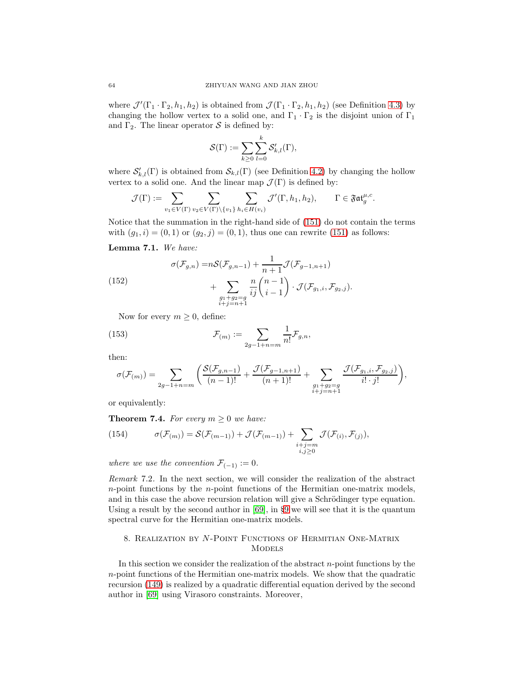where  $\mathcal{J}'(\Gamma_1 \cdot \Gamma_2, h_1, h_2)$  is obtained from  $\mathcal{J}(\Gamma_1 \cdot \Gamma_2, h_1, h_2)$  (see Definition [4.3\)](#page-32-0) by changing the hollow vertex to a solid one, and  $\Gamma_1 \cdot \Gamma_2$  is the disjoint union of  $\Gamma_1$ and  $\Gamma_2$ . The linear operator S is defined by:

$$
\mathcal{S}(\Gamma) := \sum_{k \geq 0} \sum_{l=0}^k \mathcal{S}'_{k,l}(\Gamma),
$$

where  $\mathcal{S}'_{k,l}(\Gamma)$  is obtained from  $\mathcal{S}_{k,l}(\Gamma)$  (see Definition [4.2\)](#page-31-1) by changing the hollow vertex to a solid one. And the linear map  $\mathcal{J}(\Gamma)$  is defined by:

$$
\mathcal{J}(\Gamma):=\sum_{v_1\in V(\Gamma)}\sum_{v_2\in V(\Gamma)\backslash\{v_1\}}\sum_{h_i\in H(v_i)}\mathcal{J}'(\Gamma,h_1,h_2),\qquad \Gamma\in \mathfrak{Fat}^{\mu,c}_g.
$$

Notice that the summation in the right-hand side of [\(151\)](#page-62-0) do not contain the terms with  $(g_1, i) = (0, 1)$  or  $(g_2, j) = (0, 1)$ , thus one can rewrite [\(151\)](#page-62-0) as follows:

### Lemma 7.1. We have:

(152) 
$$
\sigma(\mathcal{F}_{g,n}) = nS(\mathcal{F}_{g,n-1}) + \frac{1}{n+1}\mathcal{J}(\mathcal{F}_{g-1,n+1}) + \sum_{\substack{g_1+g_2=g\\i+j=n+1}} \frac{n}{ij} {n-1 \choose i-1} \cdot \mathcal{J}(\mathcal{F}_{g_1,i}, \mathcal{F}_{g_2,j}).
$$

Now for every  $m \geq 0$ , define:

(153) 
$$
\mathcal{F}_{(m)} := \sum_{2g-1+n=m} \frac{1}{n!} \mathcal{F}_{g,n},
$$

then:

$$
\sigma(\mathcal{F}_{(m)}) = \sum_{2g-1+n=m} \bigg( \frac{\mathcal{S}(\mathcal{F}_{g,n-1})}{(n-1)!} + \frac{\mathcal{J}(\mathcal{F}_{g-1,n+1})}{(n+1)!} + \sum_{\substack{g_1+g_2=g \\ i+j=n+1}} \frac{\mathcal{J}(\mathcal{F}_{g_1,i},\mathcal{F}_{g_2,j})}{i!\cdot j!} \bigg),
$$

or equivalently:

**Theorem 7.4.** For every  $m \geq 0$  we have:

<span id="page-63-0"></span>(154) 
$$
\sigma(\mathcal{F}_{(m)}) = \mathcal{S}(\mathcal{F}_{(m-1)}) + \mathcal{J}(\mathcal{F}_{(m-1)}) + \sum_{\substack{i+j=m\\i,j\geq 0}} \mathcal{J}(\mathcal{F}_{(i)},\mathcal{F}_{(j)}),
$$

where we use the convention  $\mathcal{F}_{(-1)} := 0$ .

Remark 7.2. In the next section, we will consider the realization of the abstract n-point functions by the n-point functions of the Hermitian one-matrix models, and in this case the above recursion relation will give a Schrödinger type equation. Using a result by the second author in  $[69]$  $[69]$  $[69]$ , in §9 we will see that it is the quantum spectral curve for the Hermitian one-matrix models.

# 8. Realization by N-Point Functions of Hermitian One-Matrix **MODELS**

In this section we consider the realization of the abstract  $n$ -point functions by the n-point functions of the Hermitian one-matrix models. We show that the quadratic recursion [\(149\)](#page-62-1) is realized by a quadratic differential equation derived by the second author in [\[69\]](#page-74-4) using Virasoro constraints. Moreover,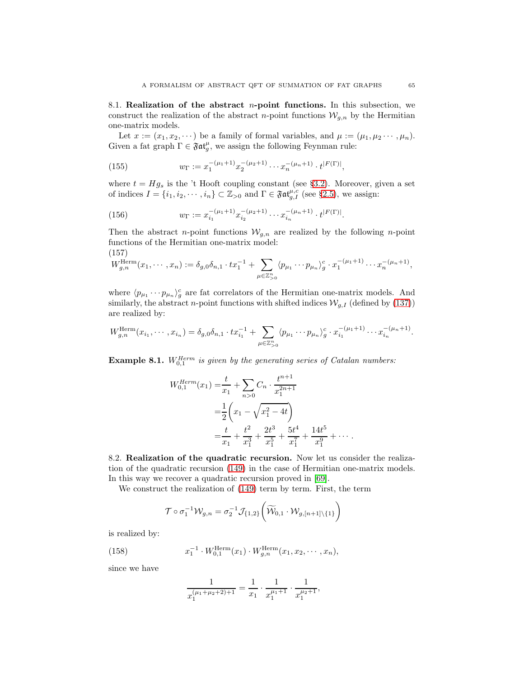<span id="page-64-0"></span>8.1. Realization of the abstract *n*-point functions. In this subsection, we construct the realization of the abstract *n*-point functions  $W_{g,n}$  by the Hermitian one-matrix models.

Let  $x := (x_1, x_2, \dots)$  be a family of formal variables, and  $\mu := (\mu_1, \mu_2 \dots, \mu_n)$ . Given a fat graph  $\Gamma \in \mathfrak{Fat}_g^{\mu}$ , we assign the following Feynman rule:

(155) 
$$
w_{\Gamma} := x_1^{-(\mu_1+1)} x_2^{-(\mu_2+1)} \cdots x_n^{-(\mu_n+1)} \cdot t^{|F(\Gamma)|},
$$

where  $t = Hg_s$  is the 't Hooft coupling constant (see §[3.2\)](#page-22-0). Moreover, given a set of indices  $I = \{i_1, i_2, \dots, i_n\} \subset \mathbb{Z}_{\geq 0}$  and  $\Gamma \in \mathfrak{Fat}_{g,I}^{\mu,c}$  (see §[2.5\)](#page-16-0), we assign:

(156) 
$$
w_{\Gamma} := x_{i_1}^{-(\mu_1+1)} x_{i_2}^{-(\mu_2+1)} \cdots x_{i_n}^{-(\mu_n+1)} \cdot t^{|F(\Gamma)|}.
$$

Then the abstract *n*-point functions  $W_{g,n}$  are realized by the following *n*-point functions of the Hermitian one-matrix model:

(157)

<span id="page-64-1"></span>
$$
W_{g,n}^{\text{Herm}}(x_1,\dots,x_n) := \delta_{g,0}\delta_{n,1} \cdot tx_1^{-1} + \sum_{\mu \in \mathbb{Z}_{>0}^n} \langle p_{\mu_1} \cdots p_{\mu_n} \rangle_g^c \cdot x_1^{-(\mu_1+1)} \cdots x_n^{-(\mu_n+1)},
$$

where  $\langle p_{\mu_1} \cdots p_{\mu_n} \rangle_g^c$  are fat correlators of the Hermitian one-matrix models. And similarly, the abstract *n*-point functions with shifted indices  $\mathcal{W}_{g,I}$  (defined by [\(137\)](#page-55-1)) are realized by:

$$
W_{g,n}^{\text{Herm}}(x_{i_1},\cdots,x_{i_n})=\delta_{g,0}\delta_{n,1}\cdot tx_{i_1}^{-1}+\sum_{\mu\in\mathbb{Z}_{>0}^n}\langle p_{\mu_1}\cdots p_{\mu_n}\rangle_g^c\cdot x_{i_1}^{-(\mu_1+1)}\cdots x_{i_n}^{-(\mu_n+1)}.
$$

**Example 8.1.**  $W_{0,1}^{Herm}$  is given by the generating series of Catalan numbers:

$$
W_{0,1}^{Herm}(x_1) = \frac{t}{x_1} + \sum_{n>0} C_n \cdot \frac{t^{n+1}}{x_1^{2n+1}}
$$
  
=  $\frac{1}{2} \left( x_1 - \sqrt{x_1^2 - 4t} \right)$   
=  $\frac{t}{x_1} + \frac{t^2}{x_1^3} + \frac{2t^3}{x_1^5} + \frac{5t^4}{x_1^7} + \frac{14t^5}{x_1^9} + \cdots$ 

<span id="page-64-2"></span>8.2. Realization of the quadratic recursion. Now let us consider the realization of the quadratic recursion [\(149\)](#page-62-1) in the case of Hermitian one-matrix models. In this way we recover a quadratic recursion proved in [\[69\]](#page-74-4).

We construct the realization of [\(149\)](#page-62-1) term by term. First, the term

$$
\mathcal{T} \circ \sigma_1^{-1} \mathcal{W}_{g,n} = \sigma_2^{-1} \mathcal{J}_{\{1,2\}} \bigg( \widetilde{\mathcal{W}}_{0,1} \cdot \mathcal{W}_{g,[n+1] \backslash \{1\}} \bigg)
$$

is realized by:

(158) 
$$
x_1^{-1} \cdot W_{0,1}^{\text{Herm}}(x_1) \cdot W_{g,n}^{\text{Herm}}(x_1, x_2, \cdots, x_n),
$$

since we have

$$
\frac{1}{x_1^{(\mu_1+\mu_2+2)+1}} = \frac{1}{x_1} \cdot \frac{1}{x_1^{\mu_1+1}} \cdot \frac{1}{x_1^{\mu_2+1}},
$$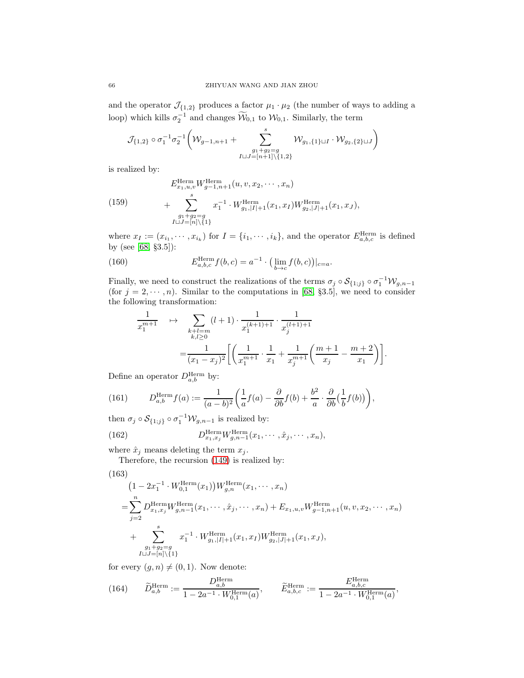and the operator  $\mathcal{J}_{\{1,2\}}$  produces a factor  $\mu_1 \cdot \mu_2$  (the number of ways to adding a loop) which kills  $\sigma_2^{-1}$  and changes  $\widetilde{\mathcal{W}}_{0,1}$  to  $\mathcal{W}_{0,1}$ . Similarly, the term

$$
\mathcal{J}_{\{1,2\}}\circ \sigma_1^{-1}\sigma_2^{-1}\bigg(\mathcal{W}_{g-1,n+1}+\sum_{\substack{g_1+g_2=g\\ I\sqcup J=[n+1]\backslash\{1,2\}}}\limits^{s}\mathcal{W}_{g_1,\{1\}\sqcup I}\cdot \mathcal{W}_{g_2,\{2\}\sqcup J}\bigg)
$$

is realized by:

(159) 
$$
E_{x_1, u, v}^{\text{Herm}} W_{g-1, n+1}^{\text{Herm}}(u, v, x_2, \cdots, x_n)
$$

$$
+ \sum_{\substack{g_1+g_2=g\\I\cup J=[n]\setminus\{1\}}}^{s} x_1^{-1} \cdot W_{g_1, |I|+1}^{\text{Herm}}(x_1, x_I) W_{g_2, |J|+1}^{\text{Herm}}(x_1, x_J),
$$

where  $x_I := (x_{i_1}, \dots, x_{i_k})$  for  $I = \{i_1, \dots, i_k\}$ , and the operator  $E_{a,b,c}^{\text{Herm}}$  is defined by (see [\[68,](#page-74-3) §3.5]):

(160) 
$$
E_{a,b,c}^{\text{Herm}} f(b,c) = a^{-1} \cdot \left( \lim_{b \to c} f(b,c) \right)|_{c=a}.
$$

Finally, we need to construct the realizations of the terms  $\sigma_j \circ S_{\{1,j\}} \circ \sigma_1^{-1} \mathcal{W}_{g,n-1}$ (for  $j = 2, \dots, n$ ). Similar to the computations in [\[68,](#page-74-3) §3.5], we need to consider the following transformation:

$$
\frac{1}{x_1^{m+1}} \quad \mapsto \quad \sum_{\substack{k+l=m\\k,l\geq 0}} (l+1) \cdot \frac{1}{x_1^{(k+1)+1}} \cdot \frac{1}{x_j^{(l+1)+1}} \n= \frac{1}{(x_1 - x_j)^2} \left[ \left( \frac{1}{x_1^{m+1}} \cdot \frac{1}{x_1} + \frac{1}{x_j^{m+1}} \left( \frac{m+1}{x_j} - \frac{m+2}{x_1} \right) \right] \right].
$$

Define an operator  $D_{a,b}^{\text{Herm}}$  by:

(161) 
$$
D_{a,b}^{\text{Herm}} f(a) := \frac{1}{(a-b)^2} \left( \frac{1}{a} f(a) - \frac{\partial}{\partial b} f(b) + \frac{b^2}{a} \cdot \frac{\partial}{\partial b} \left( \frac{1}{b} f(b) \right) \right),
$$

then  $\sigma_j \circ \mathcal{S}_{\{1;j\}} \circ \sigma_1^{-1} \mathcal{W}_{g,n-1}$  is realized by:

(162) 
$$
D_{x_1,x_j}^{\text{Herm}} W_{g,n-1}^{\text{Herm}}(x_1,\cdots,\hat{x}_j,\cdots,x_n),
$$

where  $\hat{x}_j$  means deleting the term  $x_j$ .

Therefore, the recursion [\(149\)](#page-62-1) is realized by:

(163)  
\n
$$
(1 - 2x_1^{-1} \cdot W_{0,1}^{\text{Herm}}(x_1)) W_{g,n}^{\text{Herm}}(x_1, \cdots, x_n)
$$
\n
$$
= \sum_{j=2}^n D_{x_1, x_j}^{\text{Herm}} W_{g,n-1}^{\text{Herm}}(x_1, \cdots, \hat{x}_j, \cdots, x_n) + E_{x_1, u, v} W_{g-1,n+1}^{\text{Herm}}(u, v, x_2, \cdots, x_n)
$$
\n
$$
+ \sum_{\substack{g_1+g_2=g\\U \cup J=[n]\setminus\{1\}}}^s x_1^{-1} \cdot W_{g_1, |I|+1}^{\text{Herm}}(x_1, x_I) W_{g_2, |J|+1}^{\text{Herm}}(x_1, x_J),
$$

for every  $(g, n) \neq (0, 1)$ . Now denote:

(164) 
$$
\widetilde{D}_{a,b}^{\text{Herm}} := \frac{D_{a,b}^{\text{Herm}}}{1 - 2a^{-1} \cdot W_{0,1}^{\text{Herm}}(a)}, \qquad \widetilde{E}_{a,b,c}^{\text{Herm}} := \frac{E_{a,b,c}^{\text{Herm}}}{1 - 2a^{-1} \cdot W_{0,1}^{\text{Herm}}(a)},
$$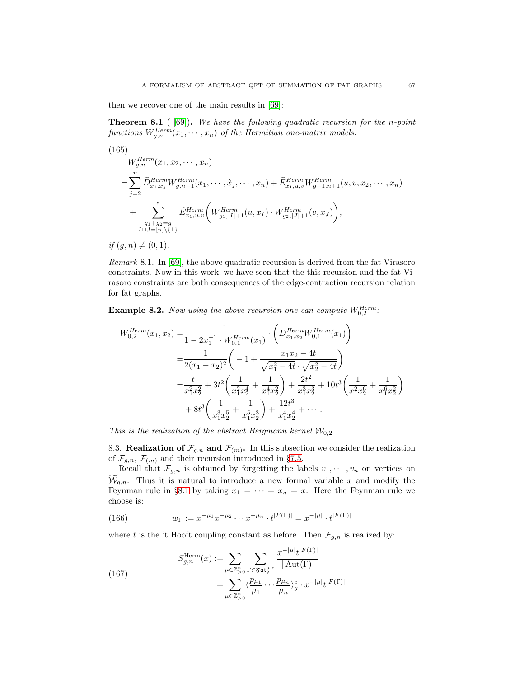then we recover one of the main results in [\[69\]](#page-74-4):

Theorem 8.1 ( [\[69\]](#page-74-4)). We have the following quadratic recursion for the n-point functions  $W_{g,n}^{Herm}(x_1, \dots, x_n)$  of the Hermitian one-matrix models:

<span id="page-66-2"></span>(165)  
\n
$$
W_{g,n}^{Herm}(x_1, x_2, \dots, x_n)
$$
\n
$$
= \sum_{j=2}^{n} \widetilde{D}_{x_1, x_j}^{Herm} W_{g,n-1}^{Herm}(x_1, \dots, \hat{x}_j, \dots, x_n) + \widetilde{E}_{x_1, u, v}^{Herm} W_{g-1, n+1}^{Herm}(u, v, x_2, \dots, x_n)
$$
\n
$$
+ \sum_{\substack{g_1 + g_2 = g \\ \text{full} J = [n] \setminus \{1\}}}^s \widetilde{E}_{x_1, u, v}^{Herm}(W_{g_1, |I|+1}^{Herm}(u, x_I) \cdot W_{g_2, |J|+1}^{Herm}(v, x_J)),
$$

if  $(g, n) \neq (0, 1)$ .

Remark 8.1. In [\[69\]](#page-74-4), the above quadratic recursion is derived from the fat Virasoro constraints. Now in this work, we have seen that the this recursion and the fat Virasoro constraints are both consequences of the edge-contraction recursion relation for fat graphs.

**Example 8.2.** Now using the above recursion one can compute  $W_{0,2}^{Herm}$ .

$$
W_{0,2}^{Herm}(x_1, x_2) = \frac{1}{1 - 2x_1^{-1} \cdot W_{0,1}^{Herm}(x_1)} \cdot \left( D_{x_1, x_2}^{Herm}(x_1) + \frac{1}{2(x_1 - x_2)^2} \left( -1 + \frac{x_1 x_2 - 4t}{\sqrt{x_1^2 - 4t} \cdot \sqrt{x_2^2 - 4t}} \right) \right)
$$
  
= 
$$
\frac{t}{x_1^2 x_2^2} + 3t^2 \left( \frac{1}{x_1^2 x_2^4} + \frac{1}{x_1^4 x_2^2} \right) + \frac{2t^2}{x_1^3 x_2^3} + 10t^3 \left( \frac{1}{x_1^2 x_2^6} + \frac{1}{x_1^6 x_2^2} \right) \right)
$$

$$
+ 8t^3 \left( \frac{1}{x_1^3 x_2^5} + \frac{1}{x_1^5 x_2^3} \right) + \frac{12t^3}{x_1^4 x_2^4} + \cdots
$$

This is the realization of the abstract Bergmann kernel  $\mathcal{W}_{0,2}$ .

8.3. **Realization of**  $\mathcal{F}_{g,n}$  and  $\mathcal{F}_{(m)}$ . In this subsection we consider the realization of  $\mathcal{F}_{g,n}$ ,  $\mathcal{F}_{(m)}$  and their recursion introduced in §[7.5.](#page-62-2)

Recall that  $\mathcal{F}_{g,n}$  is obtained by forgetting the labels  $v_1, \dots, v_n$  on vertices on  $W_{q,n}$ . Thus it is natural to introduce a new formal variable x and modify the Feynman rule in §[8.1](#page-64-0) by taking  $x_1 = \cdots = x_n = x$ . Here the Feynman rule we choose is:

<span id="page-66-1"></span>(166) 
$$
w_{\Gamma} := x^{-\mu_1} x^{-\mu_2} \cdots x^{-\mu_n} \cdot t^{|F(\Gamma)|} = x^{-|\mu|} \cdot t^{|F(\Gamma)|}
$$

where t is the 't Hooft coupling constant as before. Then  $\mathcal{F}_{g,n}$  is realized by:

<span id="page-66-0"></span>(167) 
$$
S_{g,n}^{\text{Herm}}(x) := \sum_{\mu \in \mathbb{Z}_{>0}^n} \sum_{\Gamma \in \mathfrak{Fat}_g^{\mu_i}} \frac{x^{-|\mu|}t^{|F(\Gamma)|}}{|\operatorname{Aut}(\Gamma)|} = \sum_{\mu \in \mathbb{Z}_{>0}^n} \langle \frac{p_{\mu_1}}{\mu_1} \cdots \frac{p_{\mu_n}}{\mu_n} \rangle_g^c \cdot x^{-|\mu|}t^{|F(\Gamma)|}
$$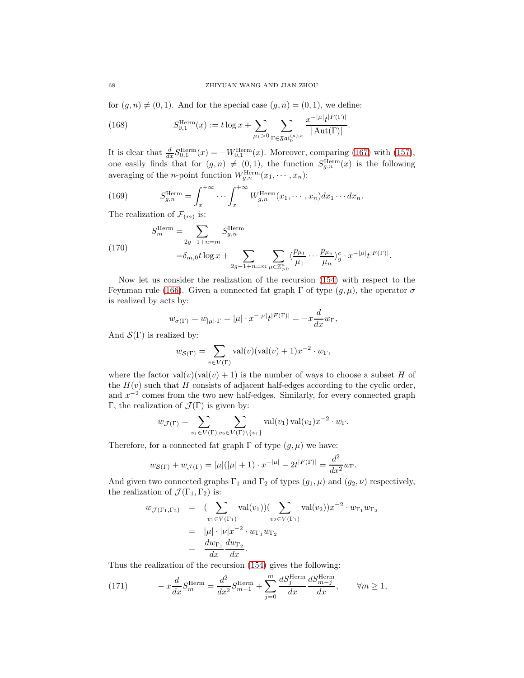for  $(g, n) \neq (0, 1)$ . And for the special case  $(g, n) = (0, 1)$ , we define:

(168) 
$$
S_{0,1}^{\text{Herm}}(x) := t \log x + \sum_{\mu_1 > 0} \sum_{\Gamma \in \mathfrak{Fat}_0^{(\mu),c}} \frac{x^{-|\mu|} t^{|F(\Gamma)|}}{|\operatorname{Aut}(\Gamma)|}.
$$

It is clear that  $\frac{d}{dx} S_{0,1}^{\text{Herm}}(x) = -W_{0,1}^{\text{Herm}}(x)$ . Moreover, comparing [\(167\)](#page-66-0) with [\(157\)](#page-64-1), one easily finds that for  $(g, n) \neq (0, 1)$ , the function  $S_{g,n}^{\text{Herm}}(x)$  is the following averaging of the *n*-point function  $W_{g,n}^{\text{Herm}}(x_1, \dots, x_n)$ :

(169) 
$$
S_{g,n}^{\text{Herm}} = \int_x^{+\infty} \cdots \int_x^{+\infty} W_{g,n}^{\text{Herm}}(x_1, \cdots, x_n) dx_1 \cdots dx_n.
$$

The realization of  $\mathcal{F}_{(m)}$  is:

(170) 
$$
S_m^{\text{Herm}} = \sum_{2g-1+n=m} S_{g,n}^{\text{Herm}}
$$

$$
= \delta_{m,0} t \log x + \sum_{2g-1+n=m} \sum_{\mu \in \mathbb{Z}_{>0}^n} \langle \frac{p_{\mu_1}}{\mu_1} \cdots \frac{p_{\mu_n}}{\mu_n} \rangle_g^c \cdot x^{-|\mu|} t^{|F(\Gamma)|}.
$$

Now let us consider the realization of the recursion [\(154\)](#page-63-0) with respect to the Feynman rule [\(166\)](#page-66-1). Given a connected fat graph  $\Gamma$  of type  $(q,\mu)$ , the operator  $\sigma$ is realized by acts by:

$$
w_{\sigma(\Gamma)} = w_{|\mu| \cdot \Gamma} = |\mu| \cdot x^{-|\mu|} t^{|F(\Gamma)|} = -x \frac{d}{dx} w_{\Gamma},
$$

And  $\mathcal{S}(\Gamma)$  is realized by:

$$
w_{\mathcal{S}(\Gamma)} = \sum_{v \in V(\Gamma)} \text{val}(v)(\text{val}(v) + 1)x^{-2} \cdot w_{\Gamma},
$$

where the factor  $val(v)(val(v) + 1)$  is the number of ways to choose a subset H of the  $H(v)$  such that H consists of adjacent half-edges according to the cyclic order, and  $x^{-2}$  comes from the two new half-edges. Similarly, for every connected graph Γ, the realization of  $\mathcal{J}(\Gamma)$  is given by:

$$
w_{\mathcal{J}(\Gamma)} = \sum_{v_1 \in V(\Gamma)} \sum_{v_2 \in V(\Gamma) \setminus \{v_1\}} \text{val}(v_1) \operatorname{val}(v_2) x^{-2} \cdot w_{\Gamma}.
$$

Therefore, for a connected fat graph  $\Gamma$  of type  $(g, \mu)$  we have:

$$
w_{\mathcal{S}(\Gamma)} + w_{\mathcal{J}(\Gamma)} = |\mu|(|\mu| + 1) \cdot x^{-|\mu|} - 2t^{|F(\Gamma)|} = \frac{d^2}{dx^2} w_{\Gamma}.
$$

And given two connected graphs  $\Gamma_1$  and  $\Gamma_2$  of types  $(g_1, \mu)$  and  $(g_2, \nu)$  respectively, the realization of  $\mathcal{J}(\Gamma_1, \Gamma_2)$  is:

$$
w_{\mathcal{J}(\Gamma_1, \Gamma_2)} = (\sum_{v_1 \in V(\Gamma_1)} \text{val}(v_1)) (\sum_{v_2 \in V(\Gamma_1)} \text{val}(v_2)) x^{-2} \cdot w_{\Gamma_1} w_{\Gamma_2}
$$
  
= 
$$
|\mu| \cdot |\nu| x^{-2} \cdot w_{\Gamma_1} w_{\Gamma_2}
$$
  
= 
$$
\frac{dw_{\Gamma_1}}{dx} \frac{dw_{\Gamma_2}}{dx}.
$$

Thus the realization of the recursion [\(154\)](#page-63-0) gives the following:

(171) 
$$
-x\frac{d}{dx}S_m^{\text{Herm}} = \frac{d^2}{dx^2}S_{m-1}^{\text{Herm}} + \sum_{j=0}^{m} \frac{dS_j^{\text{Herm}}}{dx}\frac{dS_{m-j}^{\text{Herm}}}{dx}, \qquad \forall m \ge 1,
$$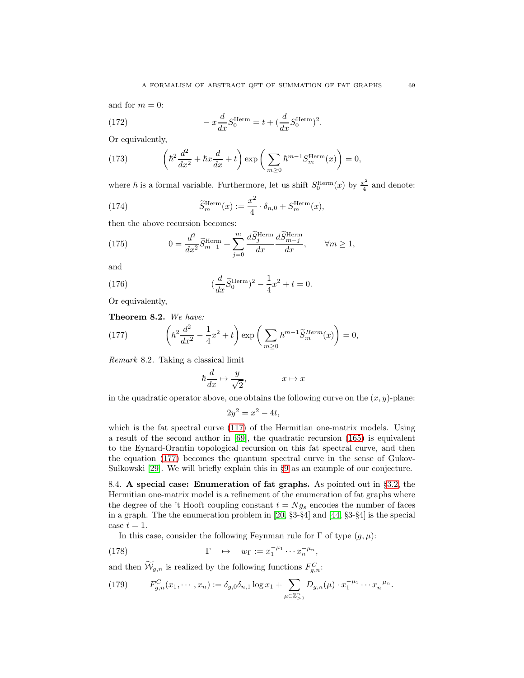and for  $m = 0$ :

(172) 
$$
- x \frac{d}{dx} S_0^{\text{Herm}} = t + (\frac{d}{dx} S_0^{\text{Herm}})^2.
$$

Or equivalently,

<span id="page-68-1"></span>(173) 
$$
\left(\hbar^2 \frac{d^2}{dx^2} + \hbar x \frac{d}{dx} + t\right) \exp\left(\sum_{m\geq 0} \hbar^{m-1} S_m^{\text{Herm}}(x)\right) = 0,
$$

where  $\hbar$  is a formal variable. Furthermore, let us shift  $S_0^{\text{Herm}}(x)$  by  $\frac{x^2}{4}$  $rac{c^2}{4}$  and denote:

(174) 
$$
\widetilde{S}_m^{\text{Herm}}(x) := \frac{x^2}{4} \cdot \delta_{n,0} + S_m^{\text{Herm}}(x),
$$

then the above recursion becomes:

(175) 
$$
0 = \frac{d^2}{dx^2} \widetilde{S}_{m-1}^{\text{Herm}} + \sum_{j=0}^{m} \frac{d \widetilde{S}_{j}^{\text{Herm}}}{dx} \frac{d \widetilde{S}_{m-j}^{\text{Herm}}}{dx}, \qquad \forall m \ge 1,
$$

and

(176) 
$$
(\frac{d}{dx}\widetilde{S}_0^{\text{Herm}})^2 - \frac{1}{4}x^2 + t = 0.
$$

Or equivalently,

Theorem 8.2. We have:

(177) 
$$
\left(\hbar^2 \frac{d^2}{dx^2} - \frac{1}{4}x^2 + t\right) \exp\left(\sum_{m\geq 0} \hbar^{m-1} \tilde{S}_m^{Herm}(x)\right) = 0,
$$

Remark 8.2. Taking a classical limit

<span id="page-68-0"></span>
$$
\hbar \frac{d}{dx} \mapsto \frac{y}{\sqrt{2}}, \qquad x \mapsto x
$$

in the quadratic operator above, one obtains the following curve on the  $(x, y)$ -plane:

$$
2y^2 = x^2 - 4t,
$$

which is the fat spectral curve [\(117\)](#page-51-1) of the Hermitian one-matrix models. Using a result of the second author in [\[69\]](#page-74-4), the quadratic recursion [\(165\)](#page-66-2) is equivalent to the Eynard-Orantin topological recursion on this fat spectral curve, and then the equation [\(177\)](#page-68-0) becomes the quantum spectral curve in the sense of Gukov-Sułkowski [\[29\]](#page-73-4). We will briefly explain this in §[9](#page-70-0) as an example of our conjecture.

8.4. A special case: Enumeration of fat graphs. As pointed out in §[3.2,](#page-22-0) the Hermitian one-matrix model is a refinement of the enumeration of fat graphs where the degree of the 't Hooft coupling constant  $t = Ng_s$  encodes the number of faces in a graph. The the enumeration problem in [\[20,](#page-72-6) §3-§4] and [\[44,](#page-73-5) §3-§4] is the special case  $t = 1$ .

In this case, consider the following Feynman rule for  $\Gamma$  of type  $(g, \mu)$ :

(178) 
$$
\Gamma \quad \mapsto \quad w_{\Gamma} := x_1^{-\mu_1} \cdots x_n^{-\mu_n},
$$

and then  $\mathcal{W}_{g,n}$  is realized by the following functions  $F_{g,n}^C$ :

(179) 
$$
F_{g,n}^C(x_1,\dots,x_n) := \delta_{g,0}\delta_{n,1}\log x_1 + \sum_{\mu\in\mathbb{Z}_{>0}^n} D_{g,n}(\mu) \cdot x_1^{-\mu_1}\cdots x_n^{-\mu_n}.
$$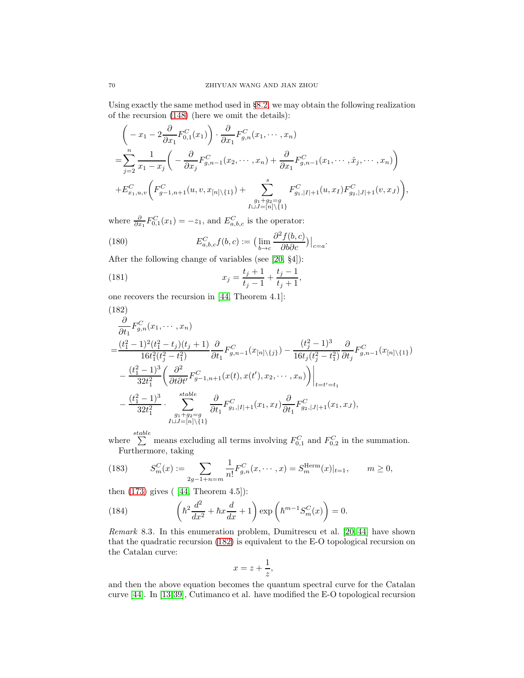Using exactly the same method used in §[8.2,](#page-64-2) we may obtain the following realization of the recursion [\(148\)](#page-61-1) (here we omit the details):

$$
\left(-x_1 - 2\frac{\partial}{\partial x_1} F_{0,1}^C(x_1)\right) \cdot \frac{\partial}{\partial x_1} F_{g,n}^C(x_1, \dots, x_n)
$$
\n
$$
= \sum_{j=2}^n \frac{1}{x_1 - x_j} \left(-\frac{\partial}{\partial x_j} F_{g,n-1}^C(x_2, \dots, x_n) + \frac{\partial}{\partial x_1} F_{g,n-1}^C(x_1, \dots, \hat{x}_j, \dots, x_n)\right)
$$
\n
$$
+ E_{x_1, u, v}^C \left(F_{g-1, n+1}^C(u, v, x_{[n] \setminus \{1\}}) + \sum_{\substack{g_1 + g_2 = g \\ I \sqcup J = [n] \setminus \{1\}}}^s F_{g,n}^C|I| + 1}(u, x_I) F_{g_2, |J| + 1}^C(v, x_J)\right),
$$

where  $\frac{\partial}{\partial x_1} F_{0,1}^C(x_1) = -z_1$ , and  $E_{a,b,c}^C$  is the operator:

(180) 
$$
E_{a,b,c}^C f(b,c) := \left(\lim_{b \to c} \frac{\partial^2 f(b,c)}{\partial b \partial c}\right)|_{c=a}.
$$

After the following change of variables (see [\[20,](#page-72-6) §4]):

(181) 
$$
x_j = \frac{t_j + 1}{t_j - 1} + \frac{t_j - 1}{t_j + 1}
$$

one recovers the recursion in [\[44,](#page-73-5) Theorem 4.1]:

<span id="page-69-0"></span>(182)  
\n
$$
\frac{\partial}{\partial t_1} F_{g,n}^C(x_1, \dots, x_n)
$$
\n
$$
= \frac{(t_1^2 - 1)^2 (t_1^2 - t_j)(t_j + 1)}{16t_1^2 (t_j^2 - t_1^2)} \frac{\partial}{\partial t_1} F_{g,n-1}^C(x_{[n] \setminus \{j\}}) - \frac{(t_j^2 - 1)^3}{16t_j (t_j^2 - t_1^2)} \frac{\partial}{\partial t_j} F_{g,n-1}^C(x_{[n] \setminus \{1\}})
$$
\n
$$
- \frac{(t_1^2 - 1)^3}{32t_1^2} \left( \frac{\partial^2}{\partial t \partial t'} F_{g-1,n+1}^C(x(t), x(t'), x_2, \dots, x_n) \right) \Big|_{t=t'=t_1}
$$
\n
$$
- \frac{(t_1^2 - 1)^3}{32t_1^2} \cdot \sum_{\substack{g_1+g_2=g\\J \sqcup J=[n] \setminus \{1\}}}^{stable} \frac{\partial}{\partial t_1} F_{g,n}^C(x_{[1,1]}(x_1, x_I) \frac{\partial}{\partial t_1} F_{g2,|J|+1}^C(x_1, x_J),
$$

,

where  $\sum_{n=1}^{stable}$  means excluding all terms involving  $F_{0,1}^C$  and  $F_{0,2}^C$  in the summation. Furthermore, taking

(183) 
$$
S_m^C(x) := \sum_{2g-1+n=m} \frac{1}{n!} F_{g,n}^C(x,\dots,x) = S_m^{\text{Herm}}(x)|_{t=1}, \qquad m \ge 0,
$$

then  $(173)$  gives  $(44,$  Theorem  $4.5$ ]):

<span id="page-69-1"></span>(184) 
$$
\left(\hbar^2 \frac{d^2}{dx^2} + \hbar x \frac{d}{dx} + 1\right) \exp\left(\hbar^{m-1} S_m^C(x)\right) = 0.
$$

Remark 8.3. In this enumeration problem, Dumitrescu et al. [\[20,](#page-72-6) [44\]](#page-73-5) have shown that the quadratic recursion [\(182\)](#page-69-0) is equivalent to the E-O topological recursion on the Catalan curve:

$$
x = z + \frac{1}{z},
$$

and then the above equation becomes the quantum spectral curve for the Catalan curve [\[44\]](#page-73-5). In [\[13,](#page-72-7)[39\]](#page-73-6), Cutimanco et al. have modified the E-O topological recursion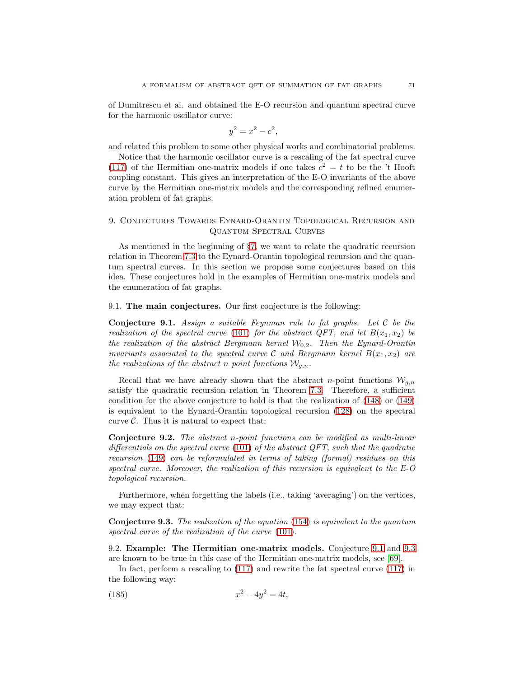of Dumitrescu et al. and obtained the E-O recursion and quantum spectral curve for the harmonic oscillator curve:

$$
y^2 = x^2 - c^2,
$$

and related this problem to some other physical works and combinatorial problems.

Notice that the harmonic oscillator curve is a rescaling of the fat spectral curve [\(117\)](#page-51-1) of the Hermitian one-matrix models if one takes  $c^2 = t$  to be the 't Hooft coupling constant. This gives an interpretation of the E-O invariants of the above curve by the Hermitian one-matrix models and the corresponding refined enumeration problem of fat graphs.

## <span id="page-70-0"></span>9. Conjectures Towards Eynard-Orantin Topological Recursion and Quantum Spectral Curves

As mentioned in the beginning of §[7,](#page-52-0) we want to relate the quadratic recursion relation in Theorem [7.3](#page-61-2) to the Eynard-Orantin topological recursion and the quantum spectral curves. In this section we propose some conjectures based on this idea. These conjectures hold in the examples of Hermitian one-matrix models and the enumeration of fat graphs.

### 9.1. The main conjectures. Our first conjecture is the following:

<span id="page-70-1"></span>**Conjecture 9.1.** Assign a suitable Feynman rule to fat graphs. Let  $C$  be the realization of the spectral curve [\(101\)](#page-47-1) for the abstract QFT, and let  $B(x_1, x_2)$  be the realization of the abstract Bergmann kernel  $W_{0,2}$ . Then the Eynard-Orantin invariants associated to the spectral curve C and Bergmann kernel  $B(x_1, x_2)$  are the realizations of the abstract n point functions  $\mathcal{W}_{a,n}$ .

Recall that we have already shown that the abstract n-point functions  $W_{q,n}$ satisfy the quadratic recursion relation in Theorem [7.3.](#page-61-2) Therefore, a sufficient condition for the above conjecture to hold is that the realization of [\(148\)](#page-61-1) or [\(149\)](#page-62-1) is equivalent to the Eynard-Orantin topological recursion [\(128\)](#page-53-0) on the spectral curve  $\mathcal{C}$ . Thus it is natural to expect that:

Conjecture 9.2. The abstract n-point functions can be modified as multi-linear differentials on the spectral curve  $(101)$  of the abstract QFT, such that the quadratic recursion [\(149\)](#page-62-1) can be reformulated in terms of taking (formal) residues on this spectral curve. Moreover, the realization of this recursion is equivalent to the E-O topological recursion.

Furthermore, when forgetting the labels (i.e., taking 'averaging') on the vertices, we may expect that:

<span id="page-70-2"></span>Conjecture 9.3. The realization of the equation [\(154\)](#page-63-0) is equivalent to the quantum spectral curve of the realization of the curve  $(101)$ .

9.2. Example: The Hermitian one-matrix models. Conjecture [9.1](#page-70-1) and [9.3](#page-70-2) are known to be true in this case of the Hermitian one-matrix models, see [\[69\]](#page-74-4).

In fact, perform a rescaling to [\(117\)](#page-51-1) and rewrite the fat spectral curve [\(117\)](#page-51-1) in the following way:

<span id="page-70-3"></span>(185) 
$$
x^2 - 4y^2 = 4t,
$$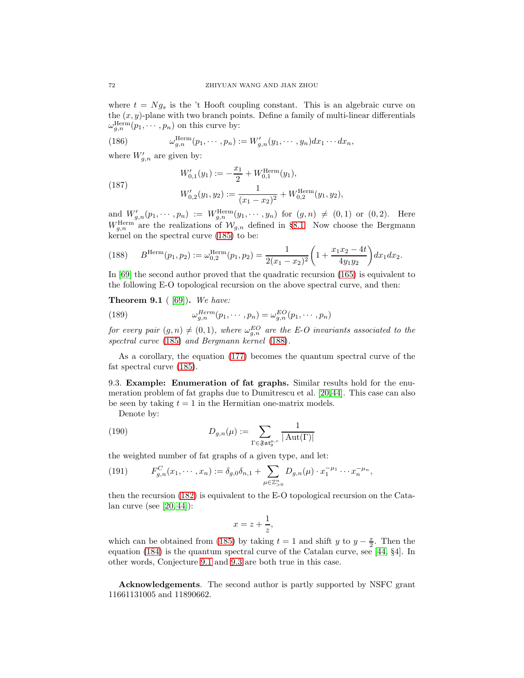where  $t = Ng_s$  is the 't Hooft coupling constant. This is an algebraic curve on the  $(x, y)$ -plane with two branch points. Define a family of multi-linear differentials  $\omega_{g,n}^{\text{Herm}}(p_1,\cdots,p_n)$  on this curve by:

(186) 
$$
\omega_{g,n}^{\text{Herm}}(p_1,\cdots,p_n) := W'_{g,n}(y_1,\cdots,y_n)dx_1\cdots dx_n,
$$

where  $W'_{g,n}$  are given by:

(187) 
$$
W'_{0,1}(y_1) := -\frac{x_1}{2} + W_{0,1}^{\text{Herm}}(y_1),
$$

$$
W'_{0,2}(y_1, y_2) := \frac{1}{(x_1 - x_2)^2} + W_{0,2}^{\text{Herm}}(y_1, y_2),
$$

and  $W'_{g,n}(p_1, \dots, p_n) := W^{\text{Herm}}_{g,n}(y_1, \dots, y_n)$  for  $(g, n) \neq (0, 1)$  or  $(0, 2)$ . Here  $W_{g,n}^{\text{Herm}}$  are the realizations of  $\mathcal{W}_{g,n}$  defined in §[8.1.](#page-64-0) Now choose the Bergmann kernel on the spectral curve [\(185\)](#page-70-3) to be:

<span id="page-71-0"></span>(188) 
$$
B^{\text{Herm}}(p_1, p_2) := \omega_{0,2}^{\text{Herm}}(p_1, p_2) = \frac{1}{2(x_1 - x_2)^2} \left(1 + \frac{x_1 x_2 - 4t}{4y_1 y_2}\right) dx_1 dx_2.
$$

In [\[69\]](#page-74-4) the second author proved that the quadratic recursion [\(165\)](#page-66-2) is equivalent to the following E-O topological recursion on the above spectral curve, and then:

### **Theorem 9.1** ( $[69]$ ). We have:

(189) 
$$
\omega_{g,n}^{Herm}(p_1,\cdots,p_n)=\omega_{g,n}^{EO}(p_1,\cdots,p_n)
$$

for every pair  $(g, n) \neq (0, 1)$ , where  $\omega_{g,n}^{EO}$  are the E-O invariants associated to the spectral curve [\(185\)](#page-70-3) and Bergmann kernel [\(188\)](#page-71-0).

As a corollary, the equation [\(177\)](#page-68-0) becomes the quantum spectral curve of the fat spectral curve [\(185\)](#page-70-3).

9.3. Example: Enumeration of fat graphs. Similar results hold for the enumeration problem of fat graphs due to Dumitrescu et al. [\[20,](#page-72-6)[44\]](#page-73-5). This case can also be seen by taking  $t = 1$  in the Hermitian one-matrix models.

Denote by:

(190) 
$$
D_{g,n}(\mu) := \sum_{\Gamma \in \mathfrak{F} \mathfrak{at}_g^{\mu,c}} \frac{1}{|\operatorname{Aut}(\Gamma)|}
$$

the weighted number of fat graphs of a given type, and let:

(191) 
$$
F_{g,n}^C(x_1,\dots,x_n) := \delta_{g,0}\delta_{n,1} + \sum_{\mu \in \mathbb{Z}_{>0}^n} D_{g,n}(\mu) \cdot x_1^{-\mu_1} \cdots x_n^{-\mu_n},
$$

then the recursion [\(182\)](#page-69-0) is equivalent to the E-O topological recursion on the Catalan curve (see [\[20,](#page-72-6) [44\]](#page-73-5)):

$$
x = z + \frac{1}{z},
$$

which can be obtained from [\(185\)](#page-70-3) by taking  $t = 1$  and shift y to  $y - \frac{x}{2}$ . Then the equation [\(184\)](#page-69-1) is the quantum spectral curve of the Catalan curve, see [\[44,](#page-73-5) §4]. In other words, Conjecture [9.1](#page-70-1) and [9.3](#page-70-2) are both true in this case.

Acknowledgements. The second author is partly supported by NSFC grant 11661131005 and 11890662.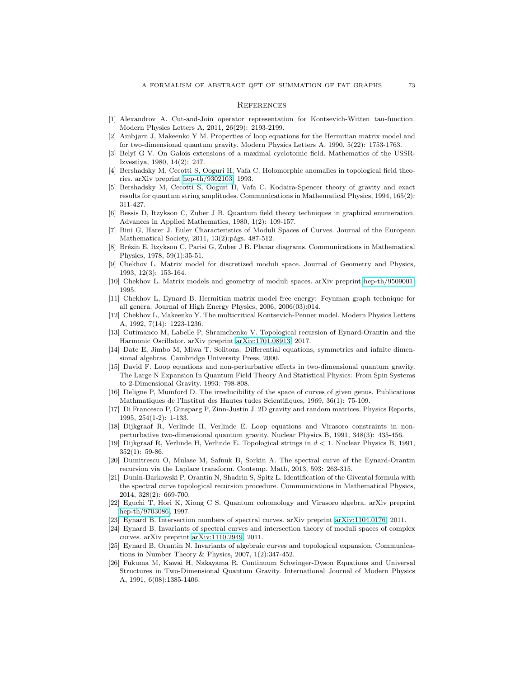## **REFERENCES**

- [1] Alexandrov A. Cut-and-Join operator representation for Kontsevich-Witten tau-function. Modern Physics Letters A, 2011, 26(29): 2193-2199.
- [2] Ambjørn J, Makeenko Y M. Properties of loop equations for the Hermitian matrix model and for two-dimensional quantum gravity. Modern Physics Letters A, 1990, 5(22): 1753-1763.
- [3] Bely˘ı G V. On Galois extensions of a maximal cyclotomic field. Mathematics of the USSR-Izvestiya, 1980, 14(2): 247.
- [4] Bershadsky M, Cecotti S, Ooguri H, Vafa C. Holomorphic anomalies in topological field theories. arXiv preprint [hep-th/9302103,](http://arxiv.org/abs/hep-th/9302103) 1993.
- [5] Bershadsky M, Cecotti S, Ooguri H, Vafa C. Kodaira-Spencer theory of gravity and exact results for quantum string amplitudes. Communications in Mathematical Physics, 1994, 165(2): 311-427.
- [6] Bessis D, Itzykson C, Zuber J B. Quantum field theory techniques in graphical enumeration. Advances in Applied Mathematics, 1980, 1(2): 109-157.
- [7] Bini G, Harer J. Euler Characteristics of Moduli Spaces of Curves. Journal of the European Mathematical Society, 2011, 13(2): págs. 487-512.
- [8] Br´ezin E, Itzykson C, Parisi G, Zuber J B. Planar diagrams. Communications in Mathematical Physics, 1978, 59(1):35-51.
- [9] Chekhov L. Matrix model for discretized moduli space. Journal of Geometry and Physics, 1993, 12(3): 153-164.
- [10] Chekhov L. Matrix models and geometry of moduli spaces. arXiv preprint [hep-th/9509001,](http://arxiv.org/abs/hep-th/9509001) 1995.
- [11] Chekhov L, Eynard B. Hermitian matrix model free energy: Feynman graph technique for all genera. Journal of High Energy Physics, 2006, 2006(03):014.
- [12] Chekhov L, Makeenko Y. The multicritical Kontsevich-Penner model. Modern Physics Letters A, 1992, 7(14): 1223-1236.
- [13] Cutimanco M, Labelle P, Shramchenko V. Topological recursion of Eynard-Orantin and the Harmonic Oscillator. arXiv preprint [arXiv:1701.08913,](http://arxiv.org/abs/1701.08913) 2017.
- [14] Date E, Jimbo M, Miwa T. Solitons: Differential equations, symmetries and infnite dimensional algebras. Cambridge University Press, 2000.
- [15] David F. Loop equations and non-perturbative effects in two-dimensional quantum gravity. The Large N Expansion In Quantum Field Theory And Statistical Physics: From Spin Systems to 2-Dimensional Gravity. 1993: 798-808.
- [16] Deligne P, Mumford D. The irreducibility of the space of curves of given genus. Publications Mathmatiques de l'Institut des Hautes tudes Scientifiques, 1969, 36(1): 75-109.
- [17] Di Francesco P, Ginsparg P, Zinn-Justin J. 2D gravity and random matrices. Physics Reports, 1995, 254(1-2): 1-133.
- [18] Dijkgraaf R, Verlinde H, Verlinde E. Loop equations and Virasoro constraints in nonperturbative two-dimensional quantum gravity. Nuclear Physics B, 1991, 348(3): 435-456.
- [19] Dijkgraaf R, Verlinde H, Verlinde E. Topological strings in d < 1. Nuclear Physics B, 1991, 352(1): 59-86.
- [20] Dumitrescu O, Mulase M, Safnuk B, Sorkin A. The spectral curve of the Eynard-Orantin recursion via the Laplace transform. Contemp. Math, 2013, 593: 263-315.
- [21] Dunin-Barkowski P, Orantin N, Shadrin S, Spitz L. Identification of the Givental formula with the spectral curve topological recursion procedure. Communications in Mathematical Physics, 2014, 328(2): 669-700.
- [22] Eguchi T, Hori K, Xiong C S. Quantum cohomology and Virasoro algebra. arXiv preprint [hep-th/9703086,](http://arxiv.org/abs/hep-th/9703086) 1997.
- [23] Eynard B. Intersection numbers of spectral curves. arXiv preprint [arXiv:1104.0176,](http://arxiv.org/abs/1104.0176) 2011.
- [24] Eynard B. Invariants of spectral curves and intersection theory of moduli spaces of complex curves. arXiv preprint [arXiv:1110.2949,](http://arxiv.org/abs/1110.2949) 2011.
- [25] Eynard B, Orantin N. Invariants of algebraic curves and topological expansion. Communications in Number Theory & Physics, 2007, 1(2):347-452.
- [26] Fukuma M, Kawai H, Nakayama R. Continuum Schwinger-Dyson Equations and Universal Structures in Two-Dimensional Quantum Gravity. International Journal of Modern Physics A, 1991, 6(08):1385-1406.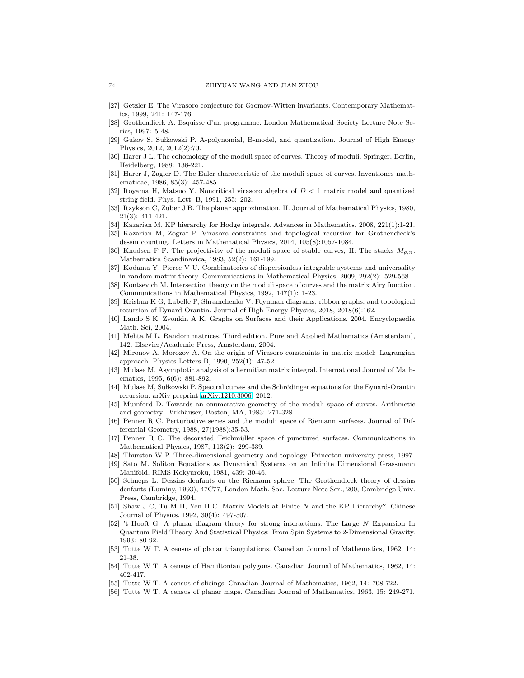- [27] Getzler E. The Virasoro conjecture for Gromov-Witten invariants. Contemporary Mathematics, 1999, 241: 147-176.
- [28] Grothendieck A. Esquisse d'un programme. London Mathematical Society Lecture Note Series, 1997: 5-48.
- [29] Gukov S, Sułkowski P. A-polynomial, B-model, and quantization. Journal of High Energy Physics, 2012, 2012(2):70.
- [30] Harer J L. The cohomology of the moduli space of curves. Theory of moduli. Springer, Berlin, Heidelberg, 1988: 138-221.
- [31] Harer J, Zagier D. The Euler characteristic of the moduli space of curves. Inventiones mathematicae, 1986, 85(3): 457-485.
- [32] Itoyama H, Matsuo Y. Noncritical virasoro algebra of D < 1 matrix model and quantized string field. Phys. Lett. B, 1991, 255: 202.
- [33] Itzykson C, Zuber J B. The planar approximation. II. Journal of Mathematical Physics, 1980, 21(3): 411-421.
- [34] Kazarian M. KP hierarchy for Hodge integrals. Advances in Mathematics, 2008, 221(1):1-21.
- [35] Kazarian M, Zograf P. Virasoro constraints and topological recursion for Grothendieck's dessin counting. Letters in Mathematical Physics, 2014, 105(8):1057-1084.
- [36] Knudsen F F. The projectivity of the moduli space of stable curves, II: The stacks  $M_{q,n}$ . Mathematica Scandinavica, 1983, 52(2): 161-199.
- [37] Kodama Y, Pierce V U. Combinatorics of dispersionless integrable systems and universality in random matrix theory. Communications in Mathematical Physics, 2009, 292(2): 529-568.
- [38] Kontsevich M. Intersection theory on the moduli space of curves and the matrix Airy function. Communications in Mathematical Physics, 1992, 147(1): 1-23.
- [39] Krishna K G, Labelle P, Shramchenko V. Feynman diagrams, ribbon graphs, and topological recursion of Eynard-Orantin. Journal of High Energy Physics, 2018, 2018(6):162.
- [40] Lando S K, Zvonkin A K. Graphs on Surfaces and their Applications. 2004. Encyclopaedia Math. Sci, 2004.
- [41] Mehta M L. Random matrices. Third edition. Pure and Applied Mathematics (Amsterdam), 142. Elsevier/Academic Press, Amsterdam, 2004.
- [42] Mironov A, Morozov A. On the origin of Virasoro constraints in matrix model: Lagrangian approach. Physics Letters B, 1990, 252(1): 47-52.
- [43] Mulase M. Asymptotic analysis of a hermitian matrix integral. International Journal of Mathematics, 1995, 6(6): 881-892.
- [44] Mulase M, Sułkowski P. Spectral curves and the Schrödinger equations for the Eynard-Orantin recursion. arXiv preprint [arXiv:1210.3006,](http://arxiv.org/abs/1210.3006) 2012.
- [45] Mumford D. Towards an enumerative geometry of the moduli space of curves. Arithmetic and geometry. Birkhäuser, Boston, MA, 1983: 271-328.
- [46] Penner R C. Perturbative series and the moduli space of Riemann surfaces. Journal of Differential Geometry, 1988, 27(1988):35-53.
- [47] Penner R C. The decorated Teichmüller space of punctured surfaces. Communications in Mathematical Physics, 1987, 113(2): 299-339.
- [48] Thurston W P. Three-dimensional geometry and topology. Princeton university press, 1997.
- [49] Sato M. Soliton Equations as Dynamical Systems on an Infinite Dimensional Grassmann Manifold. RIMS Kokyuroku, 1981, 439: 30-46.
- [50] Schneps L. Dessins denfants on the Riemann sphere. The Grothendieck theory of dessins denfants (Luminy, 1993), 47C77, London Math. Soc. Lecture Note Ser., 200, Cambridge Univ. Press, Cambridge, 1994.
- [51] Shaw J C, Tu M H, Yen H C. Matrix Models at Finite N and the KP Hierarchy?. Chinese Journal of Physics, 1992, 30(4): 497-507.
- [52] 't Hooft G. A planar diagram theory for strong interactions. The Large N Expansion In Quantum Field Theory And Statistical Physics: From Spin Systems to 2-Dimensional Gravity. 1993: 80-92.
- [53] Tutte W T. A census of planar triangulations. Canadian Journal of Mathematics, 1962, 14: 21-38.
- [54] Tutte W T. A census of Hamiltonian polygons. Canadian Journal of Mathematics, 1962, 14: 402-417.
- [55] Tutte W T. A census of slicings. Canadian Journal of Mathematics, 1962, 14: 708-722.
- [56] Tutte W T. A census of planar maps. Canadian Journal of Mathematics, 1963, 15: 249-271.